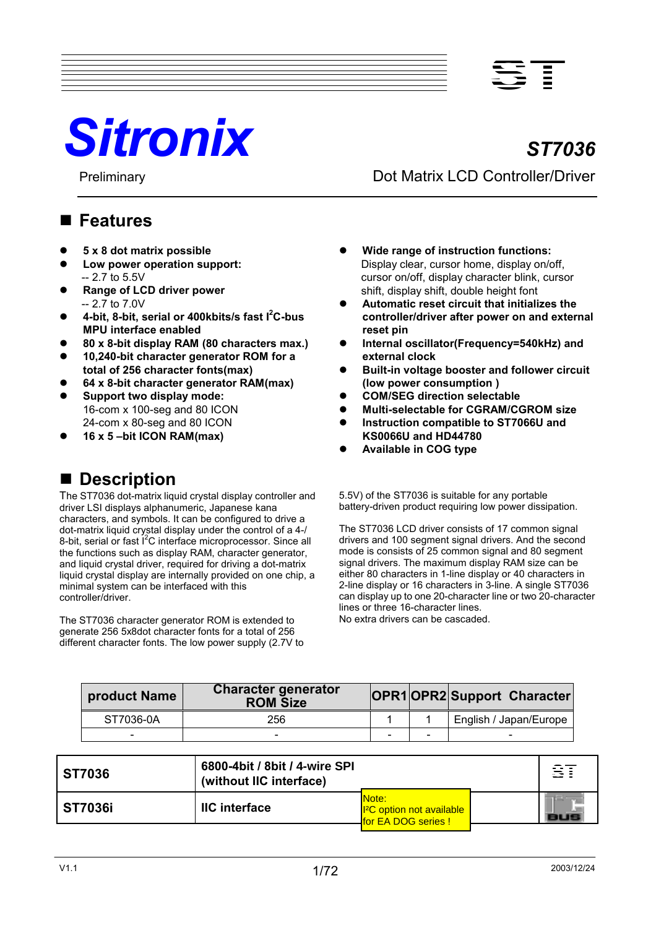# *Sitronix ST7036*

## Preliminary **Dot Matrix LCD Controller/Driver**

**ST**

### **Features**

- z **5 x 8 dot matrix possible**
- Low power operation support: -- 2.7 to 5.5V
- **Range of LCD driver power** -- 2.7 to 7.0V
- 4-bit, 8-bit, serial or 400kbits/s fast I<sup>2</sup>C-bus **MPU interface enabled**
- z **80 x 8-bit display RAM (80 characters max.)**
- z **10,240-bit character generator ROM for a total of 256 character fonts(max)**
- z **64 x 8-bit character generator RAM(max)**
- **Support two display mode:** 16-com x 100-seg and 80 ICON 24-com x 80-seg and 80 ICON
- z **16 x 5 –bit ICON RAM(max)**

### ■ Description

The ST7036 dot-matrix liquid crystal display controller and driver LSI displays alphanumeric, Japanese kana characters, and symbols. It can be configured to drive a dot-matrix liquid crystal display under the control of a 4-/ 8-bit, serial or fast I<sup>2</sup>C interface microprocessor. Since all the functions such as display RAM, character generator, and liquid crystal driver, required for driving a dot-matrix liquid crystal display are internally provided on one chip, a minimal system can be interfaced with this controller/driver.

The ST7036 character generator ROM is extended to generate 256 5x8dot character fonts for a total of 256 different character fonts. The low power supply (2.7V to

- **Wide range of instruction functions:** Display clear, cursor home, display on/off, cursor on/off, display character blink, cursor shift, display shift, double height font
- z **Automatic reset circuit that initializes the controller/driver after power on and external reset pin**
- z **Internal oscillator(Frequency=540kHz) and external clock**
- **Built-in voltage booster and follower circuit (low power consumption )**
- z **COM/SEG direction selectable**
- z **Multi-selectable for CGRAM/CGROM size**
- **Instruction compatible to ST7066U and KS0066U and HD44780**
- **Available in COG type**

5.5V) of the ST7036 is suitable for any portable battery-driven product requiring low power dissipation.

The ST7036 LCD driver consists of 17 common signal drivers and 100 segment signal drivers. And the second mode is consists of 25 common signal and 80 segment signal drivers. The maximum display RAM size can be either 80 characters in 1-line display or 40 characters in 2-line display or 16 characters in 3-line. A single ST7036 can display up to one 20-character line or two 20-character lines or three 16-character lines. No extra drivers can be cascaded.

| product Name | <b>Character generator</b><br><b>ROM Size</b> |   |   | <b>OPR1OPR2 Support Character</b> |
|--------------|-----------------------------------------------|---|---|-----------------------------------|
| ST7036-0A    | 256                                           |   |   | English / Japan/Europe            |
|              |                                               | - | - |                                   |

| <b>ST7036</b>  | 6800-4bit / 8bit / 4-wire SPI<br>(without IIC interface) |                                                                                        |  |  |  |
|----------------|----------------------------------------------------------|----------------------------------------------------------------------------------------|--|--|--|
| <b>ST7036i</b> | <b>IIC</b> interface                                     | <b>INote:</b><br>1 <sup>2</sup> C option not available<br><u> Ifor FA DOG series !</u> |  |  |  |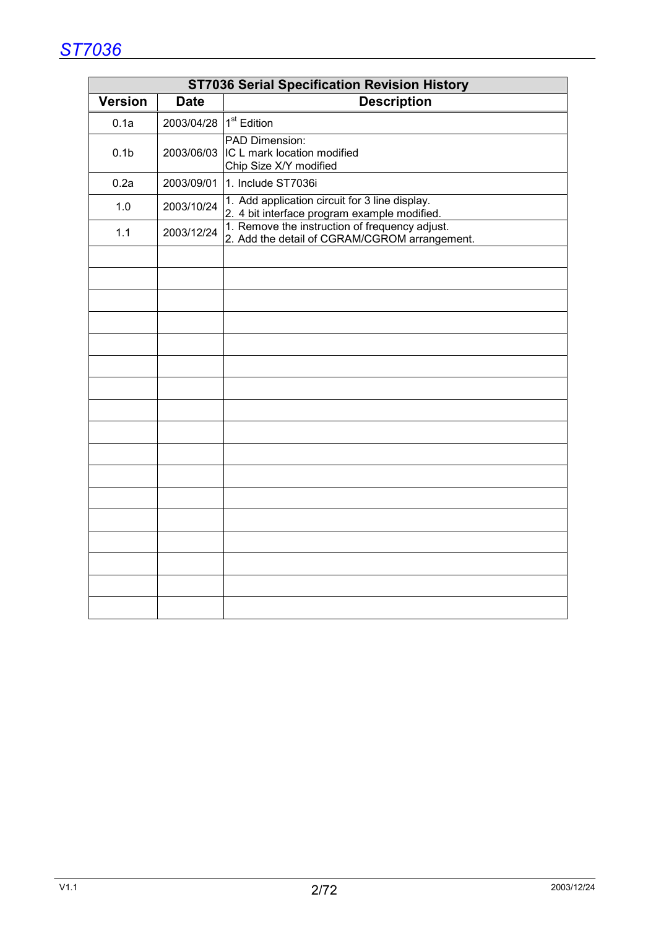|                  |             | <b>ST7036 Serial Specification Revision History</b>                                             |
|------------------|-------------|-------------------------------------------------------------------------------------------------|
| <b>Version</b>   | <b>Date</b> | <b>Description</b>                                                                              |
| 0.1a             | 2003/04/28  | 1 <sup>st</sup> Edition                                                                         |
| 0.1 <sub>b</sub> | 2003/06/03  | PAD Dimension:<br>IC L mark location modified<br>Chip Size X/Y modified                         |
| 0.2a             | 2003/09/01  | 1. Include ST7036i                                                                              |
| 1.0              | 2003/10/24  | 1. Add application circuit for 3 line display.<br>2. 4 bit interface program example modified.  |
| 1.1              | 2003/12/24  | 1. Remove the instruction of frequency adjust.<br>2. Add the detail of CGRAM/CGROM arrangement. |
|                  |             |                                                                                                 |
|                  |             |                                                                                                 |
|                  |             |                                                                                                 |
|                  |             |                                                                                                 |
|                  |             |                                                                                                 |
|                  |             |                                                                                                 |
|                  |             |                                                                                                 |
|                  |             |                                                                                                 |
|                  |             |                                                                                                 |
|                  |             |                                                                                                 |
|                  |             |                                                                                                 |
|                  |             |                                                                                                 |
|                  |             |                                                                                                 |
|                  |             |                                                                                                 |
|                  |             |                                                                                                 |
|                  |             |                                                                                                 |
|                  |             |                                                                                                 |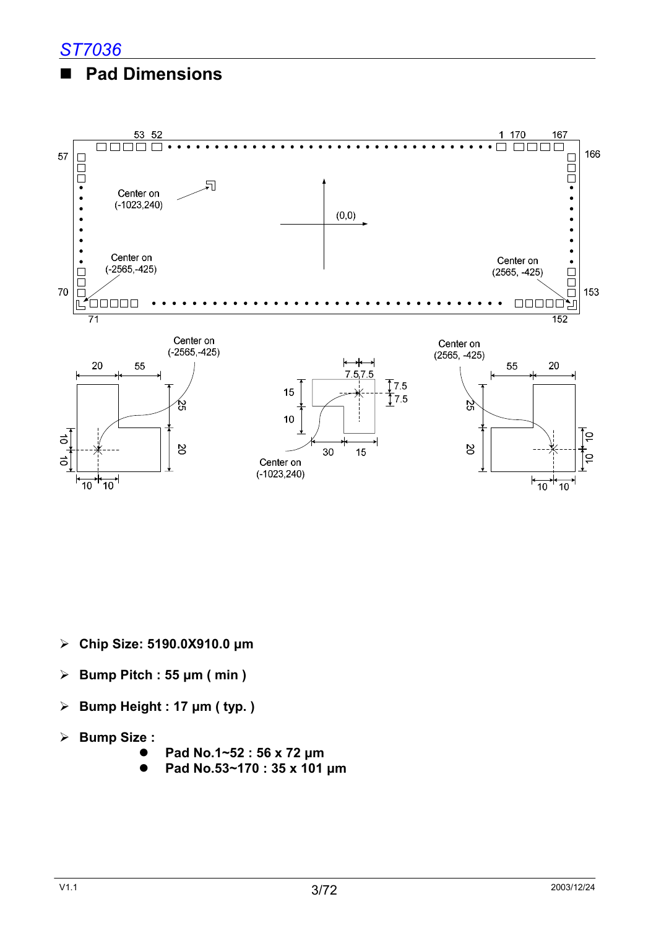

### **Pad Dimensions**



- ¾ **Chip Size: 5190.0X910.0 µm**
- ¾ **Bump Pitch : 55 µm ( min )**
- ¾ **Bump Height : 17 µm ( typ. )**
- ¾ **Bump Size :** 
	- z **Pad No.1~52 : 56 x 72 µm**
	- z **Pad No.53~170 : 35 x 101 µm**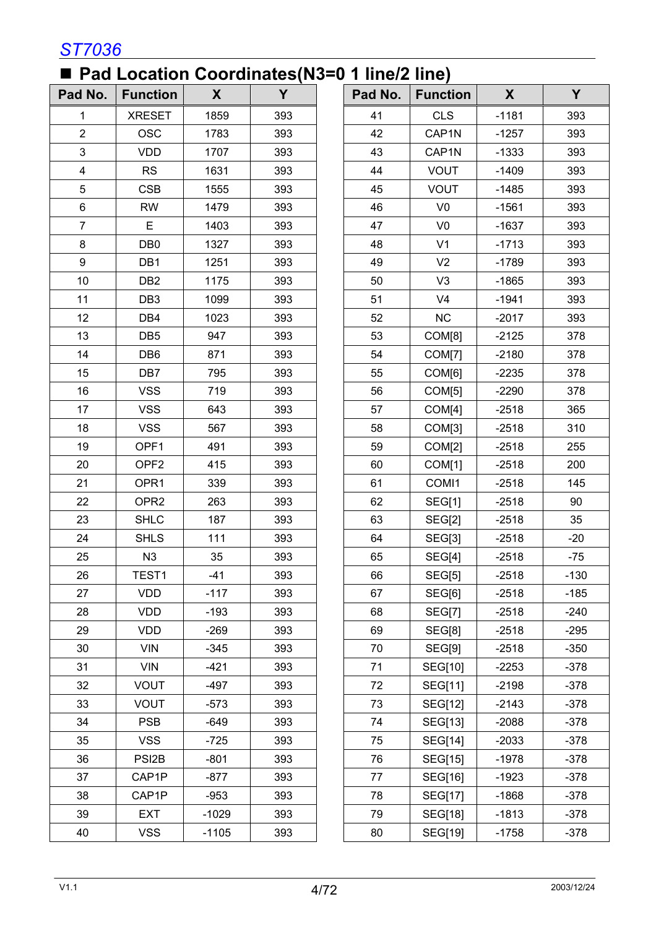### ■ Pad Location Coordinates(N<sub>3</sub>=0 1 line/2 line)

| Pad No.        | <b>Function</b>    | $\mathsf{X}$ | Y   | Pad No. | <b>Function</b> | $\mathsf{X}$ | Y      |
|----------------|--------------------|--------------|-----|---------|-----------------|--------------|--------|
| $\mathbf{1}$   | <b>XRESET</b>      | 1859         | 393 | 41      | <b>CLS</b>      | $-1181$      | 393    |
| $\overline{2}$ | <b>OSC</b>         | 1783         | 393 | 42      | CAP1N           | $-1257$      | 393    |
| 3              | <b>VDD</b>         | 1707         | 393 | 43      | CAP1N           | $-1333$      | 393    |
| $\overline{4}$ | <b>RS</b>          | 1631         | 393 | 44      | <b>VOUT</b>     | $-1409$      | 393    |
| 5              | <b>CSB</b>         | 1555         | 393 | 45      | <b>VOUT</b>     | $-1485$      | 393    |
| 6              | <b>RW</b>          | 1479         | 393 | 46      | V <sub>0</sub>  | $-1561$      | 393    |
| $\overline{7}$ | E.                 | 1403         | 393 | 47      | V <sub>0</sub>  | $-1637$      | 393    |
| 8              | DB <sub>0</sub>    | 1327         | 393 | 48      | V <sub>1</sub>  | $-1713$      | 393    |
| 9              | DB1                | 1251         | 393 | 49      | V <sub>2</sub>  | $-1789$      | 393    |
| 10             | DB <sub>2</sub>    | 1175         | 393 | 50      | V <sub>3</sub>  | $-1865$      | 393    |
| 11             | DB <sub>3</sub>    | 1099         | 393 | 51      | V <sub>4</sub>  | $-1941$      | 393    |
| 12             | DB4                | 1023         | 393 | 52      | NC              | $-2017$      | 393    |
| 13             | DB <sub>5</sub>    | 947          | 393 | 53      | COM[8]          | $-2125$      | 378    |
| 14             | DB <sub>6</sub>    | 871          | 393 | 54      | COM[7]          | $-2180$      | 378    |
| 15             | DB7                | 795          | 393 | 55      | COM[6]          | $-2235$      | 378    |
| 16             | <b>VSS</b>         | 719          | 393 | 56      | COM[5]          | $-2290$      | 378    |
| 17             | <b>VSS</b>         | 643          | 393 | 57      | COM[4]          | $-2518$      | 365    |
| 18             | <b>VSS</b>         | 567          | 393 | 58      | COM[3]          | $-2518$      | 310    |
| 19             | OPF1               | 491          | 393 | 59      | COM[2]          | $-2518$      | 255    |
| 20             | OPF <sub>2</sub>   | 415          | 393 | 60      | COM[1]          | $-2518$      | 200    |
| 21             | OPR <sub>1</sub>   | 339          | 393 | 61      | COMI1           | $-2518$      | 145    |
| 22             | OPR <sub>2</sub>   | 263          | 393 | 62      | <b>SEG[1]</b>   | $-2518$      | 90     |
| 23             | <b>SHLC</b>        | 187          | 393 | 63      | SEG[2]          | $-2518$      | 35     |
| 24             | <b>SHLS</b>        | 111          | 393 | 64      | SEG[3]          | $-2518$      | $-20$  |
| 25             | N3                 | 35           | 393 | 65      | SEG[4]          | $-2518$      | $-75$  |
| 26             | TEST1              | -41          | 393 | 66      | SEG[5]          | $-2518$      | -130   |
| 27             | <b>VDD</b>         | $-117$       | 393 | 67      | SEG[6]          | $-2518$      | $-185$ |
| 28             | <b>VDD</b>         | $-193$       | 393 | 68      | <b>SEG[7]</b>   | $-2518$      | $-240$ |
| 29             | <b>VDD</b>         | $-269$       | 393 | 69      | SEG[8]          | $-2518$      | $-295$ |
| 30             | <b>VIN</b>         | $-345$       | 393 | 70      | SEG[9]          | $-2518$      | $-350$ |
| 31             | <b>VIN</b>         | $-421$       | 393 | 71      | SEG[10]         | $-2253$      | $-378$ |
| 32             | <b>VOUT</b>        | $-497$       | 393 | 72      | SEG[11]         | $-2198$      | $-378$ |
| 33             | <b>VOUT</b>        | $-573$       | 393 | 73      | <b>SEG[12]</b>  | $-2143$      | $-378$ |
| 34             | <b>PSB</b>         | $-649$       | 393 | 74      | <b>SEG[13]</b>  | $-2088$      | $-378$ |
| 35             | <b>VSS</b>         | $-725$       | 393 | 75      | <b>SEG[14]</b>  | $-2033$      | $-378$ |
| 36             | PSI <sub>2</sub> B | $-801$       | 393 | 76      | SEG[15]         | $-1978$      | $-378$ |
| 37             | CAP1P              | $-877$       | 393 | 77      | SEG[16]         | $-1923$      | $-378$ |
| 38             | CAP1P              | $-953$       | 393 | 78      | SEG[17]         | $-1868$      | $-378$ |
| 39             | <b>EXT</b>         | $-1029$      | 393 | 79      | <b>SEG[18]</b>  | $-1813$      | $-378$ |
| 40             | <b>VSS</b>         | $-1105$      | 393 | 80      | <b>SEG[19]</b>  | $-1758$      | $-378$ |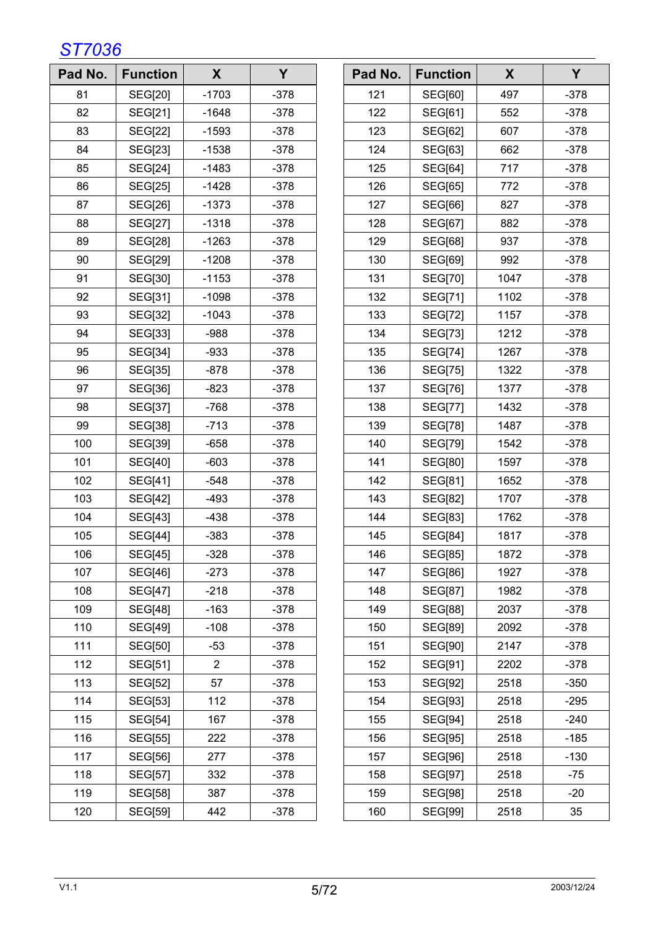| Pad No. | <b>Function</b> | X           | Y      | Pad No. | <b>Function</b> | X    | Y      |
|---------|-----------------|-------------|--------|---------|-----------------|------|--------|
| 81      | SEG[20]         | $-1703$     | $-378$ | 121     | SEG[60]         | 497  | $-378$ |
| 82      | SEG[21]         | $-1648$     | $-378$ | 122     | SEG[61]         | 552  | $-378$ |
| 83      | <b>SEG[22]</b>  | $-1593$     | $-378$ | 123     | <b>SEG[62]</b>  | 607  | $-378$ |
| 84      | SEG[23]         | $-1538$     | $-378$ | 124     | SEG[63]         | 662  | $-378$ |
| 85      | <b>SEG[24]</b>  | $-1483$     | $-378$ | 125     | <b>SEG[64]</b>  | 717  | $-378$ |
| 86      | <b>SEG[25]</b>  | $-1428$     | $-378$ | 126     | <b>SEG[65]</b>  | 772  | $-378$ |
| 87      | SEG[26]         | $-1373$     | $-378$ | 127     | SEG[66]         | 827  | $-378$ |
| 88      | <b>SEG[27]</b>  | $-1318$     | $-378$ | 128     | SEG[67]         | 882  | $-378$ |
| 89      | <b>SEG[28]</b>  | $-1263$     | $-378$ | 129     | <b>SEG[68]</b>  | 937  | $-378$ |
| 90      | <b>SEG[29]</b>  | $-1208$     | $-378$ | 130     | <b>SEG[69]</b>  | 992  | $-378$ |
| 91      | SEG[30]         | $-1153$     | $-378$ | 131     | SEG[70]         | 1047 | $-378$ |
| 92      | SEG[31]         | $-1098$     | $-378$ | 132     | SEG[71]         | 1102 | $-378$ |
| 93      | SEG[32]         | $-1043$     | $-378$ | 133     | <b>SEG[72]</b>  | 1157 | $-378$ |
| 94      | SEG[33]         | $-988$      | $-378$ | 134     | <b>SEG[73]</b>  | 1212 | $-378$ |
| 95      | SEG[34]         | $-933$      | $-378$ | 135     | <b>SEG[74]</b>  | 1267 | $-378$ |
| 96      | SEG[35]         | $-878$      | $-378$ | 136     | <b>SEG[75]</b>  | 1322 | $-378$ |
| 97      | SEG[36]         | $-823$      | $-378$ | 137     | <b>SEG[76]</b>  | 1377 | $-378$ |
| 98      | <b>SEG[37]</b>  | $-768$      | $-378$ | 138     | <b>SEG[77]</b>  | 1432 | $-378$ |
| 99      | SEG[38]         | $-713$      | $-378$ | 139     | <b>SEG[78]</b>  | 1487 | $-378$ |
| 100     | SEG[39]         | $-658$      | $-378$ | 140     | <b>SEG[79]</b>  | 1542 | $-378$ |
| 101     | <b>SEG[40]</b>  | $-603$      | $-378$ | 141     | SEG[80]         | 1597 | $-378$ |
| 102     | SEG[41]         | $-548$      | $-378$ | 142     | SEG[81]         | 1652 | $-378$ |
| 103     | <b>SEG[42]</b>  | $-493$      | $-378$ | 143     | <b>SEG[82]</b>  | 1707 | $-378$ |
| 104     | SEG[43]         | $-438$      | $-378$ | 144     | SEG[83]         | 1762 | $-378$ |
| 105     | <b>SEG[44]</b>  | $-383$      | $-378$ | 145     | <b>SEG[84]</b>  | 1817 | $-378$ |
| 106     | <b>SEG[45]</b>  | $-328$      | -378   | 146     | SEG[85]         | 1872 | -378   |
| 107     | SEG[46]         | $-273$      | $-378$ | 147     | SEG[86]         | 1927 | $-378$ |
| 108     | SEG[47]         | $-218$      | $-378$ | 148     | SEG[87]         | 1982 | $-378$ |
| 109     | <b>SEG[48]</b>  | $-163$      | $-378$ | 149     | <b>SEG[88]</b>  | 2037 | $-378$ |
| 110     | <b>SEG[49]</b>  | $-108$      | $-378$ | 150     | <b>SEG[89]</b>  | 2092 | $-378$ |
| 111     | SEG[50]         | $-53$       | $-378$ | 151     | SEG[90]         | 2147 | $-378$ |
| 112     | SEG[51]         | $2^{\circ}$ | $-378$ | 152     | SEG[91]         | 2202 | $-378$ |
| 113     | <b>SEG[52]</b>  | 57          | $-378$ | 153     | SEG[92]         | 2518 | $-350$ |
| 114     | <b>SEG[53]</b>  | 112         | $-378$ | 154     | SEG[93]         | 2518 | $-295$ |
| 115     | <b>SEG[54]</b>  | 167         | $-378$ | 155     | <b>SEG[94]</b>  | 2518 | $-240$ |
| 116     | <b>SEG[55]</b>  | 222         | $-378$ | 156     | SEG[95]         | 2518 | $-185$ |
| 117     | SEG[56]         | 277         | $-378$ | 157     | <b>SEG[96]</b>  | 2518 | $-130$ |
| 118     | <b>SEG[57]</b>  | 332         | $-378$ | 158     | <b>SEG[97]</b>  | 2518 | $-75$  |
| 119     | <b>SEG[58]</b>  | 387         | $-378$ | 159     | <b>SEG[98]</b>  | 2518 | $-20$  |
| 120     | <b>SEG[59]</b>  | 442         | $-378$ | 160     | <b>SEG[99]</b>  | 2518 | 35     |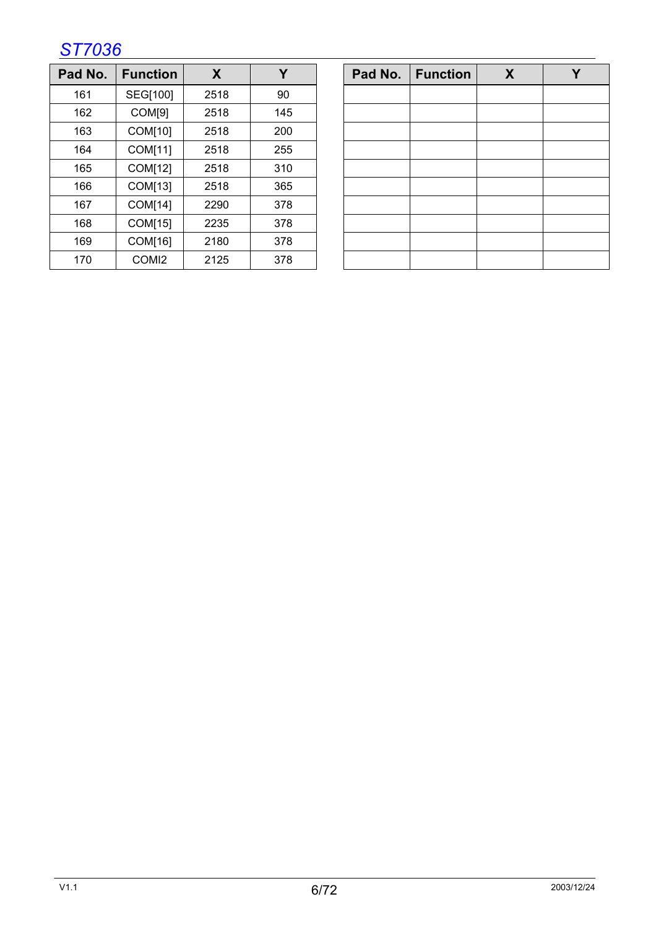| Pad No. | <b>Function</b> | X    | Y   | Pad No. | <b>Function</b> | X | Y |
|---------|-----------------|------|-----|---------|-----------------|---|---|
| 161     | SEG[100]        | 2518 | 90  |         |                 |   |   |
| 162     | COM[9]          | 2518 | 145 |         |                 |   |   |
| 163     | COM[10]         | 2518 | 200 |         |                 |   |   |
| 164     | COM[11]         | 2518 | 255 |         |                 |   |   |
| 165     | COM[12]         | 2518 | 310 |         |                 |   |   |
| 166     | COM[13]         | 2518 | 365 |         |                 |   |   |
| 167     | COM[14]         | 2290 | 378 |         |                 |   |   |
| 168     | COM[15]         | 2235 | 378 |         |                 |   |   |
| 169     | COM[16]         | 2180 | 378 |         |                 |   |   |
| 170     | COMI2           | 2125 | 378 |         |                 |   |   |

| Pad No.   Function | $\boldsymbol{X}$ |  |
|--------------------|------------------|--|
|                    |                  |  |
|                    |                  |  |
|                    |                  |  |
|                    |                  |  |
|                    |                  |  |
|                    |                  |  |
|                    |                  |  |
|                    |                  |  |
|                    |                  |  |
|                    |                  |  |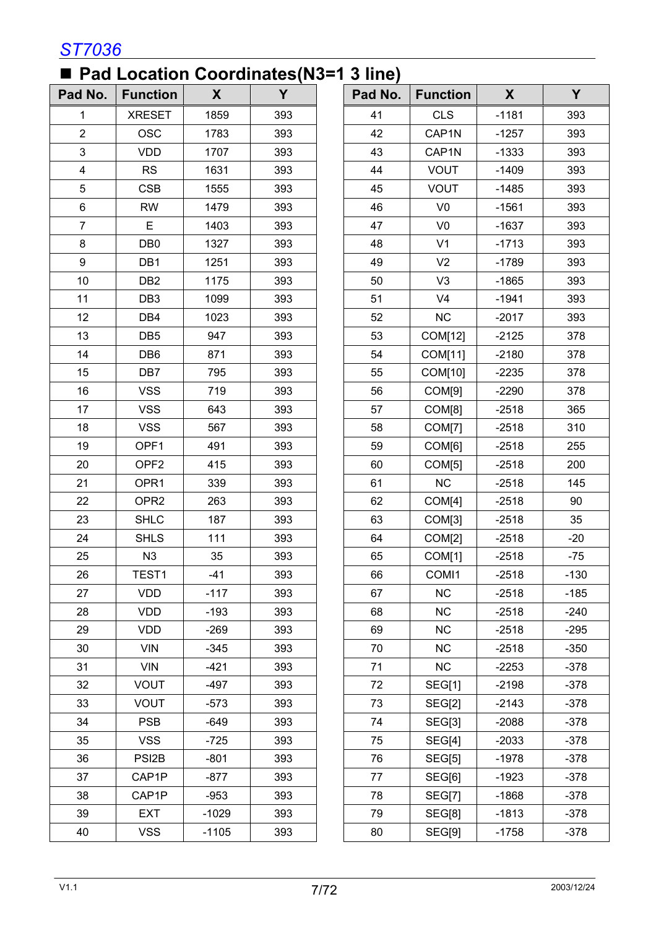### ■ Pad Location Coordinates(N3=1 3 line)

| Pad No.        | <b>Function</b>    | $\boldsymbol{X}$ | Y   | Pad No. | <b>Function</b> | $\mathsf{X}$ | Y      |
|----------------|--------------------|------------------|-----|---------|-----------------|--------------|--------|
| $\mathbf{1}$   | <b>XRESET</b>      | 1859             | 393 | 41      | <b>CLS</b>      | $-1181$      | 393    |
| $\overline{2}$ | <b>OSC</b>         | 1783             | 393 | 42      | CAP1N           | $-1257$      | 393    |
| 3              | <b>VDD</b>         | 1707             | 393 | 43      | CAP1N           | $-1333$      | 393    |
| $\overline{4}$ | <b>RS</b>          | 1631             | 393 | 44      | <b>VOUT</b>     | $-1409$      | 393    |
| 5              | <b>CSB</b>         | 1555             | 393 | 45      | <b>VOUT</b>     | $-1485$      | 393    |
| 6              | <b>RW</b>          | 1479             | 393 | 46      | V <sub>0</sub>  | $-1561$      | 393    |
| $\overline{7}$ | E.                 | 1403             | 393 | 47      | V <sub>0</sub>  | $-1637$      | 393    |
| 8              | DB <sub>0</sub>    | 1327             | 393 | 48      | V <sub>1</sub>  | $-1713$      | 393    |
| 9              | DB1                | 1251             | 393 | 49      | V <sub>2</sub>  | $-1789$      | 393    |
| 10             | DB <sub>2</sub>    | 1175             | 393 | 50      | V <sub>3</sub>  | $-1865$      | 393    |
| 11             | DB <sub>3</sub>    | 1099             | 393 | 51      | V <sub>4</sub>  | $-1941$      | 393    |
| 12             | DB4                | 1023             | 393 | 52      | NC              | $-2017$      | 393    |
| 13             | DB <sub>5</sub>    | 947              | 393 | 53      | COM[12]         | $-2125$      | 378    |
| 14             | DB <sub>6</sub>    | 871              | 393 | 54      | COM[11]         | $-2180$      | 378    |
| 15             | DB7                | 795              | 393 | 55      | COM[10]         | $-2235$      | 378    |
| 16             | <b>VSS</b>         | 719              | 393 | 56      | COM[9]          | $-2290$      | 378    |
| 17             | <b>VSS</b>         | 643              | 393 | 57      | COM[8]          | $-2518$      | 365    |
| 18             | <b>VSS</b>         | 567              | 393 | 58      | COM[7]          | $-2518$      | 310    |
| 19             | OPF1               | 491              | 393 | 59      | COM[6]          | $-2518$      | 255    |
| 20             | OPF <sub>2</sub>   | 415              | 393 | 60      | COM[5]          | $-2518$      | 200    |
| 21             | OPR1               | 339              | 393 | 61      | NC              | $-2518$      | 145    |
| 22             | OPR <sub>2</sub>   | 263              | 393 | 62      | COM[4]          | $-2518$      | 90     |
| 23             | <b>SHLC</b>        | 187              | 393 | 63      | COM[3]          | $-2518$      | 35     |
| 24             | <b>SHLS</b>        | 111              | 393 | 64      | COM[2]          | $-2518$      | $-20$  |
| 25             | N3                 | 35               | 393 | 65      | COM[1]          | $-2518$      | $-75$  |
| 26             | TEST1              | $-41$            | 393 | 66      | COMI1           | $-2518$      | $-130$ |
| 27             | <b>VDD</b>         | $-117$           | 393 | 67      | <b>NC</b>       | $-2518$      | $-185$ |
| 28             | <b>VDD</b>         | $-193$           | 393 | 68      | <b>NC</b>       | $-2518$      | $-240$ |
| 29             | <b>VDD</b>         | $-269$           | 393 | 69      | <b>NC</b>       | $-2518$      | $-295$ |
| 30             | <b>VIN</b>         | $-345$           | 393 | 70      | <b>NC</b>       | $-2518$      | $-350$ |
| 31             | <b>VIN</b>         | $-421$           | 393 | 71      | NC              | $-2253$      | $-378$ |
| 32             | <b>VOUT</b>        | $-497$           | 393 | 72      | <b>SEG[1]</b>   | $-2198$      | $-378$ |
| 33             | <b>VOUT</b>        | $-573$           | 393 | 73      | SEG[2]          | $-2143$      | $-378$ |
| 34             | <b>PSB</b>         | $-649$           | 393 | 74      | <b>SEG[3]</b>   | $-2088$      | $-378$ |
| 35             | <b>VSS</b>         | $-725$           | 393 | 75      | SEG[4]          | $-2033$      | $-378$ |
| 36             | PSI <sub>2</sub> B | $-801$           | 393 | 76      | SEG[5]          | $-1978$      | $-378$ |
| 37             | CAP1P              | $-877$           | 393 | 77      | SEG[6]          | $-1923$      | $-378$ |
| 38             | CAP1P              | $-953$           | 393 | 78      | <b>SEG[7]</b>   | $-1868$      | $-378$ |
| 39             | <b>EXT</b>         | $-1029$          | 393 | 79      | SEG[8]          | $-1813$      | $-378$ |
| 40             | <b>VSS</b>         | $-1105$          | 393 | 80      | SEG[9]          | $-1758$      | $-378$ |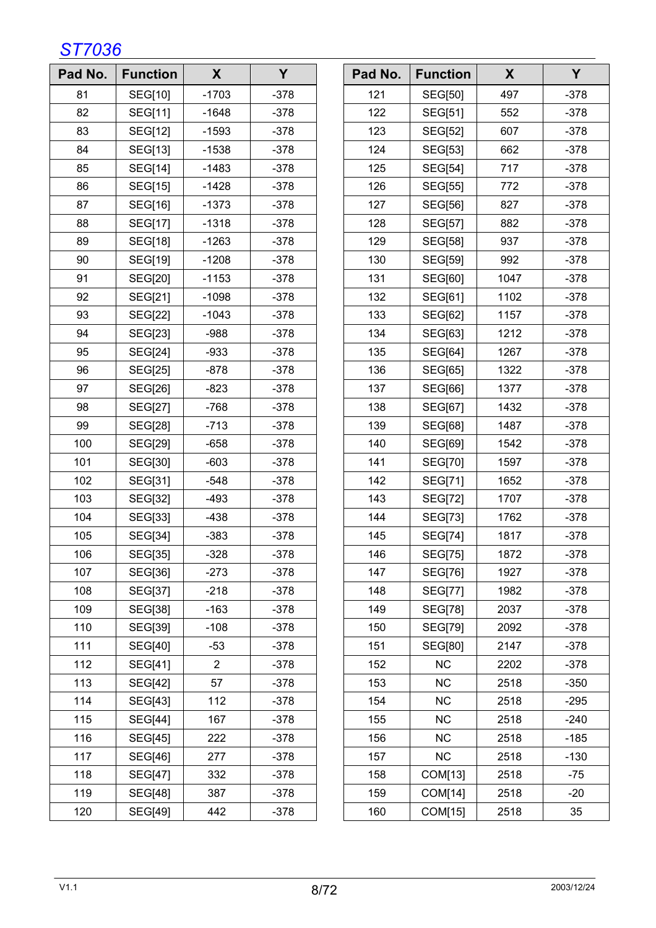| Pad No. | <b>Function</b> | X              | Y      | Pad No. | <b>Function</b> | X    | Y      |
|---------|-----------------|----------------|--------|---------|-----------------|------|--------|
| 81      | SEG[10]         | $-1703$        | $-378$ | 121     | <b>SEG[50]</b>  | 497  | $-378$ |
| 82      | SEG[11]         | $-1648$        | $-378$ | 122     | SEG[51]         | 552  | $-378$ |
| 83      | SEG[12]         | $-1593$        | $-378$ | 123     | <b>SEG[52]</b>  | 607  | $-378$ |
| 84      | SEG[13]         | $-1538$        | $-378$ | 124     | SEG[53]         | 662  | $-378$ |
| 85      | <b>SEG[14]</b>  | $-1483$        | $-378$ | 125     | <b>SEG[54]</b>  | 717  | $-378$ |
| 86      | <b>SEG[15]</b>  | $-1428$        | $-378$ | 126     | <b>SEG[55]</b>  | 772  | $-378$ |
| 87      | SEG[16]         | $-1373$        | $-378$ | 127     | <b>SEG[56]</b>  | 827  | $-378$ |
| 88      | <b>SEG[17]</b>  | $-1318$        | $-378$ | 128     | <b>SEG[57]</b>  | 882  | $-378$ |
| 89      | <b>SEG[18]</b>  | $-1263$        | $-378$ | 129     | <b>SEG[58]</b>  | 937  | $-378$ |
| 90      | <b>SEG[19]</b>  | $-1208$        | $-378$ | 130     | <b>SEG[59]</b>  | 992  | $-378$ |
| 91      | <b>SEG[20]</b>  | $-1153$        | $-378$ | 131     | SEG[60]         | 1047 | $-378$ |
| 92      | SEG[21]         | $-1098$        | $-378$ | 132     | SEG[61]         | 1102 | $-378$ |
| 93      | <b>SEG[22]</b>  | $-1043$        | $-378$ | 133     | <b>SEG[62]</b>  | 1157 | $-378$ |
| 94      | SEG[23]         | $-988$         | $-378$ | 134     | SEG[63]         | 1212 | $-378$ |
| 95      | <b>SEG[24]</b>  | $-933$         | $-378$ | 135     | SEG[64]         | 1267 | $-378$ |
| 96      | <b>SEG[25]</b>  | $-878$         | $-378$ | 136     | SEG[65]         | 1322 | $-378$ |
| 97      | SEG[26]         | $-823$         | $-378$ | 137     | SEG[66]         | 1377 | $-378$ |
| 98      | <b>SEG[27]</b>  | $-768$         | $-378$ | 138     | SEG[67]         | 1432 | $-378$ |
| 99      | <b>SEG[28]</b>  | $-713$         | $-378$ | 139     | <b>SEG[68]</b>  | 1487 | $-378$ |
| 100     | <b>SEG[29]</b>  | $-658$         | $-378$ | 140     | SEG[69]         | 1542 | $-378$ |
| 101     | SEG[30]         | $-603$         | $-378$ | 141     | <b>SEG[70]</b>  | 1597 | $-378$ |
| 102     | SEG[31]         | $-548$         | $-378$ | 142     | SEG[71]         | 1652 | $-378$ |
| 103     | SEG[32]         | $-493$         | $-378$ | 143     | <b>SEG[72]</b>  | 1707 | $-378$ |
| 104     | SEG[33]         | $-438$         | $-378$ | 144     | <b>SEG[73]</b>  | 1762 | $-378$ |
| 105     | SEG[34]         | $-383$         | $-378$ | 145     | <b>SEG[74]</b>  | 1817 | $-378$ |
| 106     | SEG[35]         | $-328$         | -378   | 146     | SEG[75]         | 1872 | -378   |
| 107     | SEG[36]         | $-273$         | $-378$ | 147     | <b>SEG[76]</b>  | 1927 | $-378$ |
| 108     | SEG[37]         | $-218$         | $-378$ | 148     | <b>SEG[77]</b>  | 1982 | $-378$ |
| 109     | <b>SEG[38]</b>  | $-163$         | $-378$ | 149     | <b>SEG[78]</b>  | 2037 | $-378$ |
| 110     | <b>SEG[39]</b>  | $-108$         | $-378$ | 150     | <b>SEG[79]</b>  | 2092 | $-378$ |
| 111     | SEG[40]         | $-53$          | $-378$ | 151     | SEG[80]         | 2147 | $-378$ |
| 112     | SEG[41]         | $\overline{2}$ | $-378$ | 152     | NC              | 2202 | $-378$ |
| 113     | <b>SEG[42]</b>  | 57             | $-378$ | 153     | NC              | 2518 | $-350$ |
| 114     | SEG[43]         | 112            | $-378$ | 154     | NC              | 2518 | $-295$ |
| 115     | <b>SEG[44]</b>  | 167            | $-378$ | 155     | NC              | 2518 | $-240$ |
| 116     | <b>SEG[45]</b>  | 222            | $-378$ | 156     | <b>NC</b>       | 2518 | $-185$ |
| 117     | SEG[46]         | 277            | $-378$ | 157     | <b>NC</b>       | 2518 | $-130$ |
| 118     | <b>SEG[47]</b>  | 332            | $-378$ | 158     | COM[13]         | 2518 | $-75$  |
| 119     | <b>SEG[48]</b>  | 387            | $-378$ | 159     | COM[14]         | 2518 | $-20$  |
| 120     | <b>SEG[49]</b>  | 442            | $-378$ | 160     | COM[15]         | 2518 | 35     |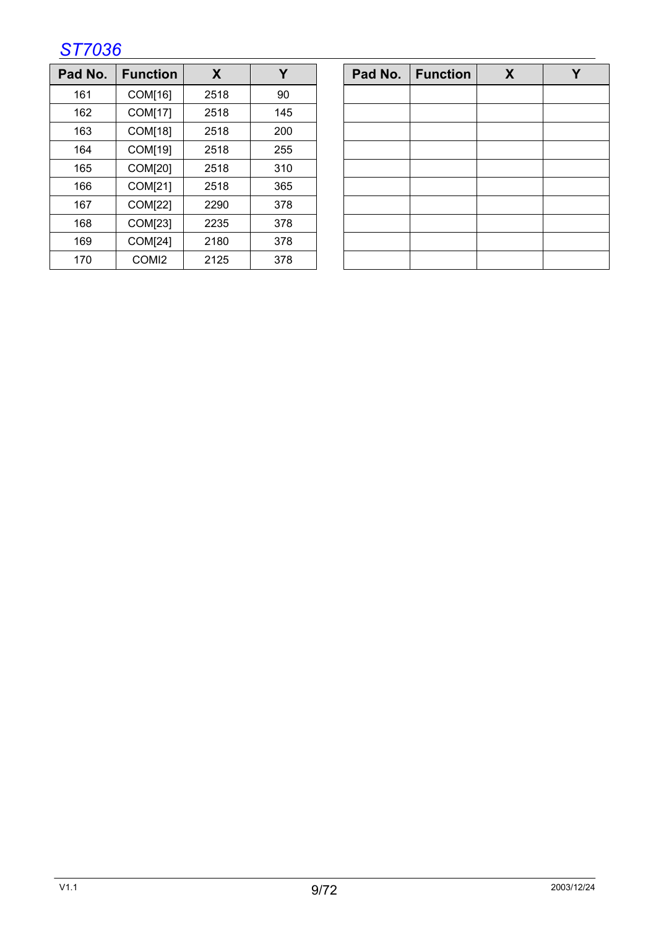| Pad No. | <b>Function</b>  | X    | Y   | Pad No. | <b>Function</b> | X | Y |
|---------|------------------|------|-----|---------|-----------------|---|---|
| 161     | COM[16]          | 2518 | 90  |         |                 |   |   |
| 162     | COM[17]          | 2518 | 145 |         |                 |   |   |
| 163     | COM[18]          | 2518 | 200 |         |                 |   |   |
| 164     | COM[19]          | 2518 | 255 |         |                 |   |   |
| 165     | COM[20]          | 2518 | 310 |         |                 |   |   |
| 166     | COM[21]          | 2518 | 365 |         |                 |   |   |
| 167     | COM[22]          | 2290 | 378 |         |                 |   |   |
| 168     | COM[23]          | 2235 | 378 |         |                 |   |   |
| 169     | COM[24]          | 2180 | 378 |         |                 |   |   |
| 170     | COM <sub>2</sub> | 2125 | 378 |         |                 |   |   |

| Pad No.   Function | $\boldsymbol{X}$ |  |
|--------------------|------------------|--|
|                    |                  |  |
|                    |                  |  |
|                    |                  |  |
|                    |                  |  |
|                    |                  |  |
|                    |                  |  |
|                    |                  |  |
|                    |                  |  |
|                    |                  |  |
|                    |                  |  |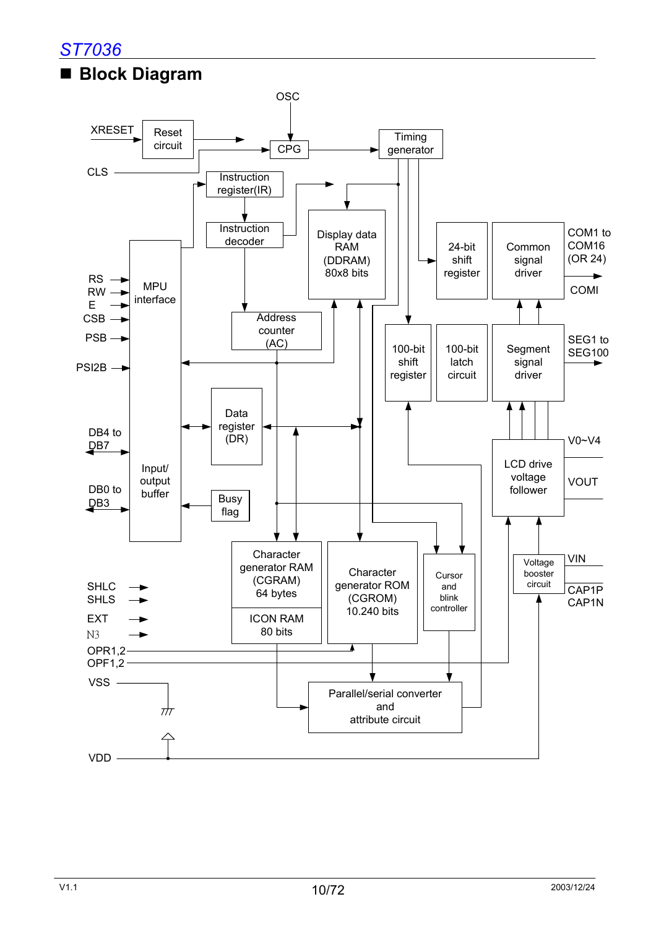

### **Block Diagram**

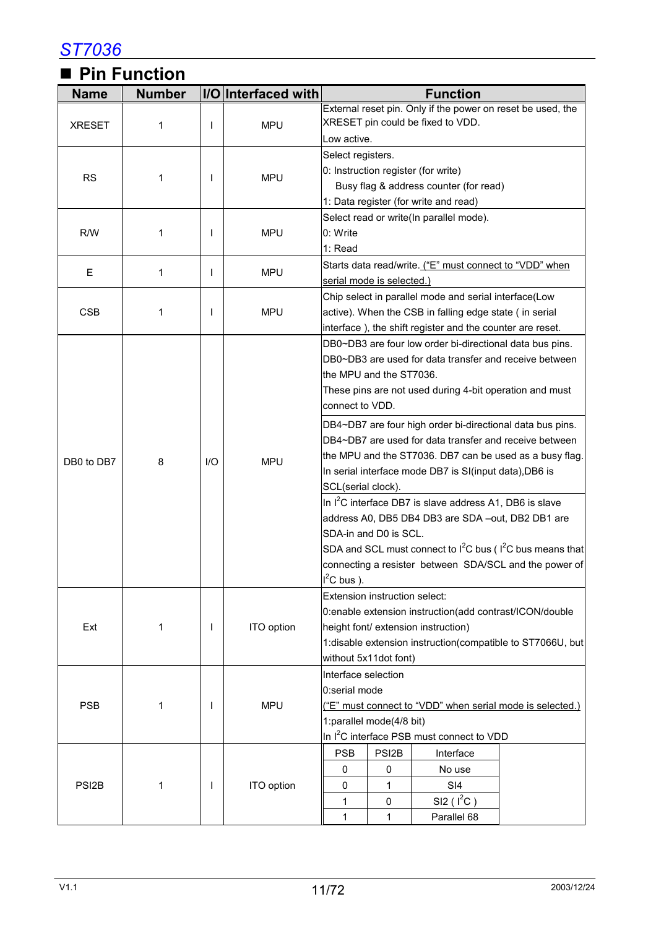### **Pin Function**

| <b>Name</b>        | <b>Number</b> |              | I/O Interfaced with                                     | <b>Function</b>                                                |  |  |  |
|--------------------|---------------|--------------|---------------------------------------------------------|----------------------------------------------------------------|--|--|--|
|                    |               |              |                                                         | External reset pin. Only if the power on reset be used, the    |  |  |  |
| <b>XRESET</b>      | 1             |              | <b>MPU</b>                                              | XRESET pin could be fixed to VDD.                              |  |  |  |
|                    |               |              |                                                         | Low active.                                                    |  |  |  |
|                    |               |              |                                                         | Select registers.                                              |  |  |  |
| <b>RS</b>          | 1             | $\mathsf{l}$ | <b>MPU</b>                                              | 0: Instruction register (for write)                            |  |  |  |
|                    |               |              |                                                         | Busy flag & address counter (for read)                         |  |  |  |
|                    |               |              |                                                         | 1: Data register (for write and read)                          |  |  |  |
|                    |               |              |                                                         | Select read or write(In parallel mode).                        |  |  |  |
| R/W                | 1             | L            | <b>MPU</b>                                              | 0: Write                                                       |  |  |  |
|                    |               |              |                                                         | 1: Read                                                        |  |  |  |
| E                  | 1             | $\mathbf{I}$ | <b>MPU</b>                                              | Starts data read/write. ("E" must connect to "VDD" when        |  |  |  |
|                    |               |              |                                                         | serial mode is selected.)                                      |  |  |  |
|                    |               |              |                                                         | Chip select in parallel mode and serial interface(Low          |  |  |  |
| <b>CSB</b>         | 1             | $\mathbf{I}$ | <b>MPU</b>                                              | active). When the CSB in falling edge state (in serial         |  |  |  |
|                    |               |              |                                                         | interface), the shift register and the counter are reset.      |  |  |  |
|                    |               |              |                                                         | DB0~DB3 are four low order bi-directional data bus pins.       |  |  |  |
|                    |               |              | DB0~DB3 are used for data transfer and receive between  |                                                                |  |  |  |
|                    |               |              |                                                         | the MPU and the ST7036.                                        |  |  |  |
|                    |               |              |                                                         | These pins are not used during 4-bit operation and must        |  |  |  |
|                    |               |              |                                                         | connect to VDD.                                                |  |  |  |
|                    |               |              |                                                         | DB4~DB7 are four high order bi-directional data bus pins.      |  |  |  |
|                    |               |              |                                                         | DB4~DB7 are used for data transfer and receive between         |  |  |  |
| DB0 to DB7<br>8    | $II$          | <b>MPU</b>   | the MPU and the ST7036. DB7 can be used as a busy flag. |                                                                |  |  |  |
|                    |               |              |                                                         | In serial interface mode DB7 is SI(input data), DB6 is         |  |  |  |
|                    |               |              |                                                         | SCL(serial clock).                                             |  |  |  |
|                    |               |              |                                                         | In $I^2C$ interface DB7 is slave address A1, DB6 is slave      |  |  |  |
|                    |               |              |                                                         | address A0, DB5 DB4 DB3 are SDA-out, DB2 DB1 are               |  |  |  |
|                    |               |              |                                                         | SDA-in and D0 is SCL.                                          |  |  |  |
|                    |               |              |                                                         | SDA and SCL must connect to $I^2C$ bus ( $I^2C$ bus means that |  |  |  |
|                    |               |              |                                                         | connecting a resister between SDA/SCL and the power of         |  |  |  |
|                    |               |              |                                                         | $I^2C$ bus ).                                                  |  |  |  |
|                    |               |              |                                                         | Extension instruction select:                                  |  |  |  |
|                    |               |              |                                                         | 0:enable extension instruction(add contrast/ICON/double        |  |  |  |
| Ext                | 1             | L            | ITO option                                              | height font/ extension instruction)                            |  |  |  |
|                    |               |              |                                                         | 1:disable extension instruction(compatible to ST7066U, but     |  |  |  |
|                    |               |              |                                                         | without 5x11dot font)                                          |  |  |  |
|                    |               |              |                                                         | Interface selection                                            |  |  |  |
|                    |               |              |                                                         | 0:serial mode                                                  |  |  |  |
| <b>PSB</b>         | 1             | $\mathbf{I}$ | <b>MPU</b>                                              | ("E" must connect to "VDD" when serial mode is selected.)      |  |  |  |
|                    |               |              |                                                         | 1:parallel mode(4/8 bit)                                       |  |  |  |
|                    |               |              |                                                         | In I <sup>2</sup> C interface PSB must connect to VDD          |  |  |  |
|                    |               |              |                                                         | PSI <sub>2B</sub><br><b>PSB</b><br>Interface                   |  |  |  |
|                    |               |              |                                                         | 0<br>0<br>No use                                               |  |  |  |
| PSI <sub>2</sub> B | 1             | L            | ITO option                                              | 1<br>SI4<br>0                                                  |  |  |  |
|                    |               |              |                                                         | $SI2$ ( $I^2C$ )<br>1<br>0                                     |  |  |  |
|                    |               |              |                                                         | $\mathbf{1}$<br>Parallel 68<br>1                               |  |  |  |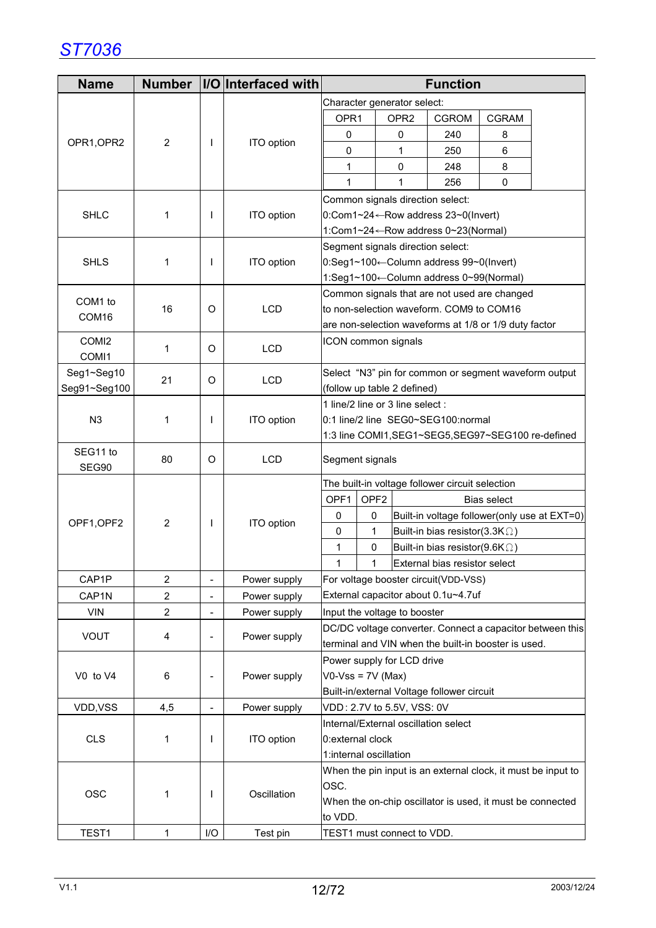| <b>Name</b>       | <b>Number</b>  |                              | I/O Interfaced with | <b>Function</b>                                                                                                                                                                                                                                                                                                                                                                                                                                                                                                                                                                                                                                                                                                                                                                                                                                                                                                                                                                                                                                                                                                                                                                                                                                                                                                                                                                                                                                                                                         |  |                            |                                                              |              |  |  |  |  |
|-------------------|----------------|------------------------------|---------------------|---------------------------------------------------------------------------------------------------------------------------------------------------------------------------------------------------------------------------------------------------------------------------------------------------------------------------------------------------------------------------------------------------------------------------------------------------------------------------------------------------------------------------------------------------------------------------------------------------------------------------------------------------------------------------------------------------------------------------------------------------------------------------------------------------------------------------------------------------------------------------------------------------------------------------------------------------------------------------------------------------------------------------------------------------------------------------------------------------------------------------------------------------------------------------------------------------------------------------------------------------------------------------------------------------------------------------------------------------------------------------------------------------------------------------------------------------------------------------------------------------------|--|----------------------------|--------------------------------------------------------------|--------------|--|--|--|--|
|                   |                |                              |                     |                                                                                                                                                                                                                                                                                                                                                                                                                                                                                                                                                                                                                                                                                                                                                                                                                                                                                                                                                                                                                                                                                                                                                                                                                                                                                                                                                                                                                                                                                                         |  |                            |                                                              |              |  |  |  |  |
|                   |                |                              |                     |                                                                                                                                                                                                                                                                                                                                                                                                                                                                                                                                                                                                                                                                                                                                                                                                                                                                                                                                                                                                                                                                                                                                                                                                                                                                                                                                                                                                                                                                                                         |  | OPR <sub>2</sub>           | <b>CGROM</b>                                                 | <b>CGRAM</b> |  |  |  |  |
|                   |                |                              |                     | $\mathbf 0$                                                                                                                                                                                                                                                                                                                                                                                                                                                                                                                                                                                                                                                                                                                                                                                                                                                                                                                                                                                                                                                                                                                                                                                                                                                                                                                                                                                                                                                                                             |  | $\mathbf{0}$               | 240                                                          | 8            |  |  |  |  |
| OPR1, OPR2        | $\overline{2}$ | $\mathbf{I}$                 | ITO option          | 0                                                                                                                                                                                                                                                                                                                                                                                                                                                                                                                                                                                                                                                                                                                                                                                                                                                                                                                                                                                                                                                                                                                                                                                                                                                                                                                                                                                                                                                                                                       |  | 1                          | 250                                                          | 6            |  |  |  |  |
|                   |                |                              |                     | Character generator select:<br>OPR1<br>1<br>$\mathbf 0$<br>248<br>8<br>1<br>256<br>0<br>1<br>Common signals direction select:<br>0:Com1~24 ← Row address 23~0(Invert)<br>1:Com1~24 ← Row address 0~23(Normal)<br>Segment signals direction select:<br>0:Seg1~100←Column address 99~0(Invert)<br>1:Seg1~100←Column address 0~99(Normal)<br>Common signals that are not used are changed<br>to non-selection waveform. COM9 to COM16<br>are non-selection waveforms at 1/8 or 1/9 duty factor<br>ICON common signals<br>Select "N3" pin for common or segment waveform output<br>(follow up table 2 defined)<br>1 line/2 line or 3 line select :<br>0:1 line/2 line SEG0~SEG100:normal<br>Segment signals<br>The built-in voltage follower circuit selection<br>OPF1<br>OPF <sub>2</sub><br><b>Bias select</b><br>$\pmb{0}$<br>0<br>Built-in voltage follower(only use at EXT=0)<br>1<br>0<br>Built-in bias resistor(3.3K $\Omega$ )<br>1<br>0<br>Built-in bias resistor( $9.6K\Omega$ )<br>$\mathbf{1}$<br>1<br>External bias resistor select<br>For voltage booster circuit(VDD-VSS)<br>External capacitor about 0.1u~4.7uf<br>Input the voltage to booster<br>DC/DC voltage converter. Connect a capacitor between this<br>terminal and VIN when the built-in booster is used.<br>Power supply for LCD drive<br>$VO-Vss = 7V (Max)$<br>Built-in/external Voltage follower circuit<br>VDD: 2.7V to 5.5V, VSS: 0V<br>Internal/External oscillation select<br>0: external clock<br>1:internal oscillation |  |                            |                                                              |              |  |  |  |  |
|                   |                |                              |                     |                                                                                                                                                                                                                                                                                                                                                                                                                                                                                                                                                                                                                                                                                                                                                                                                                                                                                                                                                                                                                                                                                                                                                                                                                                                                                                                                                                                                                                                                                                         |  |                            |                                                              |              |  |  |  |  |
|                   |                |                              |                     |                                                                                                                                                                                                                                                                                                                                                                                                                                                                                                                                                                                                                                                                                                                                                                                                                                                                                                                                                                                                                                                                                                                                                                                                                                                                                                                                                                                                                                                                                                         |  |                            |                                                              |              |  |  |  |  |
| <b>SHLC</b>       | 1              | $\mathbf{I}$                 | ITO option          |                                                                                                                                                                                                                                                                                                                                                                                                                                                                                                                                                                                                                                                                                                                                                                                                                                                                                                                                                                                                                                                                                                                                                                                                                                                                                                                                                                                                                                                                                                         |  |                            |                                                              |              |  |  |  |  |
|                   |                |                              |                     |                                                                                                                                                                                                                                                                                                                                                                                                                                                                                                                                                                                                                                                                                                                                                                                                                                                                                                                                                                                                                                                                                                                                                                                                                                                                                                                                                                                                                                                                                                         |  |                            |                                                              |              |  |  |  |  |
|                   |                |                              |                     |                                                                                                                                                                                                                                                                                                                                                                                                                                                                                                                                                                                                                                                                                                                                                                                                                                                                                                                                                                                                                                                                                                                                                                                                                                                                                                                                                                                                                                                                                                         |  |                            |                                                              |              |  |  |  |  |
| <b>SHLS</b>       | 1              | $\mathsf{I}$                 | ITO option          |                                                                                                                                                                                                                                                                                                                                                                                                                                                                                                                                                                                                                                                                                                                                                                                                                                                                                                                                                                                                                                                                                                                                                                                                                                                                                                                                                                                                                                                                                                         |  |                            |                                                              |              |  |  |  |  |
|                   |                |                              |                     |                                                                                                                                                                                                                                                                                                                                                                                                                                                                                                                                                                                                                                                                                                                                                                                                                                                                                                                                                                                                                                                                                                                                                                                                                                                                                                                                                                                                                                                                                                         |  |                            |                                                              |              |  |  |  |  |
| COM1 to           |                |                              |                     |                                                                                                                                                                                                                                                                                                                                                                                                                                                                                                                                                                                                                                                                                                                                                                                                                                                                                                                                                                                                                                                                                                                                                                                                                                                                                                                                                                                                                                                                                                         |  |                            |                                                              |              |  |  |  |  |
| COM <sub>16</sub> | 16             | O                            | <b>LCD</b>          |                                                                                                                                                                                                                                                                                                                                                                                                                                                                                                                                                                                                                                                                                                                                                                                                                                                                                                                                                                                                                                                                                                                                                                                                                                                                                                                                                                                                                                                                                                         |  |                            |                                                              |              |  |  |  |  |
|                   |                |                              |                     |                                                                                                                                                                                                                                                                                                                                                                                                                                                                                                                                                                                                                                                                                                                                                                                                                                                                                                                                                                                                                                                                                                                                                                                                                                                                                                                                                                                                                                                                                                         |  |                            |                                                              |              |  |  |  |  |
| COMI <sub>2</sub> | 1              | $\circ$                      | <b>LCD</b>          |                                                                                                                                                                                                                                                                                                                                                                                                                                                                                                                                                                                                                                                                                                                                                                                                                                                                                                                                                                                                                                                                                                                                                                                                                                                                                                                                                                                                                                                                                                         |  |                            |                                                              |              |  |  |  |  |
| COMI1             |                |                              |                     |                                                                                                                                                                                                                                                                                                                                                                                                                                                                                                                                                                                                                                                                                                                                                                                                                                                                                                                                                                                                                                                                                                                                                                                                                                                                                                                                                                                                                                                                                                         |  |                            |                                                              |              |  |  |  |  |
| Seg1~Seg10        | 21             | O                            | <b>LCD</b>          |                                                                                                                                                                                                                                                                                                                                                                                                                                                                                                                                                                                                                                                                                                                                                                                                                                                                                                                                                                                                                                                                                                                                                                                                                                                                                                                                                                                                                                                                                                         |  |                            |                                                              |              |  |  |  |  |
| Seg91~Seg100      |                |                              |                     |                                                                                                                                                                                                                                                                                                                                                                                                                                                                                                                                                                                                                                                                                                                                                                                                                                                                                                                                                                                                                                                                                                                                                                                                                                                                                                                                                                                                                                                                                                         |  |                            |                                                              |              |  |  |  |  |
|                   |                |                              |                     |                                                                                                                                                                                                                                                                                                                                                                                                                                                                                                                                                                                                                                                                                                                                                                                                                                                                                                                                                                                                                                                                                                                                                                                                                                                                                                                                                                                                                                                                                                         |  |                            |                                                              |              |  |  |  |  |
| N <sub>3</sub>    | 1              | $\mathbf{I}$                 | ITO option          |                                                                                                                                                                                                                                                                                                                                                                                                                                                                                                                                                                                                                                                                                                                                                                                                                                                                                                                                                                                                                                                                                                                                                                                                                                                                                                                                                                                                                                                                                                         |  |                            |                                                              |              |  |  |  |  |
|                   |                |                              |                     | 1:3 line COMI1, SEG1~SEG5, SEG97~SEG100 re-defined                                                                                                                                                                                                                                                                                                                                                                                                                                                                                                                                                                                                                                                                                                                                                                                                                                                                                                                                                                                                                                                                                                                                                                                                                                                                                                                                                                                                                                                      |  |                            |                                                              |              |  |  |  |  |
| SEG11 to          | 80             | O                            | <b>LCD</b>          |                                                                                                                                                                                                                                                                                                                                                                                                                                                                                                                                                                                                                                                                                                                                                                                                                                                                                                                                                                                                                                                                                                                                                                                                                                                                                                                                                                                                                                                                                                         |  |                            |                                                              |              |  |  |  |  |
| SEG90             |                |                              |                     |                                                                                                                                                                                                                                                                                                                                                                                                                                                                                                                                                                                                                                                                                                                                                                                                                                                                                                                                                                                                                                                                                                                                                                                                                                                                                                                                                                                                                                                                                                         |  |                            |                                                              |              |  |  |  |  |
|                   |                |                              |                     |                                                                                                                                                                                                                                                                                                                                                                                                                                                                                                                                                                                                                                                                                                                                                                                                                                                                                                                                                                                                                                                                                                                                                                                                                                                                                                                                                                                                                                                                                                         |  |                            |                                                              |              |  |  |  |  |
|                   |                |                              |                     |                                                                                                                                                                                                                                                                                                                                                                                                                                                                                                                                                                                                                                                                                                                                                                                                                                                                                                                                                                                                                                                                                                                                                                                                                                                                                                                                                                                                                                                                                                         |  |                            |                                                              |              |  |  |  |  |
| OPF1, OPF2        | $\overline{2}$ | $\mathsf{I}$                 | ITO option          |                                                                                                                                                                                                                                                                                                                                                                                                                                                                                                                                                                                                                                                                                                                                                                                                                                                                                                                                                                                                                                                                                                                                                                                                                                                                                                                                                                                                                                                                                                         |  |                            |                                                              |              |  |  |  |  |
|                   |                |                              |                     |                                                                                                                                                                                                                                                                                                                                                                                                                                                                                                                                                                                                                                                                                                                                                                                                                                                                                                                                                                                                                                                                                                                                                                                                                                                                                                                                                                                                                                                                                                         |  |                            |                                                              |              |  |  |  |  |
|                   |                |                              |                     |                                                                                                                                                                                                                                                                                                                                                                                                                                                                                                                                                                                                                                                                                                                                                                                                                                                                                                                                                                                                                                                                                                                                                                                                                                                                                                                                                                                                                                                                                                         |  |                            |                                                              |              |  |  |  |  |
|                   |                |                              |                     |                                                                                                                                                                                                                                                                                                                                                                                                                                                                                                                                                                                                                                                                                                                                                                                                                                                                                                                                                                                                                                                                                                                                                                                                                                                                                                                                                                                                                                                                                                         |  |                            |                                                              |              |  |  |  |  |
| CAP1P             | 2              | $\overline{\phantom{a}}$     | Power supply        |                                                                                                                                                                                                                                                                                                                                                                                                                                                                                                                                                                                                                                                                                                                                                                                                                                                                                                                                                                                                                                                                                                                                                                                                                                                                                                                                                                                                                                                                                                         |  |                            |                                                              |              |  |  |  |  |
| CAP1N             | $\overline{c}$ |                              | Power supply        |                                                                                                                                                                                                                                                                                                                                                                                                                                                                                                                                                                                                                                                                                                                                                                                                                                                                                                                                                                                                                                                                                                                                                                                                                                                                                                                                                                                                                                                                                                         |  |                            |                                                              |              |  |  |  |  |
| <b>VIN</b>        | $\overline{2}$ | $\overline{\phantom{a}}$     | Power supply        |                                                                                                                                                                                                                                                                                                                                                                                                                                                                                                                                                                                                                                                                                                                                                                                                                                                                                                                                                                                                                                                                                                                                                                                                                                                                                                                                                                                                                                                                                                         |  |                            |                                                              |              |  |  |  |  |
| <b>VOUT</b>       | 4              | $\qquad \qquad \blacksquare$ | Power supply        |                                                                                                                                                                                                                                                                                                                                                                                                                                                                                                                                                                                                                                                                                                                                                                                                                                                                                                                                                                                                                                                                                                                                                                                                                                                                                                                                                                                                                                                                                                         |  |                            |                                                              |              |  |  |  |  |
|                   |                |                              |                     |                                                                                                                                                                                                                                                                                                                                                                                                                                                                                                                                                                                                                                                                                                                                                                                                                                                                                                                                                                                                                                                                                                                                                                                                                                                                                                                                                                                                                                                                                                         |  |                            |                                                              |              |  |  |  |  |
|                   |                |                              |                     |                                                                                                                                                                                                                                                                                                                                                                                                                                                                                                                                                                                                                                                                                                                                                                                                                                                                                                                                                                                                                                                                                                                                                                                                                                                                                                                                                                                                                                                                                                         |  |                            |                                                              |              |  |  |  |  |
| V0 to V4          | 6              | $\overline{\phantom{a}}$     | Power supply        |                                                                                                                                                                                                                                                                                                                                                                                                                                                                                                                                                                                                                                                                                                                                                                                                                                                                                                                                                                                                                                                                                                                                                                                                                                                                                                                                                                                                                                                                                                         |  |                            |                                                              |              |  |  |  |  |
|                   |                |                              |                     |                                                                                                                                                                                                                                                                                                                                                                                                                                                                                                                                                                                                                                                                                                                                                                                                                                                                                                                                                                                                                                                                                                                                                                                                                                                                                                                                                                                                                                                                                                         |  |                            |                                                              |              |  |  |  |  |
| VDD, VSS          | 4,5            |                              | Power supply        |                                                                                                                                                                                                                                                                                                                                                                                                                                                                                                                                                                                                                                                                                                                                                                                                                                                                                                                                                                                                                                                                                                                                                                                                                                                                                                                                                                                                                                                                                                         |  |                            |                                                              |              |  |  |  |  |
| <b>CLS</b>        |                |                              |                     |                                                                                                                                                                                                                                                                                                                                                                                                                                                                                                                                                                                                                                                                                                                                                                                                                                                                                                                                                                                                                                                                                                                                                                                                                                                                                                                                                                                                                                                                                                         |  |                            |                                                              |              |  |  |  |  |
|                   | 1              | I                            | ITO option          |                                                                                                                                                                                                                                                                                                                                                                                                                                                                                                                                                                                                                                                                                                                                                                                                                                                                                                                                                                                                                                                                                                                                                                                                                                                                                                                                                                                                                                                                                                         |  |                            |                                                              |              |  |  |  |  |
|                   |                |                              |                     |                                                                                                                                                                                                                                                                                                                                                                                                                                                                                                                                                                                                                                                                                                                                                                                                                                                                                                                                                                                                                                                                                                                                                                                                                                                                                                                                                                                                                                                                                                         |  |                            |                                                              |              |  |  |  |  |
|                   |                |                              |                     |                                                                                                                                                                                                                                                                                                                                                                                                                                                                                                                                                                                                                                                                                                                                                                                                                                                                                                                                                                                                                                                                                                                                                                                                                                                                                                                                                                                                                                                                                                         |  |                            | When the pin input is an external clock, it must be input to |              |  |  |  |  |
| <b>OSC</b>        | 1              | $\mathbf{I}$                 | Oscillation         | OSC.<br>When the on-chip oscillator is used, it must be connected                                                                                                                                                                                                                                                                                                                                                                                                                                                                                                                                                                                                                                                                                                                                                                                                                                                                                                                                                                                                                                                                                                                                                                                                                                                                                                                                                                                                                                       |  |                            |                                                              |              |  |  |  |  |
|                   |                |                              |                     | to VDD.                                                                                                                                                                                                                                                                                                                                                                                                                                                                                                                                                                                                                                                                                                                                                                                                                                                                                                                                                                                                                                                                                                                                                                                                                                                                                                                                                                                                                                                                                                 |  |                            |                                                              |              |  |  |  |  |
|                   |                |                              |                     |                                                                                                                                                                                                                                                                                                                                                                                                                                                                                                                                                                                                                                                                                                                                                                                                                                                                                                                                                                                                                                                                                                                                                                                                                                                                                                                                                                                                                                                                                                         |  |                            |                                                              |              |  |  |  |  |
| TEST1             | 1              | I/O                          | Test pin            |                                                                                                                                                                                                                                                                                                                                                                                                                                                                                                                                                                                                                                                                                                                                                                                                                                                                                                                                                                                                                                                                                                                                                                                                                                                                                                                                                                                                                                                                                                         |  | TEST1 must connect to VDD. |                                                              |              |  |  |  |  |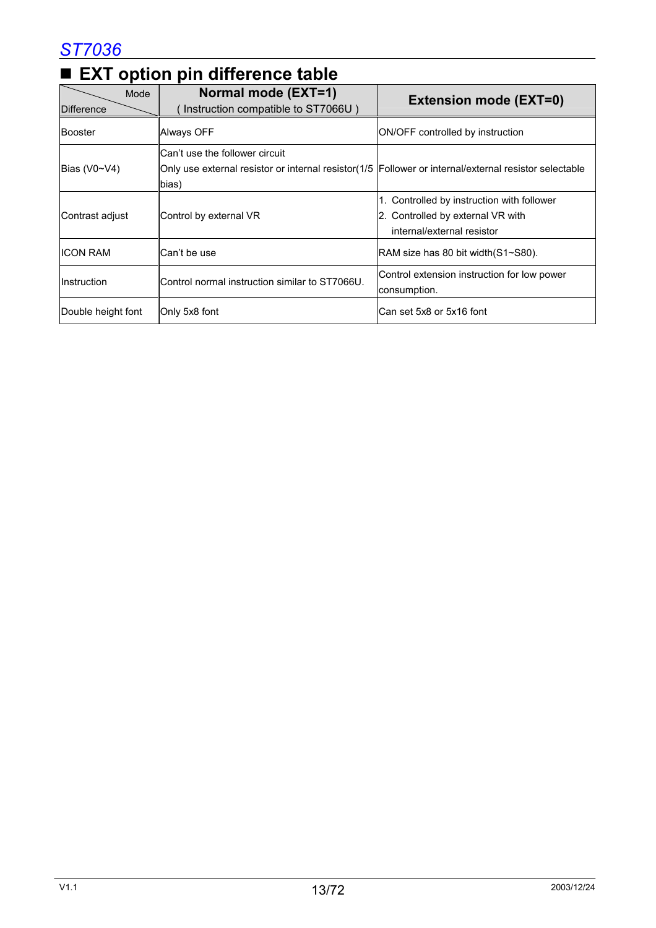### ■ **EXT** option pin difference table

| Mode<br><b>Difference</b> | Normal mode (EXT=1)<br>Instruction compatible to ST7066U)                                                                                          | <b>Extension mode (EXT=0)</b>                                                                                 |
|---------------------------|----------------------------------------------------------------------------------------------------------------------------------------------------|---------------------------------------------------------------------------------------------------------------|
| Booster                   | Always OFF                                                                                                                                         | ON/OFF controlled by instruction                                                                              |
| Bias (V0~V4)              | Can't use the follower circuit<br>Only use external resistor or internal resistor(1/5   Follower or internal/external resistor selectable<br>bias) |                                                                                                               |
| Contrast adjust           | Control by external VR                                                                                                                             | 1. Controlled by instruction with follower<br>2. Controlled by external VR with<br>internal/external resistor |
| <b>IICON RAM</b>          | Can't be use                                                                                                                                       | RAM size has 80 bit width (S1~S80).                                                                           |
| IInstruction              | Control normal instruction similar to ST7066U.                                                                                                     | Control extension instruction for low power<br>consumption.                                                   |
| Double height font        | Only 5x8 font                                                                                                                                      | Can set 5x8 or 5x16 font                                                                                      |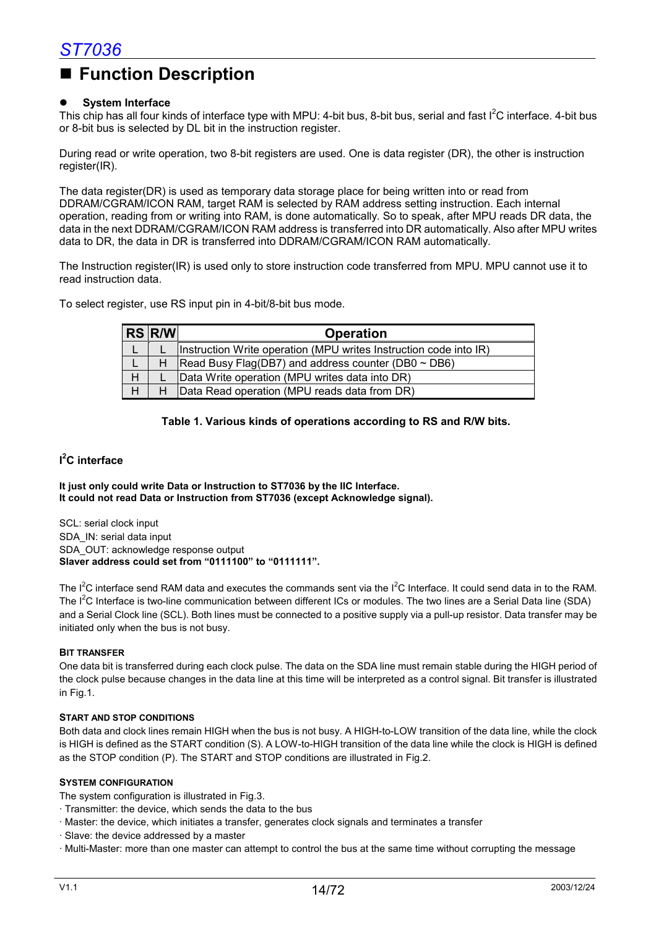### **Function Description**

#### **System Interface**

This chip has all four kinds of interface type with MPU: 4-bit bus, 8-bit bus, serial and fast I<sup>2</sup>C interface. 4-bit bus or 8-bit bus is selected by DL bit in the instruction register.

During read or write operation, two 8-bit registers are used. One is data register (DR), the other is instruction register(IR).

The data register(DR) is used as temporary data storage place for being written into or read from DDRAM/CGRAM/ICON RAM, target RAM is selected by RAM address setting instruction. Each internal operation, reading from or writing into RAM, is done automatically. So to speak, after MPU reads DR data, the data in the next DDRAM/CGRAM/ICON RAM address is transferred into DR automatically. Also after MPU writes data to DR, the data in DR is transferred into DDRAM/CGRAM/ICON RAM automatically.

The Instruction register(IR) is used only to store instruction code transferred from MPU. MPU cannot use it to read instruction data.

To select register, use RS input pin in 4-bit/8-bit bus mode.

|   | $RS$ $R/W$ | <b>Operation</b>                                                  |
|---|------------|-------------------------------------------------------------------|
|   |            | Instruction Write operation (MPU writes Instruction code into IR) |
|   | н          | Read Busy Flag(DB7) and address counter (DB0 $\sim$ DB6)          |
| H |            | Data Write operation (MPU writes data into DR)                    |
| H |            | Data Read operation (MPU reads data from DR)                      |

#### **Table 1. Various kinds of operations according to RS and R/W bits.**

#### **I 2 C interface**

#### **It just only could write Data or Instruction to ST7036 by the IIC Interface. It could not read Data or Instruction from ST7036 (except Acknowledge signal).**

SCL: serial clock input SDA\_IN: serial data input SDA\_OUT: acknowledge response output **Slaver address could set from "0111100" to "0111111".** 

The  $I^2C$  interface send RAM data and executes the commands sent via the  $I^2C$  Interface. It could send data in to the RAM. The  $I^2C$  Interface is two-line communication between different ICs or modules. The two lines are a Serial Data line (SDA) and a Serial Clock line (SCL). Both lines must be connected to a positive supply via a pull-up resistor. Data transfer may be initiated only when the bus is not busy.

#### **BIT TRANSFER**

One data bit is transferred during each clock pulse. The data on the SDA line must remain stable during the HIGH period of the clock pulse because changes in the data line at this time will be interpreted as a control signal. Bit transfer is illustrated in Fig.1.

#### **START AND STOP CONDITIONS**

Both data and clock lines remain HIGH when the bus is not busy. A HIGH-to-LOW transition of the data line, while the clock is HIGH is defined as the START condition (S). A LOW-to-HIGH transition of the data line while the clock is HIGH is defined as the STOP condition (P). The START and STOP conditions are illustrated in Fig.2.

#### **SYSTEM CONFIGURATION**

The system configuration is illustrated in Fig.3.

- · Transmitter: the device, which sends the data to the bus
- · Master: the device, which initiates a transfer, generates clock signals and terminates a transfer
- · Slave: the device addressed by a master
- · Multi-Master: more than one master can attempt to control the bus at the same time without corrupting the message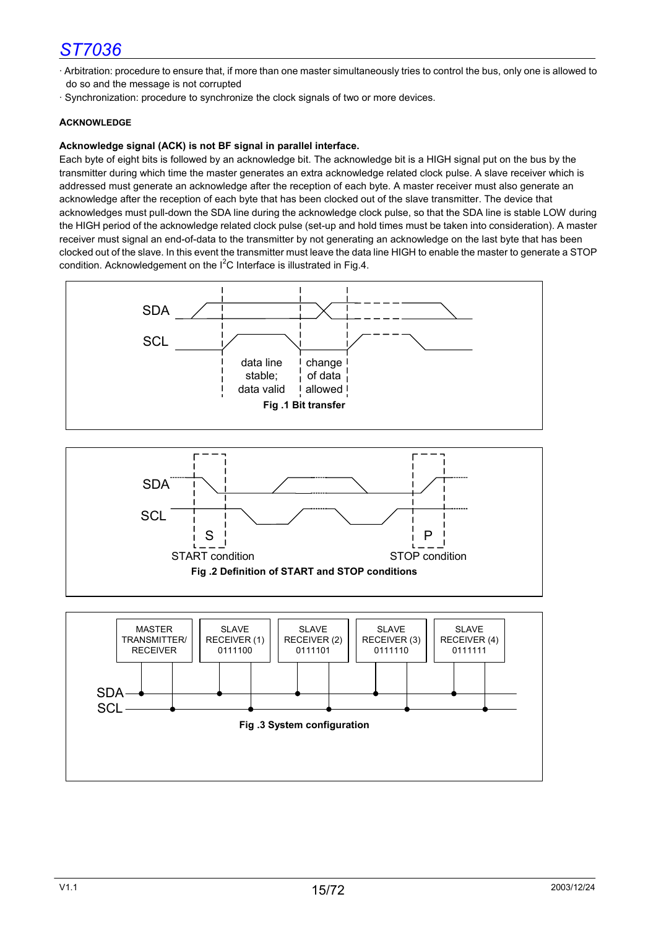- · Arbitration: procedure to ensure that, if more than one master simultaneously tries to control the bus, only one is allowed to do so and the message is not corrupted
- · Synchronization: procedure to synchronize the clock signals of two or more devices.

#### **ACKNOWLEDGE**

#### **Acknowledge signal (ACK) is not BF signal in parallel interface.**

Each byte of eight bits is followed by an acknowledge bit. The acknowledge bit is a HIGH signal put on the bus by the transmitter during which time the master generates an extra acknowledge related clock pulse. A slave receiver which is addressed must generate an acknowledge after the reception of each byte. A master receiver must also generate an acknowledge after the reception of each byte that has been clocked out of the slave transmitter. The device that acknowledges must pull-down the SDA line during the acknowledge clock pulse, so that the SDA line is stable LOW during the HIGH period of the acknowledge related clock pulse (set-up and hold times must be taken into consideration). A master receiver must signal an end-of-data to the transmitter by not generating an acknowledge on the last byte that has been clocked out of the slave. In this event the transmitter must leave the data line HIGH to enable the master to generate a STOP condition. Acknowledgement on the  $1^2C$  Interface is illustrated in Fig.4.

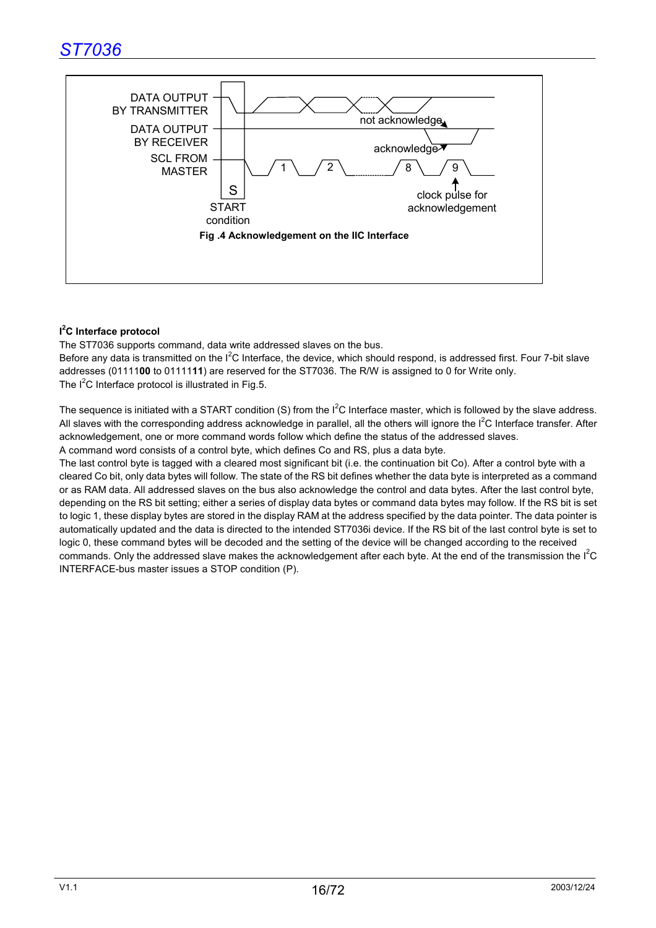

#### **I 2 C Interface protocol**

The ST7036 supports command, data write addressed slaves on the bus.

Before any data is transmitted on the  $I^2C$  Interface, the device, which should respond, is addressed first. Four 7-bit slave addresses (01111**00** to 01111**11**) are reserved for the ST7036. The R/W is assigned to 0 for Write only. The  $I^2C$  Interface protocol is illustrated in Fig.5.

The sequence is initiated with a START condition (S) from the  $I^2C$  Interface master, which is followed by the slave address. All slaves with the corresponding address acknowledge in parallel, all the others will ignore the  $I^2C$  Interface transfer. After acknowledgement, one or more command words follow which define the status of the addressed slaves.

A command word consists of a control byte, which defines Co and RS, plus a data byte.

The last control byte is tagged with a cleared most significant bit (i.e. the continuation bit Co). After a control byte with a cleared Co bit, only data bytes will follow. The state of the RS bit defines whether the data byte is interpreted as a command or as RAM data. All addressed slaves on the bus also acknowledge the control and data bytes. After the last control byte, depending on the RS bit setting; either a series of display data bytes or command data bytes may follow. If the RS bit is set to logic 1, these display bytes are stored in the display RAM at the address specified by the data pointer. The data pointer is automatically updated and the data is directed to the intended ST7036i device. If the RS bit of the last control byte is set to logic 0, these command bytes will be decoded and the setting of the device will be changed according to the received commands. Only the addressed slave makes the acknowledgement after each byte. At the end of the transmission the  $I^2C$ INTERFACE-bus master issues a STOP condition (P).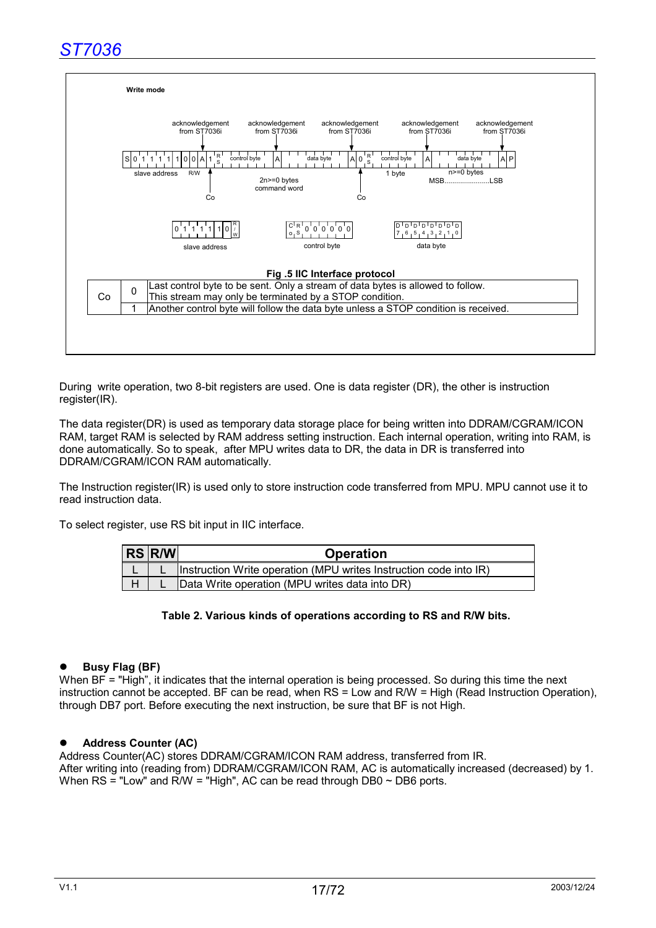

During write operation, two 8-bit registers are used. One is data register (DR), the other is instruction register(IR).

The data register(DR) is used as temporary data storage place for being written into DDRAM/CGRAM/ICON RAM, target RAM is selected by RAM address setting instruction. Each internal operation, writing into RAM, is done automatically. So to speak, after MPU writes data to DR, the data in DR is transferred into DDRAM/CGRAM/ICON RAM automatically.

The Instruction register(IR) is used only to store instruction code transferred from MPU. MPU cannot use it to read instruction data.

To select register, use RS bit input in IIC interface.

| RS R/W | <b>Operation</b>                                                  |
|--------|-------------------------------------------------------------------|
|        | Instruction Write operation (MPU writes Instruction code into IR) |
|        | Data Write operation (MPU writes data into DR)                    |

#### **Table 2. Various kinds of operations according to RS and R/W bits.**

#### z **Busy Flag (BF)**

When BF = "High", it indicates that the internal operation is being processed. So during this time the next instruction cannot be accepted. BF can be read, when RS = Low and R/W = High (Read Instruction Operation), through DB7 port. Before executing the next instruction, be sure that BF is not High.

#### z **Address Counter (AC)**

Address Counter(AC) stores DDRAM/CGRAM/ICON RAM address, transferred from IR. After writing into (reading from) DDRAM/CGRAM/ICON RAM, AC is automatically increased (decreased) by 1. When  $RS = "Low"$  and  $R/W = "High", AC can be read through DB0 ~ DB6 ports.$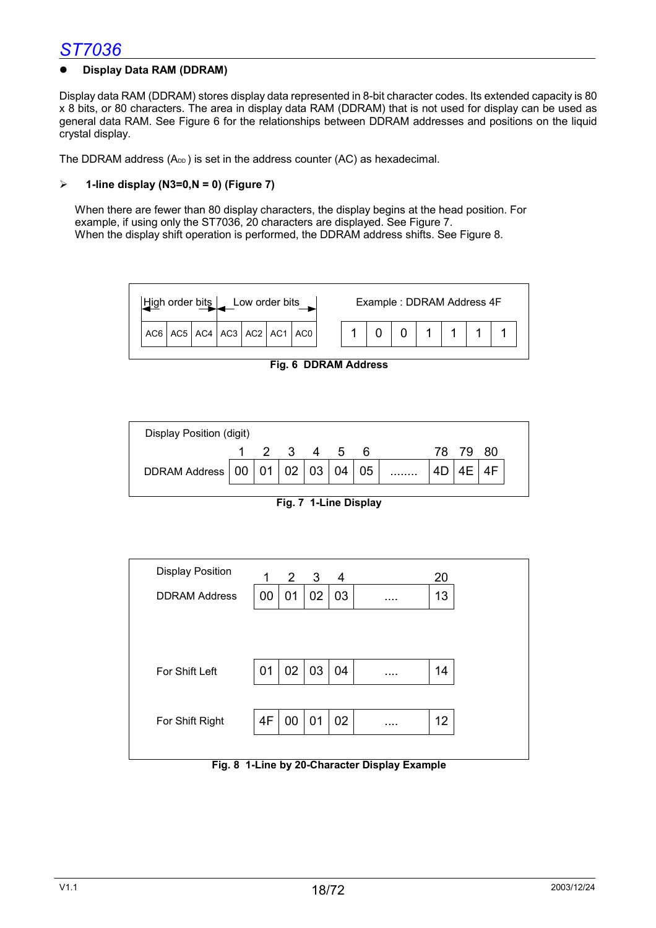#### **Display Data RAM (DDRAM)**

Display data RAM (DDRAM) stores display data represented in 8-bit character codes. Its extended capacity is 80 x 8 bits, or 80 characters. The area in display data RAM (DDRAM) that is not used for display can be used as general data RAM. See Figure 6 for the relationships between DDRAM addresses and positions on the liquid crystal display.

The DDRAM address  $(A<sub>DD</sub>)$  is set in the address counter  $(AC)$  as hexadecimal.

#### ¾ **1-line display (N3=0,N = 0) (Figure 7)**

When there are fewer than 80 display characters, the display begins at the head position. For example, if using only the ST7036, 20 characters are displayed. See Figure 7. When the display shift operation is performed, the DDRAM address shifts. See Figure 8.



| Display Position (digit)                    |  |  |             |  |  |  |  |  |          |  |
|---------------------------------------------|--|--|-------------|--|--|--|--|--|----------|--|
|                                             |  |  | 1 2 3 4 5 6 |  |  |  |  |  | 78 79 80 |  |
| DDRAM Address   00   01   02   03   04   05 |  |  |             |  |  |  |  |  |          |  |

**Fig. 7 1-Line Display**

| <b>Display Position</b> | 1  | $\overline{2}$ | 3  | 4  |   | 20 |  |
|-------------------------|----|----------------|----|----|---|----|--|
| <b>DDRAM Address</b>    | 00 | 01             | 02 | 03 | . | 13 |  |
|                         |    |                |    |    |   |    |  |
|                         |    |                |    |    |   |    |  |
| For Shift Left          | 01 | 02             | 03 | 04 |   | 14 |  |
|                         |    |                |    |    |   |    |  |
| For Shift Right         | 4F | 00             | 01 | 02 |   | 12 |  |
|                         |    |                |    |    |   |    |  |

**Fig. 8 1-Line by 20-Character Display Example**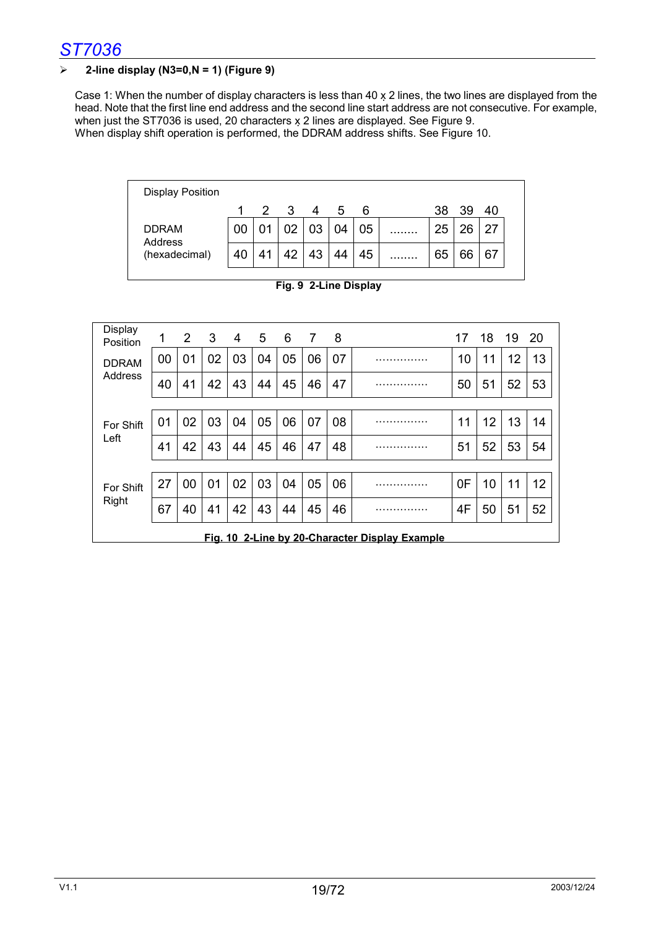#### ¾ **2-line display (N3=0,N = 1) (Figure 9)**

Case 1: When the number of display characters is less than 40 x 2 lines, the two lines are displayed from the head. Note that the first line end address and the second line start address are not consecutive. For example, when just the ST7036 is used, 20 characters x 2 lines are displayed. See Figure 9. When display shift operation is performed, the DDRAM address shifts. See Figure 10.

DDRAM 00 01 02 03 04 05 ........ 25 26 27 Address (hexadecimal) 1 2 3 4 5 6 38 39 40 Display Position 40 | 41 | 42 | 43 | 44 | 45 | ........ | 65 | 66 | 67

| Display<br>Position | 1  | 2  | 3  | 4  | 5  | 6  | 7  | 8  |   | 17 | 18 | 19 | 20 |
|---------------------|----|----|----|----|----|----|----|----|---|----|----|----|----|
| <b>DDRAM</b>        | 00 | 01 | 02 | 03 | 04 | 05 | 06 | 07 |   | 10 | 11 | 12 | 13 |
| Address             | 40 | 41 | 42 | 43 | 44 | 45 | 46 | 47 |   | 50 | 51 | 52 | 53 |
|                     |    |    |    |    |    |    |    |    |   |    |    |    |    |
| For Shift           | 01 | 02 | 03 | 04 | 05 | 06 | 07 | 08 |   | 11 | 12 | 13 | 14 |
| Left                | 41 | 42 | 43 | 44 | 45 | 46 | 47 | 48 | . | 51 | 52 | 53 | 54 |
|                     |    |    |    |    |    |    |    |    |   |    |    |    |    |
| For Shift           | 27 | 00 | 01 | 02 | 03 | 04 | 05 | 06 |   | 0F | 10 | 11 | 12 |
| Right               | 67 | 40 | 41 | 42 | 43 | 44 | 45 | 46 | . | 4F | 50 | 51 | 52 |
|                     |    |    |    |    |    |    |    |    |   |    |    |    |    |

**Fig. 9 2-Line Display**

**Fig. 10 2-Line by 20-Character Display Example**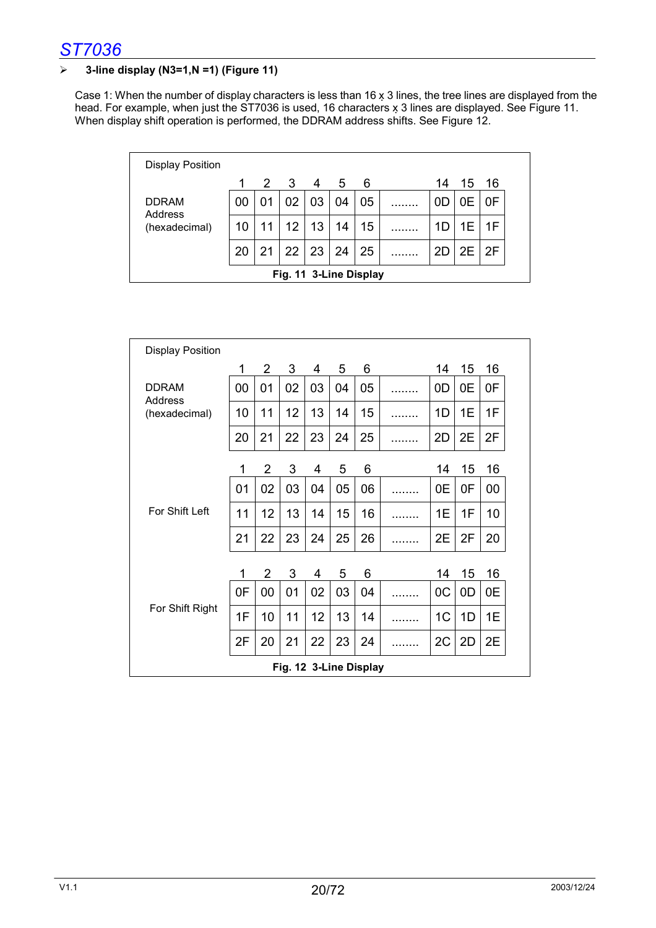#### ¾ **3-line display (N3=1,N =1) (Figure 11)**

Case 1: When the number of display characters is less than 16 x 3 lines, the tree lines are displayed from the head. For example, when just the ST7036 is used, 16 characters x 3 lines are displayed. See Figure 11. When display shift operation is performed, the DDRAM address shifts. See Figure 12.

| <b>Display Position</b> |    |    |    |                   |    |    |  |    |    |     |  |
|-------------------------|----|----|----|-------------------|----|----|--|----|----|-----|--|
|                         |    | 2  | 3  | 4                 | 5  | 6  |  | 14 | 15 | -16 |  |
| <b>DDRAM</b><br>Address | 00 | 01 | 02 | 03                | 04 | 05 |  | 0D | 0Ε | 0F  |  |
| (hexadecimal)           | 10 | 11 | 12 | 13                | 14 | 15 |  |    | 1F | 1F  |  |
|                         | 20 | 21 |    | $22 \mid 23 \mid$ | 24 | 25 |  | 2D | 2F | 2F  |  |
| Fig. 11 3-Line Display  |    |    |    |                   |    |    |  |    |    |     |  |

| <b>Display Position</b> |    |                |    |    |    |    |  |                |    |    |
|-------------------------|----|----------------|----|----|----|----|--|----------------|----|----|
|                         | 1  | $\overline{2}$ | 3  | 4  | 5  | 6  |  | 14             | 15 | 16 |
| <b>DDRAM</b><br>Address | 00 | 01             | 02 | 03 | 04 | 05 |  | 0D             | 0E | 0F |
| (hexadecimal)           | 10 | 11             | 12 | 13 | 14 | 15 |  | 1D             | 1E | 1F |
|                         | 20 | 21             | 22 | 23 | 24 | 25 |  | 2D             | 2E | 2F |
|                         | 1  | 2              | 3  | 4  | 5  | 6  |  | 14             | 15 | 16 |
|                         | 01 | 02             | 03 | 04 | 05 | 06 |  | 0E             | 0F | 00 |
| For Shift Left          | 11 | 12             | 13 | 14 | 15 | 16 |  | 1E             | 1F | 10 |
|                         | 21 | 22             | 23 | 24 | 25 | 26 |  | 2E             | 2F | 20 |
|                         | 1  | 2              | 3  | 4  | 5  | 6  |  | 14             | 15 | 16 |
|                         | 0F | 00             | 01 | 02 | 03 | 04 |  | 0C             | 0D | 0E |
| For Shift Right         | 1F | 10             | 11 | 12 | 13 | 14 |  | 1 <sup>C</sup> | 1D | 1E |
|                         | 2F | 20             | 21 | 22 | 23 | 24 |  | 2C             | 2D | 2E |
| Fig. 12 3-Line Display  |    |                |    |    |    |    |  |                |    |    |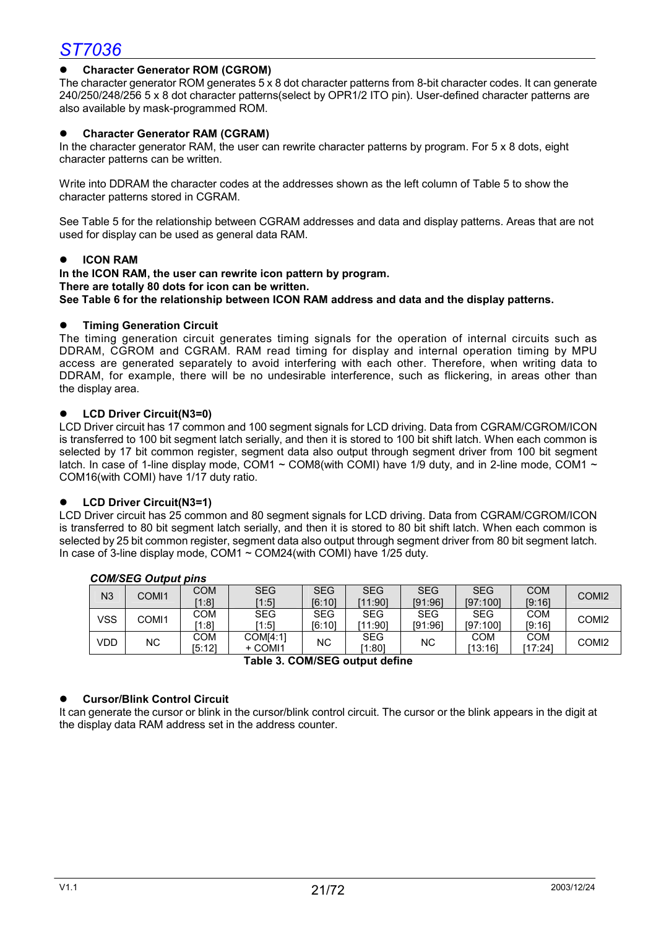#### z **Character Generator ROM (CGROM)**

The character generator ROM generates 5 x 8 dot character patterns from 8-bit character codes. It can generate 240/250/248/256 5 x 8 dot character patterns(select by OPR1/2 ITO pin). User-defined character patterns are also available by mask-programmed ROM.

#### z **Character Generator RAM (CGRAM)**

In the character generator RAM, the user can rewrite character patterns by program. For  $5 \times 8$  dots, eight character patterns can be written.

Write into DDRAM the character codes at the addresses shown as the left column of Table 5 to show the character patterns stored in CGRAM.

See Table 5 for the relationship between CGRAM addresses and data and display patterns. Areas that are not used for display can be used as general data RAM.

#### **ICON RAM**

**In the ICON RAM, the user can rewrite icon pattern by program. There are totally 80 dots for icon can be written. See Table 6 for the relationship between ICON RAM address and data and the display patterns.** 

#### **Timing Generation Circuit**

The timing generation circuit generates timing signals for the operation of internal circuits such as DDRAM, CGROM and CGRAM. RAM read timing for display and internal operation timing by MPU access are generated separately to avoid interfering with each other. Therefore, when writing data to DDRAM, for example, there will be no undesirable interference, such as flickering, in areas other than the display area.

#### LCD Driver Circuit(N3=0)

LCD Driver circuit has 17 common and 100 segment signals for LCD driving. Data from CGRAM/CGROM/ICON is transferred to 100 bit segment latch serially, and then it is stored to 100 bit shift latch. When each common is selected by 17 bit common register, segment data also output through segment driver from 100 bit segment latch. In case of 1-line display mode, COM1 ~ COM8(with COMI) have 1/9 duty, and in 2-line mode, COM1 ~ COM16(with COMI) have 1/17 duty ratio.

#### LCD Driver Circuit(N3=1)

LCD Driver circuit has 25 common and 80 segment signals for LCD driving. Data from CGRAM/CGROM/ICON is transferred to 80 bit segment latch serially, and then it is stored to 80 bit shift latch. When each common is selected by 25 bit common register, segment data also output through segment driver from 80 bit segment latch. In case of 3-line display mode, COM1  $\sim$  COM24(with COMI) have 1/25 duty.

|            | N <sub>3</sub><br>COMI1 | COM    | <b>SEG</b> | <b>SEG</b> | <b>SEG</b> | <b>SEG</b> | <b>SEG</b> | <b>COM</b> | COM <sub>2</sub>  |
|------------|-------------------------|--------|------------|------------|------------|------------|------------|------------|-------------------|
|            |                         | [1:8]  | [1:5]      | [6:10]     | [11:90]    | [91:96]    | [97:100]   | [9:16]     |                   |
| <b>VSS</b> | COMI1                   | COM    | <b>SEG</b> | <b>SEG</b> | <b>SEG</b> | <b>SEG</b> | <b>SEG</b> | COM        | COM <sub>12</sub> |
|            |                         | 11:81  | [1:5]      | [6:10]     | 11:901     | I91:961    | [97:100]   | [9:16]     |                   |
| VDD        | <b>NC</b>               | COM    | COM[4:1]   | ΝC         | <b>SEG</b> | <b>NC</b>  | COM        | COM        | COM <sub>2</sub>  |
|            |                         | [5:12] | + COMI1    |            | [1:80]     |            | 13:161     | [17:24]    |                   |

#### *COM/SEG Output pins*

**Table 3. COM/SEG output define**

#### z **Cursor/Blink Control Circuit**

It can generate the cursor or blink in the cursor/blink control circuit. The cursor or the blink appears in the digit at the display data RAM address set in the address counter.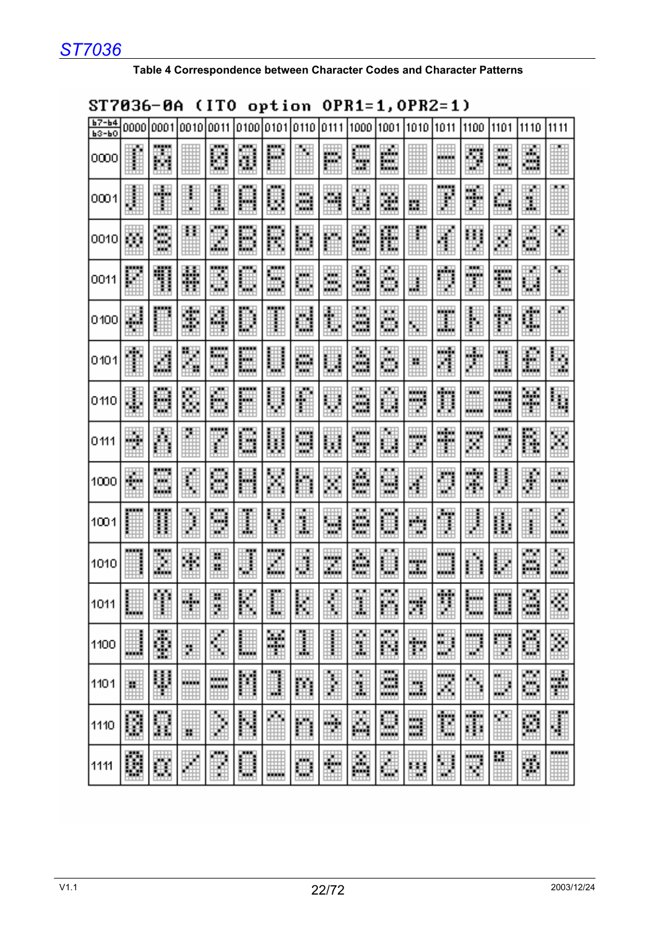| 21                    | 7036-0A              |                   |             | <b>CLTO</b>        |                 | option                     |               |             |                                    |                                     | OPK1=1,OPKZ=1)                |         |                               |                            |                   |            |
|-----------------------|----------------------|-------------------|-------------|--------------------|-----------------|----------------------------|---------------|-------------|------------------------------------|-------------------------------------|-------------------------------|---------|-------------------------------|----------------------------|-------------------|------------|
| $\frac{b7-b4}{b3-b0}$ |                      |                   |             |                    |                 |                            |               |             |                                    |                                     | 1000 1001 1010 1011 1100 1101 |         |                               |                            | 1110              | 11111      |
| loooo                 | A.                   | <br>躢             |             | E                  | H)              | 鼺                          | E             | I           | ∰                                  | 臘                                   | W                             | E       | E                             | H.<br>w.<br>ting (         | E                 | I          |
| looon                 | E                    | H                 | E           | HI                 | <b>CHA</b><br>麒 | 鼺                          | W<br>W.       | I           | 躙                                  | E                                   | E<br>離                        | W       | E                             | 鼺<br>ÆШ                    | W                 | lli        |
| loo1ol                | 踂                    | <b>THEFT</b><br>鱲 | l           | M<br>W             | 冊<br>Щă         | E                          | E             | E           | 躢<br>甌                             | 鼺                                   | I                             | E       | H                             | W                          | W<br>HШ           | I          |
| 10011                 | 龖                    | E                 | 雛           | M                  | Щ.<br>٩Ë        | 疆<br>₩                     | I             | W           | Ŵ                                  | HH.<br>臘                            | E                             | E       | <b>HELE</b><br>sistem.<br>Ħ   | <u>in in die</u><br>W      | E.                | I          |
| 10400                 | 噩<br>m               | E                 | ŧ           | 罵                  | m<br>M          | <br>鼺                      | E             | E           | <b>POPUL</b><br>W.<br><u>talah</u> | E                                   | E                             | H       | E                             | Ŧ                          | Ë.                | WANGI BILI |
| 0101                  | E                    | W                 | W           | W.<br>빠            | H<br>ш          | 鼺                          | W<br>ini di k | E           | W<br>55                            | E                                   | ▒                             | E       | E                             | H                          | Ħ<br>20.          | E.         |
| 0110                  | E                    | D.                | Ħ           | 鼺                  | ,,,,,<br>E      | E                          | H             | E           | W<br>55                            | 鼺                                   | I                             | Ħ       | 77 H<br>坳<br>istoriale e<br>. | 鼺<br>m                     | 韊<br>m            | E          |
| 0111                  | E                    | E                 | E           | <br>E              | 噩<br>щı         | 鼺                          | 韊<br>s an     | E           | M<br>œп                            | H                                   | W.<br>瞴                       | 뺉<br>Н  | 3333<br>H                     | <b>BEE</b><br>فتفادنا<br>₩ | 鬬                 | E          |
| 1000                  | E                    | ,,,,,<br>H.<br>H. | M           | en<br>Si           | Ħ               | 鼺                          | 鼺             | Ħ           | 灦<br>HH.                           | 韊<br>65 M                           | E                             | E       | H                             | D                          | E                 | H.<br>m    |
| 1001                  | <b>BREE</b>          | <br>Ħ             | W           | 躢<br>₩             | W               | H                          | H             | ₩<br>W.     | W<br><b>Service</b><br><u>wak</u>  | 鼺                                   | E                             | E       | I                             | 鼺                          | M                 | E          |
| 1010                  |                      | ,,,,,<br>₩        | E           | щ<br>Ħ             | W               | E                          | W             | W           | E                                  | E                                   | ₩<br>Шü                       | m       | 鼺                             | W                          | m<br>鼺<br>璑       | <b>MA</b>  |
| 1011                  | <b>Little</b><br>H   | 西南<br>₩           | HH<br><br>m | <b>THE</b><br>H    | ₩               | <b>TELES</b><br>鼺          | 膷             | I           | <b>BLIED</b><br>躤                  | Ш.<br>鼺                             | <b>Billi</b><br>鷴             | 副長<br>₩ | <b>HH</b><br>W                | <b>The Second</b><br>بہتا  | <b>BELLE</b><br>₩ | ▦          |
| 1100                  | ▦<br><b>HALL AND</b> | Ã                 | E           | 騳<br><u>HM</u>     | E<br>ititis s   | <b>THE</b><br>瞴            | T             | ľ           | E                                  | H.<br>鼺                             | H<br><u>Hilli</u>             | E       | an an I<br>m<br><b>COLOR</b>  | W                          | Ë                 | E<br>mill  |
| 1101                  | W                    | E                 | m<br>₩      | HH<br>an an a<br>m | E               | H<br>.                     | E             | E           | E<br>.                             | <b>LIBRARY</b><br>鼺<br>الأتران<br>. | 98<br>灩                       | E       | E                             | E                          | Ë<br>.            | H          |
| 1110                  | 臘                    | III               | ▒           | M                  | E               | William                    | E             | ₩<br>ш<br>ь | E                                  | 鼺<br><u>mining</u><br><b>HALL</b>   | W                             | Ä       | E                             | I                          | E.                | H          |
| 1111                  | ₩                    | W                 | E           | M<br>Ы             | 鼺<br>a sin      | E<br>an an<br><b>COLOR</b> | E             | E           | E.                                 | E                                   | E                             | M       | E                             | M                          | Ä                 | <br>E      |

#### OPPOSE ON ZIPA  $11111$  conditions and  $111$

**Table 4 Correspondence between Character Codes and Character Patterns**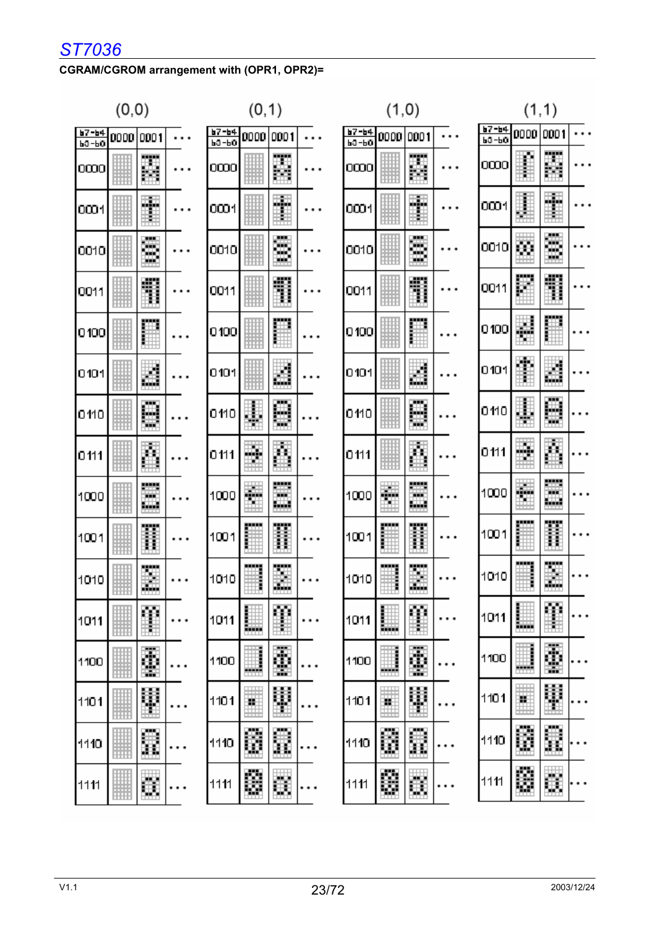### **CGRAM/CGROM arrangement with (OPR1, OPR2)=**

| (0, 0) |                        |   |  |  |  |  |  |  |  |  |  |  |
|--------|------------------------|---|--|--|--|--|--|--|--|--|--|--|
|        | <u>67-64 0000 0001</u> |   |  |  |  |  |  |  |  |  |  |  |
| O)     |                        | g |  |  |  |  |  |  |  |  |  |  |
| 000 1  |                        |   |  |  |  |  |  |  |  |  |  |  |
| 0010   |                        |   |  |  |  |  |  |  |  |  |  |  |
| 0011   |                        |   |  |  |  |  |  |  |  |  |  |  |
| 0100   |                        |   |  |  |  |  |  |  |  |  |  |  |
| 0101   |                        |   |  |  |  |  |  |  |  |  |  |  |
| 0110   |                        |   |  |  |  |  |  |  |  |  |  |  |
| 0111   |                        |   |  |  |  |  |  |  |  |  |  |  |
| 1000   |                        |   |  |  |  |  |  |  |  |  |  |  |
| 1001   |                        |   |  |  |  |  |  |  |  |  |  |  |
| 1010   |                        |   |  |  |  |  |  |  |  |  |  |  |
| 011    |                        |   |  |  |  |  |  |  |  |  |  |  |
| 100    |                        |   |  |  |  |  |  |  |  |  |  |  |
| r      |                        |   |  |  |  |  |  |  |  |  |  |  |
| 10     |                        |   |  |  |  |  |  |  |  |  |  |  |
|        |                        |   |  |  |  |  |  |  |  |  |  |  |

|          | (0, 1)                     |      |  |
|----------|----------------------------|------|--|
|          | <u>67-64</u> 0000 <b>1</b> | 0001 |  |
| 0000     |                            |      |  |
| 0001     |                            |      |  |
| 0010     |                            |      |  |
| 0011     |                            |      |  |
| 0100     |                            |      |  |
| 0101     |                            |      |  |
| 0110     |                            |      |  |
| 0111     |                            |      |  |
| 1000     |                            |      |  |
| 1001     |                            |      |  |
| 1010     |                            |      |  |
| 1011     |                            |      |  |
| 100      |                            |      |  |
| 1<br>101 |                            |      |  |
| 1110     |                            |      |  |
| 1111     |                            |      |  |

|                   | (1, 0) |      |  |
|-------------------|--------|------|--|
| <u>67-64</u> 0000 |        | 0001 |  |
| 0000              |        |      |  |
| 0001              |        |      |  |
| 0010              |        |      |  |
| 0011              |        |      |  |
| 0100              |        |      |  |
| 0101              |        |      |  |
| 0110              |        |      |  |
| 0111              |        |      |  |
| 1000              |        |      |  |
| 1001              |        |      |  |
| 1010              |        |      |  |
| 1011              |        |      |  |
| 1100              |        |      |  |
| 1101              |        |      |  |
| 1110              |        |      |  |
| 1111              |        |      |  |

|      |                         | (1,1) |  |
|------|-------------------------|-------|--|
|      | <u>ь?-ь4 0000 000 1</u> |       |  |
| 0000 |                         |       |  |
| 0001 |                         |       |  |
| 0010 |                         |       |  |
| 0011 |                         |       |  |
| 0100 |                         |       |  |
| 0101 |                         |       |  |
| 0110 |                         |       |  |
| 0111 |                         |       |  |
| 1000 |                         |       |  |
| 1001 |                         |       |  |
| 1010 |                         |       |  |
| 1011 |                         |       |  |
| 1100 |                         |       |  |
| 1101 |                         |       |  |
| 1110 |                         |       |  |
| 1111 |                         |       |  |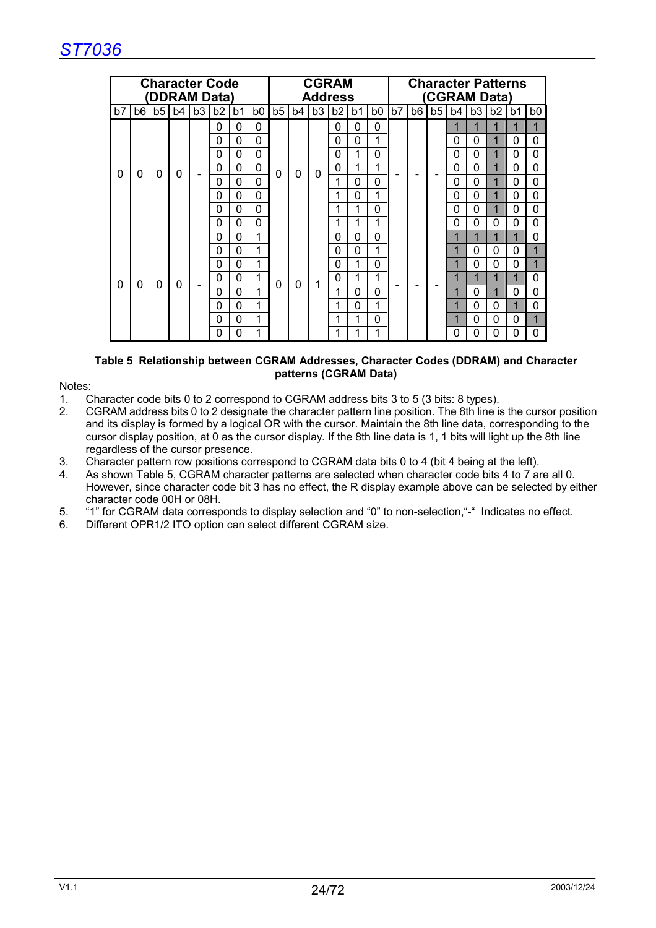|    |    |          |                |                | <b>Character Code</b><br><b>DDRAM Data)</b> |                |                |          |          |                | <b>CGRAM</b><br><b>Address</b> |    |          |    |                |    |          |                | <b>Character Patterns</b><br>(CGRAM Data) |          |                |
|----|----|----------|----------------|----------------|---------------------------------------------|----------------|----------------|----------|----------|----------------|--------------------------------|----|----------|----|----------------|----|----------|----------------|-------------------------------------------|----------|----------------|
| b7 | b6 | b5       | b <sub>4</sub> | b <sub>3</sub> | b <sub>2</sub>                              | b <sub>1</sub> | b <sub>0</sub> | b5       | b4       | b <sub>3</sub> | b2                             | b1 | b0       | b7 | b <sub>6</sub> | b5 | b4       | b <sub>3</sub> | b <sub>2</sub>                            | b1       | b <sub>0</sub> |
|    |    |          |                |                | 0                                           | $\Omega$       | 0              |          |          |                | 0                              | 0  | $\Omega$ |    |                |    | 1        | 1              | 1                                         | 1        |                |
|    |    |          |                |                | $\Omega$                                    | $\Omega$       | $\mathbf{0}$   |          |          |                | 0                              | 0  | 1        |    |                |    | 0        | $\Omega$       | 1                                         | $\Omega$ | 0              |
|    |    |          |                |                | $\Omega$                                    | $\Omega$       | 0              |          |          |                | 0                              | 1  | $\Omega$ |    |                |    | $\Omega$ | $\Omega$       | 1                                         | $\Omega$ | $\Omega$       |
| 0  | 0  | $\Omega$ | 0              |                | $\Omega$                                    | $\Omega$       | $\mathbf{0}$   | $\Omega$ | $\Omega$ | 0              | 0                              | 1  | 1        |    |                |    | $\Omega$ | $\Omega$       | 1                                         | $\Omega$ | $\Omega$       |
|    |    |          |                |                | $\Omega$                                    | $\Omega$       | $\Omega$       |          |          |                | 1                              | 0  | $\Omega$ |    |                |    | 0        | $\Omega$       | 1                                         | $\Omega$ | $\Omega$       |
|    |    |          |                |                | $\Omega$                                    | $\Omega$       | $\Omega$       |          |          |                | 1                              | 0  | 1        |    |                |    | 0        | $\Omega$       | 1                                         | $\Omega$ | $\Omega$       |
|    |    |          |                |                | $\Omega$                                    | $\Omega$       | 0              |          |          |                | 1                              | 1  | $\Omega$ |    |                |    | 0        | $\Omega$       | 1                                         | $\Omega$ | $\Omega$       |
|    |    |          |                |                | $\Omega$                                    | $\Omega$       | 0              |          |          |                | 1                              | 1  | 1        |    |                |    | 0        | $\Omega$       | 0                                         | $\Omega$ | $\Omega$       |
|    |    |          |                |                | $\Omega$                                    | $\Omega$       | 1              |          |          |                | 0                              | 0  | $\Omega$ |    |                |    |          | 1              | 1                                         | 1        | 0              |
|    |    |          |                |                | $\Omega$                                    | 0              | 1              |          |          |                | 0                              | 0  | 1        |    |                |    |          | $\Omega$       | 0                                         | 0        |                |
|    |    |          |                |                | $\Omega$                                    | $\Omega$       | 1              |          |          |                | 0                              | 1  | 0        |    |                |    |          | 0              | 0                                         | $\Omega$ |                |
| 0  | 0  | 0        | 0              |                | $\Omega$                                    | $\Omega$       | 1              | 0        | 0        | 1              | 0                              | 1  | 1        |    |                |    |          |                | 1                                         | 1        | O              |
|    |    |          |                |                | $\Omega$                                    | $\Omega$       | 1              |          |          |                | 1                              | 0  | $\Omega$ |    |                |    |          | $\Omega$       | 1                                         | $\Omega$ | <sup>0</sup>   |
|    |    |          |                |                | 0                                           | $\Omega$       | 1              |          |          |                | 1                              | 0  | 1        |    |                |    |          | $\Omega$       | 0                                         | 1        | $\Omega$       |
|    |    |          |                |                | $\Omega$                                    | $\Omega$       | 1              |          |          |                | 1                              | 1  | $\Omega$ |    |                |    |          | 0              | 0                                         | $\Omega$ |                |
|    |    |          |                |                | O                                           | O              | 1              |          |          |                | 1                              | 1  | 1        |    |                |    | n        | O              | 0                                         | 0        |                |

#### **Table 5 Relationship between CGRAM Addresses, Character Codes (DDRAM) and Character patterns (CGRAM Data)**

#### Notes:

- 1. Character code bits 0 to 2 correspond to CGRAM address bits 3 to 5 (3 bits: 8 types).
- 2. CGRAM address bits 0 to 2 designate the character pattern line position. The 8th line is the cursor position and its display is formed by a logical OR with the cursor. Maintain the 8th line data, corresponding to the cursor display position, at 0 as the cursor display. If the 8th line data is 1, 1 bits will light up the 8th line regardless of the cursor presence.
- 3. Character pattern row positions correspond to CGRAM data bits 0 to 4 (bit 4 being at the left).
- 4. As shown Table 5, CGRAM character patterns are selected when character code bits 4 to 7 are all 0. However, since character code bit 3 has no effect, the R display example above can be selected by either character code 00H or 08H.
- 5. "1" for CGRAM data corresponds to display selection and "0" to non-selection,"-" Indicates no effect.
- 6. Different OPR1/2 ITO option can select different CGRAM size.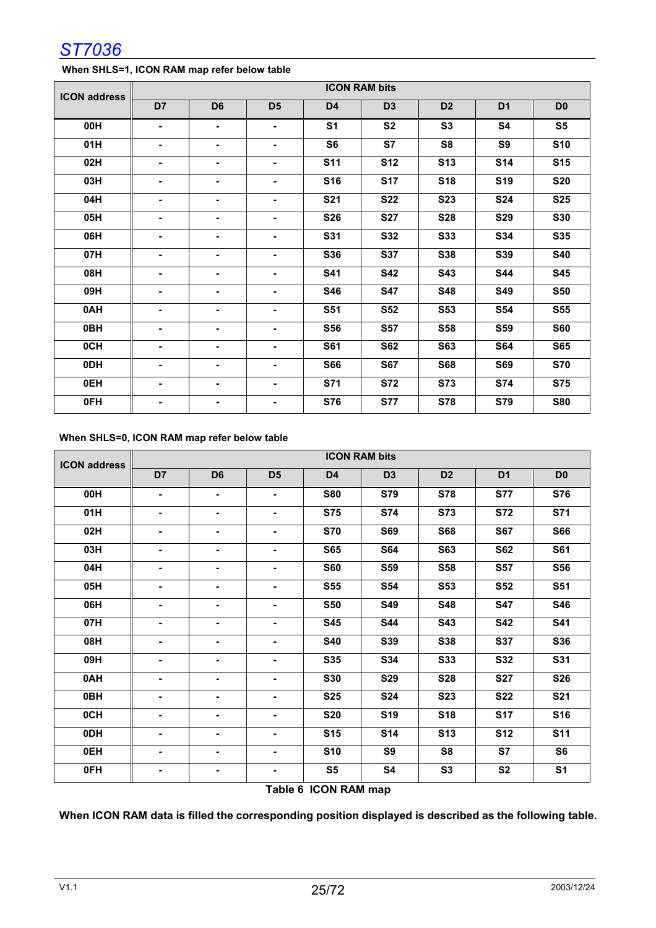#### **When SHLS=1, ICON RAM map refer below table**

| <b>ICON address</b> |                          |                          |                |                | <b>ICON RAM bits</b> |                |                |                |
|---------------------|--------------------------|--------------------------|----------------|----------------|----------------------|----------------|----------------|----------------|
|                     | D7                       | D <sub>6</sub>           | D <sub>5</sub> | D <sub>4</sub> | D <sub>3</sub>       | D <sub>2</sub> | D <sub>1</sub> | D <sub>0</sub> |
| 00H                 | $\blacksquare$           | $\blacksquare$           | $\blacksquare$ | S <sub>1</sub> | S <sub>2</sub>       | S <sub>3</sub> | S4             | S <sub>5</sub> |
| 01H                 | ٠                        | -                        | $\blacksquare$ | S <sub>6</sub> | S7                   | S <sub>8</sub> | S <sub>9</sub> | <b>S10</b>     |
| 02H                 | $\overline{\phantom{a}}$ | ٠                        | $\blacksquare$ | <b>S11</b>     | <b>S12</b>           | <b>S13</b>     | <b>S14</b>     | <b>S15</b>     |
| 03H                 | $\blacksquare$           | ۰                        | $\blacksquare$ | <b>S16</b>     | <b>S17</b>           | <b>S18</b>     | <b>S19</b>     | <b>S20</b>     |
| 04H                 | $\blacksquare$           | ۰                        | $\blacksquare$ | <b>S21</b>     | <b>S22</b>           | <b>S23</b>     | <b>S24</b>     | <b>S25</b>     |
| 05H                 | ٠                        | ۰                        | ٠              | <b>S26</b>     | <b>S27</b>           | <b>S28</b>     | <b>S29</b>     | <b>S30</b>     |
| 06H                 | ۰                        | ٠                        | ۰              | <b>S31</b>     | <b>S32</b>           | S33            | S34            | <b>S35</b>     |
| 07H                 | ۰                        |                          | ۰              | <b>S36</b>     | <b>S37</b>           | <b>S38</b>     | S39            | <b>S40</b>     |
| 08H                 | ٠                        | ٠                        | ٠              | <b>S41</b>     | <b>S42</b>           | <b>S43</b>     | <b>S44</b>     | <b>S45</b>     |
| 09H                 | ٠                        | ۰                        | ٠              | <b>S46</b>     | <b>S47</b>           | <b>S48</b>     | <b>S49</b>     | <b>S50</b>     |
| 0AH                 | ٠                        | ۰                        | ٠              | <b>S51</b>     | <b>S52</b>           | <b>S53</b>     | <b>S54</b>     | <b>S55</b>     |
| 0BH                 |                          | ۰                        |                | <b>S56</b>     | <b>S57</b>           | <b>S58</b>     | <b>S59</b>     | <b>S60</b>     |
| 0CH                 |                          | ۰                        | ٠              | <b>S61</b>     | <b>S62</b>           | <b>S63</b>     | <b>S64</b>     | <b>S65</b>     |
| 0DH                 |                          | ۰                        | ٠              | <b>S66</b>     | <b>S67</b>           | <b>S68</b>     | <b>S69</b>     | <b>S70</b>     |
| 0EH                 | $\blacksquare$           | $\overline{\phantom{0}}$ | $\blacksquare$ | <b>S71</b>     | <b>S72</b>           | S73            | <b>S74</b>     | <b>S75</b>     |
| 0FH                 | ۰                        |                          | ٠              | <b>S76</b>     | <b>S77</b>           | <b>S78</b>     | <b>S79</b>     | <b>S80</b>     |

#### **When SHLS=0, ICON RAM map refer below table**

| <b>ICON address</b> |                          |                          |                |                                       | <b>ICON RAM bits</b> |                |                |                |
|---------------------|--------------------------|--------------------------|----------------|---------------------------------------|----------------------|----------------|----------------|----------------|
|                     | D7                       | D <sub>6</sub>           | D <sub>5</sub> | D4                                    | D <sub>3</sub>       | D <sub>2</sub> | D <sub>1</sub> | D <sub>0</sub> |
| 00H                 | $\blacksquare$           | $\blacksquare$           | $\blacksquare$ | <b>S80</b>                            | <b>S79</b>           | <b>S78</b>     | <b>S77</b>     | <b>S76</b>     |
| 01H                 | $\blacksquare$           | $\overline{\phantom{0}}$ | $\blacksquare$ | <b>S75</b>                            | <b>S74</b>           | <b>S73</b>     | <b>S72</b>     | <b>S71</b>     |
| 02H                 | $\blacksquare$           | ٠                        | $\blacksquare$ | <b>S70</b>                            | <b>S69</b>           | <b>S68</b>     | <b>S67</b>     | <b>S66</b>     |
| 03H                 | $\blacksquare$           | ٠                        | $\blacksquare$ | <b>S65</b>                            | <b>S64</b>           | <b>S63</b>     | <b>S62</b>     | <b>S61</b>     |
| 04H                 | $\overline{\phantom{a}}$ | ٠                        | $\blacksquare$ | <b>S60</b>                            | <b>S59</b>           | <b>S58</b>     | <b>S57</b>     | <b>S56</b>     |
| 05H                 |                          | ٠                        | $\blacksquare$ | <b>S55</b>                            | <b>S54</b>           | <b>S53</b>     | <b>S52</b>     | <b>S51</b>     |
| 06H                 | $\blacksquare$           | ٠                        | $\blacksquare$ | <b>S50</b>                            | <b>S49</b>           | <b>S48</b>     | <b>S47</b>     | <b>S46</b>     |
| 07H                 | ۰                        | ۰                        | $\blacksquare$ | <b>S45</b>                            | <b>S44</b>           | <b>S43</b>     | <b>S42</b>     | <b>S41</b>     |
| 08H                 | $\blacksquare$           | ۰                        | $\blacksquare$ | <b>S40</b>                            | <b>S39</b>           | <b>S38</b>     | <b>S37</b>     | <b>S36</b>     |
| 09H                 | $\blacksquare$           | ۰                        | $\blacksquare$ | <b>S35</b>                            | S34                  | <b>S33</b>     | <b>S32</b>     | <b>S31</b>     |
| 0AH                 | $\blacksquare$           | ۰                        | $\blacksquare$ | <b>S30</b>                            | <b>S29</b>           | <b>S28</b>     | <b>S27</b>     | <b>S26</b>     |
| 0BH                 | $\blacksquare$           | ۰                        | ٠              | <b>S25</b>                            | <b>S24</b>           | <b>S23</b>     | <b>S22</b>     | <b>S21</b>     |
| 0CH                 | $\blacksquare$           | ۰                        | $\blacksquare$ | <b>S20</b>                            | <b>S19</b>           | <b>S18</b>     | <b>S17</b>     | <b>S16</b>     |
| 0DH                 | ٠                        | ۰                        | ٠              | <b>S15</b>                            | <b>S14</b>           | <b>S13</b>     | <b>S12</b>     | <b>S11</b>     |
| 0EH                 | ٠                        |                          | ٠              | <b>S10</b>                            | S9                   | S <sub>8</sub> | S7             | S <sub>6</sub> |
| 0FH                 | ٠                        |                          | ٠              | S <sub>5</sub>                        | <b>S4</b>            | S3             | S <sub>2</sub> | S <sub>1</sub> |
|                     |                          |                          |                | $T = L L$ , $C = I C C L$ , $D A R R$ |                      |                |                |                |

#### **Table 6 ICON RAM map**

**When ICON RAM data is filled the corresponding position displayed is described as the following table.**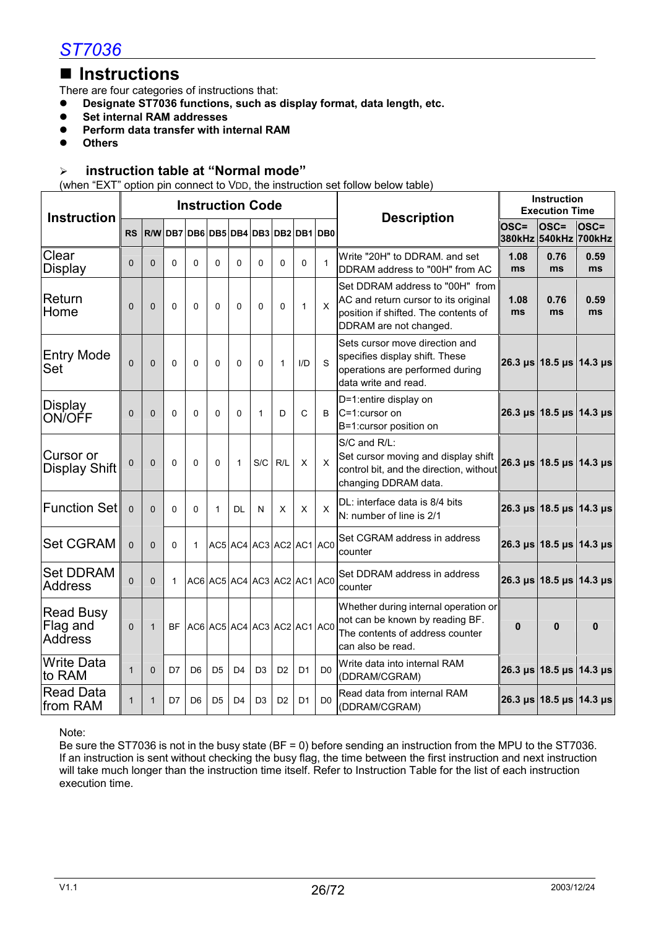### **Instructions**

There are four categories of instructions that:

- **Designate ST7036 functions, such as display format, data length, etc.**
- Set internal RAM addresses
- **•** Perform data transfer with internal RAM
- z **Others**

#### ¾ **instruction table at "Normal mode"**

(when "EXT" option pin connect to VDD, the instruction set follow below table)

| <b>Instruction</b>                             |              |                                     |              | <b>Instruction Code</b> |                |                             |                |                |              |                                           | <b>Description</b>                                                                                                                        |              | <b>Instruction</b><br><b>Execution Time</b> |                                        |
|------------------------------------------------|--------------|-------------------------------------|--------------|-------------------------|----------------|-----------------------------|----------------|----------------|--------------|-------------------------------------------|-------------------------------------------------------------------------------------------------------------------------------------------|--------------|---------------------------------------------|----------------------------------------|
|                                                | <b>RS</b>    | R/W DB7 DB6 DB5 DB4 DB3 DB2 DB1 DB0 |              |                         |                |                             |                |                |              |                                           |                                                                                                                                           | OSC=         | $OSC =$<br>380kHz 540kHz 700kHz             | $OSC =$                                |
| Clear<br><b>Display</b>                        | $\Omega$     | $\Omega$                            | $\Omega$     | $\Omega$                | 0              | 0                           | $\Omega$       | $\Omega$       | $\Omega$     | $\mathbf{1}$                              | Write "20H" to DDRAM, and set<br>DDRAM address to "00H" from AC                                                                           | 1.08<br>ms   | 0.76<br>ms                                  | 0.59<br>ms                             |
| Return<br>Home                                 | $\Omega$     | $\Omega$                            | $\Omega$     | $\Omega$                | $\Omega$       | 0                           | $\Omega$       | $\Omega$       | $\mathbf{1}$ | X                                         | Set DDRAM address to "00H" from<br>AC and return cursor to its original<br>position if shifted. The contents of<br>DDRAM are not changed. | 1.08<br>ms   | 0.76<br>ms                                  | 0.59<br>ms                             |
| <b>Entry Mode</b><br>Set                       | $\Omega$     | $\Omega$                            | $\Omega$     | $\Omega$                | $\mathbf 0$    | 0                           | $\Omega$       | $\mathbf{1}$   | I/D          | S                                         | Sets cursor move direction and<br>specifies display shift. These<br>operations are performed during<br>data write and read.               |              | 26.3 us 18.5 us 14.3 us                     |                                        |
| Display<br>ON/OFF                              | 0            | $\mathbf 0$                         | $\mathbf{0}$ | $\Omega$                | 0              | 0                           | 1              | D              | $\mathsf{C}$ | B                                         | D=1:entire display on<br>C=1:cursor on<br>B=1:cursor position on                                                                          |              |                                             | 26.3 $\mu$ s 18.5 $\mu$ s 14.3 $\mu$ s |
| Cursor or<br><b>Display Shift</b>              | 0            | $\Omega$                            | $\Omega$     | $\Omega$                | $\Omega$       | $\mathbf{1}$                | S/C            | R/L            | X            | X                                         | S/C and R/L:<br>Set cursor moving and display shift<br>control bit, and the direction, without<br>changing DDRAM data.                    |              |                                             | 26.3 $\mu$ s 18.5 $\mu$ s 14.3 $\mu$ s |
| Function Set                                   | $\Omega$     | $\Omega$                            | $\Omega$     | $\Omega$                | 1              | DL                          | N              | X              | X            | X                                         | DL: interface data is 8/4 bits<br>N: number of line is 2/1                                                                                |              |                                             | 26.3 $\mu$ s 18.5 $\mu$ s 14.3 $\mu$ s |
| <b>Set CGRAM</b>                               | $\Omega$     | $\Omega$                            | 0            | $\mathbf{1}$            |                | AC5 AC4 AC3 AC2 AC1 AC0     |                |                |              |                                           | Set CGRAM address in address<br>counter                                                                                                   |              |                                             | 26.3 $\mu$ s 18.5 $\mu$ s 14.3 $\mu$ s |
| <b>Set DDRAM</b><br><b>Address</b>             | $\Omega$     | $\mathbf{0}$                        | $\mathbf 1$  |                         |                |                             |                |                |              | $AC6$ $AC5$ $AC4$ $AC3$ $AC2$ $AC1$ $AC0$ | Set DDRAM address in address<br>counter                                                                                                   |              |                                             | 26.3 $\mu$ s 18.5 $\mu$ s 14.3 $\mu$ s |
| <b>Read Busy</b><br>Flag and<br><b>Address</b> | $\Omega$     | $\mathbf{1}$                        | BF           |                         |                | AC6 AC5 AC4 AC3 AC2 AC1 AC0 |                |                |              |                                           | Whether during internal operation or<br>not can be known by reading BF.<br>The contents of address counter<br>can also be read.           | $\mathbf{0}$ | 0                                           | $\mathbf{0}$                           |
| <b>Write Data</b><br>lto RAM                   | $\mathbf{1}$ | $\Omega$                            | D7           | D <sub>6</sub>          | D <sub>5</sub> | D <sub>4</sub>              | D <sub>3</sub> | D <sub>2</sub> | D1           | D <sub>0</sub>                            | Write data into internal RAM<br>(DDRAM/CGRAM)                                                                                             |              | 26.3 µs 18.5 µs 14.3 µs                     |                                        |
| <b>Read Data</b><br>from RAM                   | $\mathbf{1}$ | $\mathbf{1}$                        | D7           | D <sub>6</sub>          | D <sub>5</sub> | D4                          | D <sub>3</sub> | D <sub>2</sub> | D1           | D <sub>0</sub>                            | Read data from internal RAM<br>(DDRAM/CGRAM)                                                                                              |              |                                             | 26.3 µs 18.5 µs 14.3 µs                |

Note:

Be sure the ST7036 is not in the busy state (BF = 0) before sending an instruction from the MPU to the ST7036. If an instruction is sent without checking the busy flag, the time between the first instruction and next instruction will take much longer than the instruction time itself. Refer to Instruction Table for the list of each instruction execution time.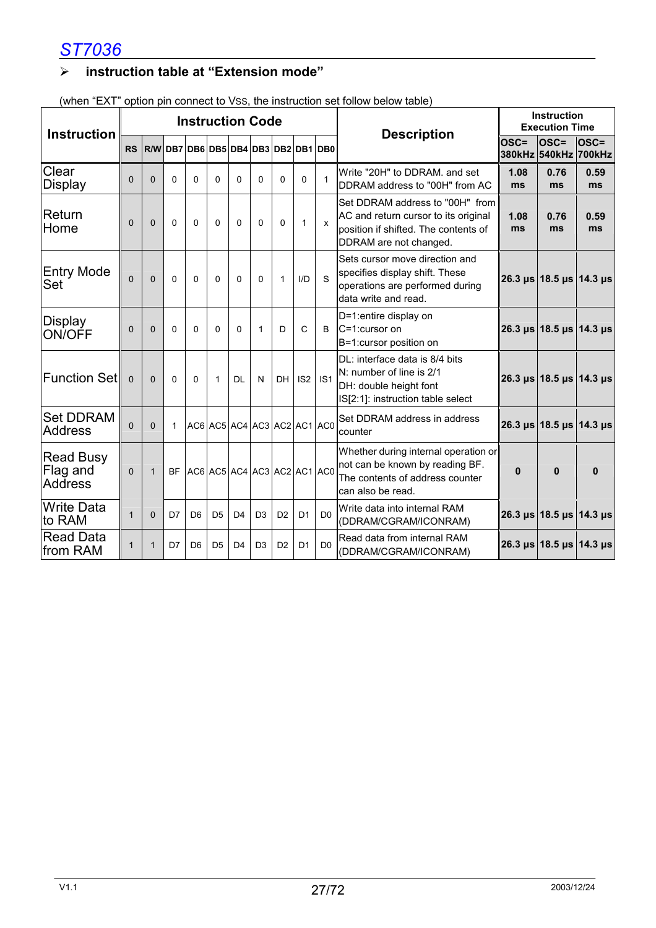### ¾ **instruction table at "Extension mode"**

| <b>Instruction</b>                             |             |                |          | <b>Instruction Code</b>             |                |                |                |                             |                |                 |                                                                                                                                           |              | Instruction<br><b>Execution Time</b>   |                                        |
|------------------------------------------------|-------------|----------------|----------|-------------------------------------|----------------|----------------|----------------|-----------------------------|----------------|-----------------|-------------------------------------------------------------------------------------------------------------------------------------------|--------------|----------------------------------------|----------------------------------------|
|                                                | <b>RS</b>   |                |          | R/W DB7 DB6 DB5 DB4 DB3 DB2 DB1 DB0 |                |                |                |                             |                |                 | <b>Description</b>                                                                                                                        | OSC=         | $ OSC=$<br>380kHz 540kHz 700kHz        | $OSC =$                                |
| Clear<br><b>Display</b>                        | $\Omega$    | $\Omega$       | $\Omega$ | $\Omega$                            | $\Omega$       | $\Omega$       | $\Omega$       | $\Omega$                    | $\Omega$       | $\mathbf{1}$    | Write "20H" to DDRAM, and set<br>DDRAM address to "00H" from AC                                                                           | 1.08<br>ms   | 0.76<br>ms                             | 0.59<br>ms                             |
| Return<br>Home                                 | $\Omega$    | $\Omega$       | 0        | $\mathbf{0}$                        | $\mathbf{0}$   | $\Omega$       | 0              | 0                           | $\mathbf{1}$   | $\mathsf{x}$    | Set DDRAM address to "00H" from<br>AC and return cursor to its original<br>position if shifted. The contents of<br>DDRAM are not changed. | 1.08<br>ms   | 0.76<br>ms                             | 0.59<br>ms                             |
| Entry Mode<br>Set                              | $\Omega$    | $\Omega$       | $\Omega$ | $\mathbf{0}$                        | $\Omega$       | $\Omega$       | $\Omega$       | $\mathbf{1}$                | I/D            | S               | Sets cursor move direction and<br>specifies display shift. These<br>operations are performed during<br>data write and read.               |              | 26.3 us 18.5 us 14.3 us                |                                        |
| Display<br>ON/OFF                              | $\Omega$    | $\Omega$       | $\Omega$ | $\Omega$                            | $\Omega$       | $\Omega$       | 1              | D                           | $\mathsf{C}$   | <sub>B</sub>    | D=1:entire display on<br>C=1:cursor on<br>B=1:cursor position on                                                                          |              | 26.3 us 18.5 us 14.3 us                |                                        |
| lFunction Set <b>∥</b>                         | $\Omega$    | $\Omega$       | 0        | $\mathbf{0}$                        | $\mathbf{1}$   | <b>DL</b>      | N              | DH                          | S2             | IS <sub>1</sub> | DL: interface data is 8/4 bits<br>N: number of line is 2/1<br>DH: double height font<br>IS[2:1]: instruction table select                 |              |                                        | 26.3 $\mu$ s 18.5 $\mu$ s 14.3 $\mu$ s |
| <b>Set DDRAM</b><br><b>Address</b>             | $\Omega$    | $\Omega$       | 1        |                                     |                |                |                | AC6 AC5 AC4 AC3 AC2 AC1 AC0 |                |                 | Set DDRAM address in address<br>counter                                                                                                   |              | 26.3 $\mu$ s 18.5 $\mu$ s 14.3 $\mu$ s |                                        |
| <b>Read Busy</b><br>Flag and<br><b>Address</b> | $\Omega$    | $\overline{1}$ | BF       |                                     |                |                |                | AC6 AC5 AC4 AC3 AC2 AC1 AC0 |                |                 | Whether during internal operation or<br>not can be known by reading BF.<br>The contents of address counter<br>can also be read.           | $\mathbf{0}$ | 0                                      | $\bf{0}$                               |
| <b>Write Data</b><br>lto RAM                   | $\mathbf 1$ | $\Omega$       | D7       | D <sub>6</sub>                      | D <sub>5</sub> | D <sub>4</sub> | D <sub>3</sub> | D <sub>2</sub>              | D <sub>1</sub> | D <sub>0</sub>  | Write data into internal RAM<br>(DDRAM/CGRAM/ICONRAM)                                                                                     |              | 26.3 $\mu$ s 18.5 $\mu$ s 14.3 $\mu$ s |                                        |
| <b>Read Data</b><br>from RAM                   | 1           | $\mathbf{1}$   | D7       | D <sub>6</sub>                      | D <sub>5</sub> | D <sub>4</sub> | D <sub>3</sub> | D <sub>2</sub>              | D <sub>1</sub> | D <sub>0</sub>  | Read data from internal RAM<br>(DDRAM/CGRAM/ICONRAM)                                                                                      |              | 26.3 us 18.5 us 14.3 us                |                                        |

(when "EXT" option pin connect to Vss, the instruction set follow below table)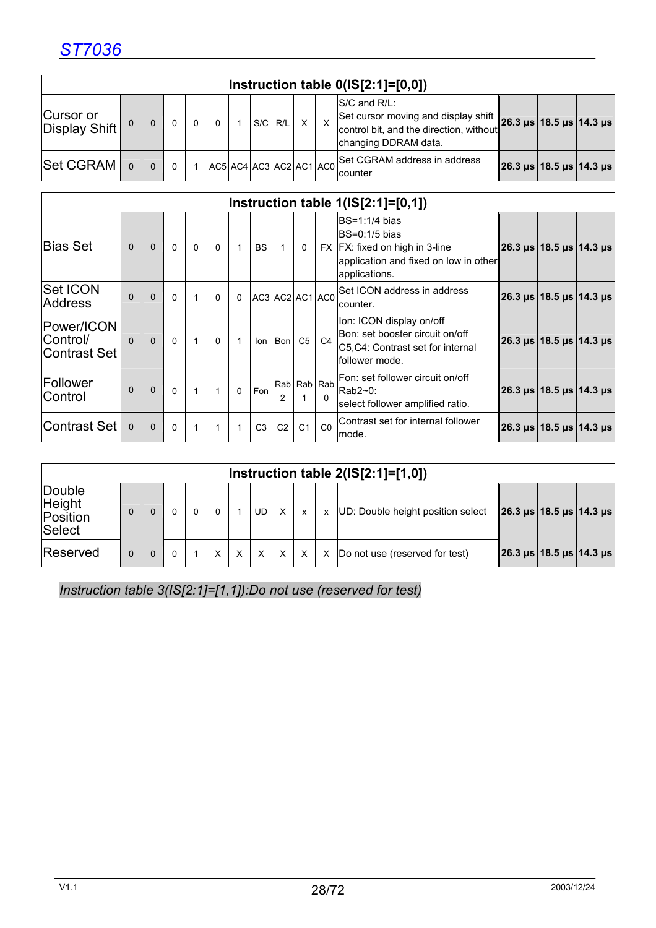|                                         |  |  |                                     |     |     |              | Instruction table $0(IS[2:1]=[0,0])$                                                                                                                          |                                                                                  |  |
|-----------------------------------------|--|--|-------------------------------------|-----|-----|--------------|---------------------------------------------------------------------------------------------------------------------------------------------------------------|----------------------------------------------------------------------------------|--|
| Cursor or<br>Display Shift <sup>o</sup> |  |  |                                     | S/C | R/L | $\mathsf{X}$ | S/C and R/L:<br>Set cursor moving and display shift<br>control bit, and the direction, without 26.3 $\mu$ s 18.5 $\mu$ s 14.3 $\mu$ s<br>changing DDRAM data. |                                                                                  |  |
| Set CGRAM   0                           |  |  | $AC5$ $AC4$ $AC3$ $AC2$ $AC1$ $AC0$ |     |     |              | Set CGRAM address in address<br>counter                                                                                                                       | $ 26.3 \text{ }\mu\text{s}  18.5 \text{ }\mu\text{s}  14.3 \text{ }\mu\text{s} $ |  |

|                                         |          |             |          |              |          |              |                |                 |                |                             | Instruction table 1(IS[2:1]=[0,1])                                                                                             |                                    |  |
|-----------------------------------------|----------|-------------|----------|--------------|----------|--------------|----------------|-----------------|----------------|-----------------------------|--------------------------------------------------------------------------------------------------------------------------------|------------------------------------|--|
| <b>Bias Set</b>                         | $\Omega$ | $\Omega$    | $\Omega$ | $\Omega$     | $\Omega$ |              | <b>BS</b>      |                 | $\mathbf{0}$   |                             | $BS=1:1/4$ bias<br>$BS=0:1/5$ bias<br>FX FX: fixed on high in 3-line<br>application and fixed on low in other<br>applications. | ∥26.3 μs  18.5 μs  14.3 μs         |  |
| <b>Set ICON</b><br><b>Address</b>       | $\Omega$ | $\Omega$    | $\Omega$ |              | $\Omega$ | $\Omega$     |                | AC3 AC2 AC1 AC0 |                |                             | Set ICON address in address<br>lcounter.                                                                                       | <u>∥</u> 26.3 μs  18.5 μs  14.3 μs |  |
| Power/ICON<br>Control/<br>lContrast Set | $\Omega$ | $\Omega$    | $\Omega$ | $\mathbf 1$  | $\Omega$ |              | lon            | Bon I           | C <sub>5</sub> | C4                          | Ion: ICON display on/off<br>Bon: set booster circuit on/off<br>C5,C4: Contrast set for internal<br>follower mode.              | ∥26.3 μs  18.5 μs  14.3 μs         |  |
| Follower<br>Control                     | $\Omega$ | $\Omega$    | $\Omega$ | $\mathbf{1}$ |          | $\mathbf{0}$ | Fon            | 2               |                | Rab Rab Rab<br><sup>0</sup> | Fon: set follower circuit on/off<br>$Rab2~0$ :<br>select follower amplified ratio.                                             | ∥26.3 μs  18.5 μs  14.3 μs         |  |
| Contrast Set                            | $\Omega$ | $\mathbf 0$ | $\Omega$ | $\mathbf 1$  |          |              | C <sub>3</sub> | C <sub>2</sub>  | C <sub>1</sub> | C <sub>0</sub>              | Contrast set for internal follower<br>mode.                                                                                    | <u>26.3 μs   18.5 μs   14.3 μs</u> |  |

|                                        |          |   |   |   |           |   |   |   | Instruction table $2(IS[2:1]=[1,0])$ |                                                                         |  |
|----------------------------------------|----------|---|---|---|-----------|---|---|---|--------------------------------------|-------------------------------------------------------------------------|--|
| Double<br>Height<br>Position<br>Select |          |   |   |   | <b>UD</b> | X | x | x | UD: Double height position select    | $ 26.3 \,\mathrm{\mu s}  18.5 \,\mathrm{\mu s}  14.3 \,\mathrm{\mu s} $ |  |
| Reserved                               | $\Omega$ | 0 | X | X |           | X | X | X | Do not use (reserved for test)       | $ 26.3 \text{ }\mu s 18.5 \text{ }\mu s 14.3 \text{ }\mu s $            |  |

*Instruction table 3(IS[2:1]=[1,1]):Do not use (reserved for test)*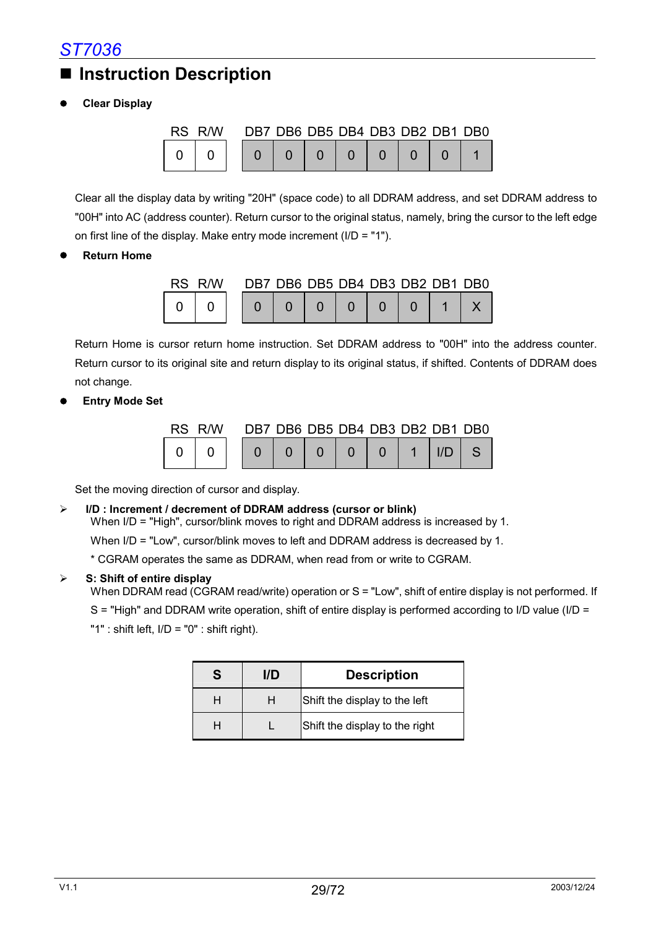### **Instruction Description**

z **Clear Display** 

|  | RS R/W |  |        |  | DB7 DB6 DB5 DB4 DB3 DB2 DB1 DB0 |  |  |
|--|--------|--|--------|--|---------------------------------|--|--|
|  |        |  | $\cap$ |  | $000000000$                     |  |  |

Clear all the display data by writing "20H" (space code) to all DDRAM address, and set DDRAM address to "00H" into AC (address counter). Return cursor to the original status, namely, bring the cursor to the left edge on first line of the display. Make entry mode increment (I/D = "1").

z **Return Home** 

| RS R/W |  | DB7 DB6 DB5 DB4 DB3 DB2 DB1 DB0 |  |  |  |
|--------|--|---------------------------------|--|--|--|
|        |  |                                 |  |  |  |

Return Home is cursor return home instruction. Set DDRAM address to "00H" into the address counter. Return cursor to its original site and return display to its original status, if shifted. Contents of DDRAM does not change.

**Entry Mode Set** 



Set the moving direction of cursor and display.

¾ **I/D : Increment / decrement of DDRAM address (cursor or blink)** 

When I/D = "High", cursor/blink moves to right and DDRAM address is increased by 1.

When I/D = "Low", cursor/blink moves to left and DDRAM address is decreased by 1.

\* CGRAM operates the same as DDRAM, when read from or write to CGRAM.

#### ¾ **S: Shift of entire display**

When DDRAM read (CGRAM read/write) operation or S = "Low", shift of entire display is not performed. If

S = "High" and DDRAM write operation, shift of entire display is performed according to I/D value (I/D =

"1" : shift left,  $I/D = "0"$  : shift right).

| S | l/D                                | <b>Description</b>             |  |  |  |
|---|------------------------------------|--------------------------------|--|--|--|
|   | Shift the display to the left<br>н |                                |  |  |  |
|   |                                    | Shift the display to the right |  |  |  |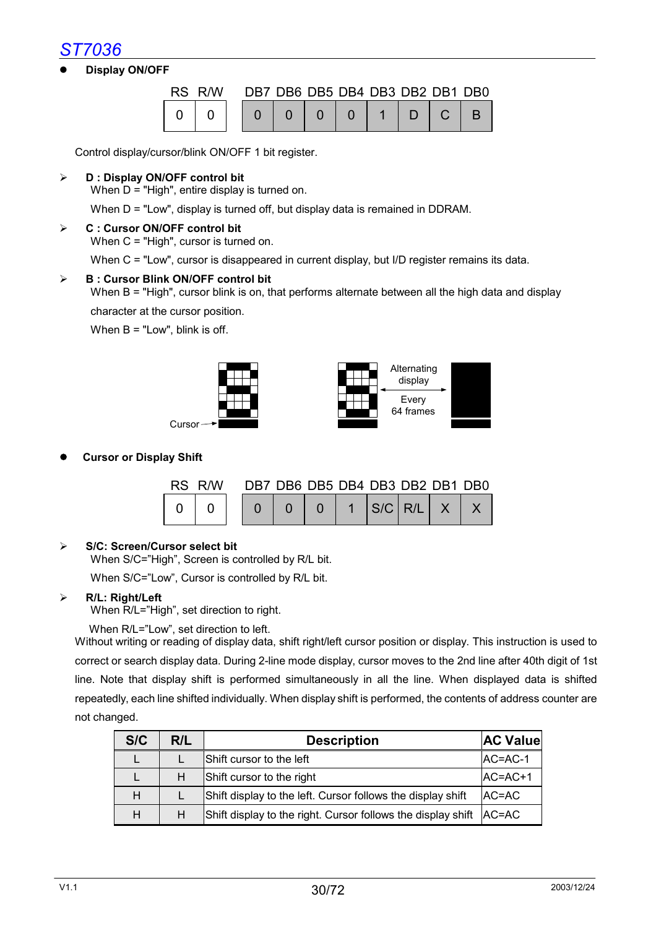**Display ON/OFF** 

|  | RS R/W |  |  | DB7 DB6 DB5 DB4 DB3 DB2 DB1 DB0 |  |       |  |
|--|--------|--|--|---------------------------------|--|-------|--|
|  |        |  |  |                                 |  | D C R |  |

Control display/cursor/blink ON/OFF 1 bit register.

#### ¾ **D : Display ON/OFF control bit**

When  $D =$  "High", entire display is turned on.

When D = "Low", display is turned off, but display data is remained in DDRAM.

#### ¾ **C : Cursor ON/OFF control bit**

When C = "High", cursor is turned on.

When C = "Low", cursor is disappeared in current display, but I/D register remains its data.

#### ¾ **B : Cursor Blink ON/OFF control bit**

When B = "High", cursor blink is on, that performs alternate between all the high data and display

character at the cursor position.

When  $B = "Low",$  blink is off.



#### z **Cursor or Display Shift**



#### ¾ **S/C: Screen/Cursor select bit**

When S/C="High", Screen is controlled by R/L bit.

When S/C="Low", Cursor is controlled by R/L bit.

#### ¾ **R/L: Right/Left**

When R/L="High", set direction to right.

When R/L="Low", set direction to left.

Without writing or reading of display data, shift right/left cursor position or display. This instruction is used to correct or search display data. During 2-line mode display, cursor moves to the 2nd line after 40th digit of 1st line. Note that display shift is performed simultaneously in all the line. When displayed data is shifted repeatedly, each line shifted individually. When display shift is performed, the contents of address counter are not changed.

| S/C | R/L | <b>Description</b>                                                     | <b>AC Value</b> |
|-----|-----|------------------------------------------------------------------------|-----------------|
|     |     | Shift cursor to the left                                               | $AC=AC-1$       |
|     | н   | Shift cursor to the right                                              | $AC=AC+1$       |
| н   |     | Shift display to the left. Cursor follows the display shift            | $AC=AC$         |
| н   |     | Shift display to the right. Cursor follows the display shift $ AC=AC $ |                 |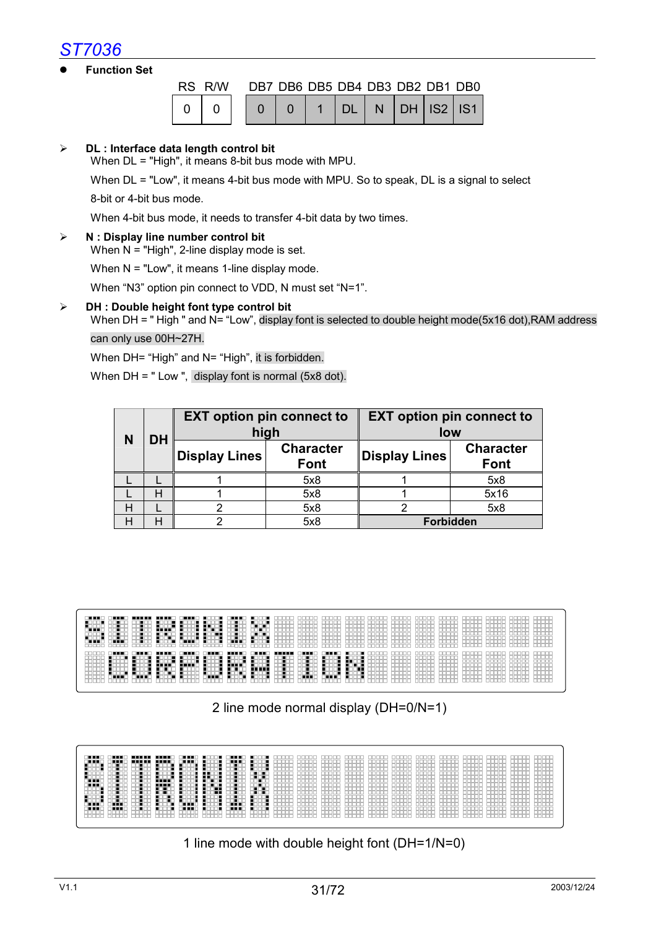**Function Set** 

| RS R/W         |  | DB7 DB6 DB5 DB4 DB3 DB2 DB1 DB0 |  |  |                       |
|----------------|--|---------------------------------|--|--|-----------------------|
| $\overline{a}$ |  |                                 |  |  | 0 0 1 DL N DH IS2 IS1 |

#### ¾ **DL : Interface data length control bit**

When DL = "High", it means 8-bit bus mode with MPU.

When  $DL$  = "Low", it means 4-bit bus mode with MPU. So to speak, DL is a signal to select

8-bit or 4-bit bus mode.

When 4-bit bus mode, it needs to transfer 4-bit data by two times.

#### ¾ **N : Display line number control bit**

When N = "High", 2-line display mode is set.

When  $N = "Low",$  it means 1-line display mode.

When "N3" option pin connect to VDD, N must set "N=1".

¾ **DH : Double height font type control bit**  When DH = "High " and N= "Low", display font is selected to double height mode(5x16 dot), RAM address

#### can only use 00H~27H.

When DH= "High" and N= "High", it is forbidden.

When DH = " Low ", display font is normal (5x8 dot).

| N | <b>DH</b> |                      | <b>EXT</b> option pin connect to<br>high | <b>EXT</b> option pin connect to<br>low |                                 |  |
|---|-----------|----------------------|------------------------------------------|-----------------------------------------|---------------------------------|--|
|   |           | <b>Display Lines</b> | <b>Character</b><br><b>Font</b>          | <b>Display Lines</b>                    | <b>Character</b><br><b>Font</b> |  |
|   |           |                      | 5x8                                      |                                         | 5x8                             |  |
|   |           |                      | 5x8                                      |                                         | 5x16                            |  |
|   |           |                      | 5x8                                      |                                         | 5x8                             |  |
|   |           |                      | 5x8                                      | <b>Forbidden</b>                        |                                 |  |



2 line mode normal display (DH=0/N=1)

| <b></b><br>18 S S 1<br>----                                                                                                                                                                   |                                                                                                                                            | state and state and state and<br>state and state and state and<br>استنا استنا استنا استنا است<br>_____<br>سنتا استنا استا استا است<br>state and state and state and<br>__________                                                                                                                                                         | state and state and state and<br>state and state and state and<br>service program service program com-<br>service program comes service program<br>استنافسنا استنافسنا استنا<br>hand hand hand hand book<br>المسا المسا لمسا المساكسة<br>hand hand band band band<br>state and state and state and<br>_________<br>service and the process states and the<br>state and state and state and | commercial control commercial control control<br>come sense sense and come sense.<br>come sense when the sense of the<br>_______<br>state and state and state and<br>__________<br>----<br>at the contract formed became<br>المستا المستا استنبا المستا<br>.<br>.<br>.<br>_____<br>state and state and state and                                                                     |
|-----------------------------------------------------------------------------------------------------------------------------------------------------------------------------------------------|--------------------------------------------------------------------------------------------------------------------------------------------|-------------------------------------------------------------------------------------------------------------------------------------------------------------------------------------------------------------------------------------------------------------------------------------------------------------------------------------------|--------------------------------------------------------------------------------------------------------------------------------------------------------------------------------------------------------------------------------------------------------------------------------------------------------------------------------------------------------------------------------------------|--------------------------------------------------------------------------------------------------------------------------------------------------------------------------------------------------------------------------------------------------------------------------------------------------------------------------------------------------------------------------------------|
| <b>TERR</b><br>ш<br>EEE<br><b>THT</b>                                                                                                                                                         | пт<br>--                                                                                                                                   | .<br>street streets street streets streets<br>street street street street and<br>course stress stress stress course.                                                                                                                                                                                                                      | ____________<br>street streets would street street.<br>sentence and states stressed and stressed<br>street provide streets streets streets<br>send down store were send                                                                                                                                                                                                                    | .<br>street street points street provid-<br>sense areas some areas areas<br>state and state and state and<br>sentence and sentence and sentence<br>sense and state and state and<br>the state of the state of the state of<br>______<br>______<br>______                                                                                                                             |
| --<br>--<br>-<br>____<br>$-$<br>تصاد<br>--<br>--<br><b>THE R</b><br>---                                                                                                                       | ≔<br><b>THE R</b><br>--                                                                                                                    | a based based based on<br>hand hand hand hand hand<br>استنا استنا استنا استنا لسنة<br>stress are the stress of the stress<br>state and state and state and state<br>state and state and state and state<br>______<br>the state of the state of the<br>__________<br>state and state forms were applied<br>send the first series and con-  | المساكسيا ليستاكسنا لسنة<br>استنا استنا استنا استناس<br>hand hand hand hand hand.<br>and a state and a state and a<br>state and state and state and<br>________<br>and a state and a state and a<br>the state of the state of the state<br>hand begin the collection<br>_____<br>_______<br>and the first process and<br>and the first state and the                                       | hand hand hand hand hand<br>the contract of the contract of<br>_____<br>_____<br>________<br>stress and a stress and the stress<br>the product of the product of<br>.<br>.<br>است است است است است<br>سالسالسا لسالسا<br>______<br>______<br>______<br>_____<br>and the first process and                                                                                             |
| cus.<br>___<br>___<br>. .                                                                                                                                                                     | mп<br><br>ш                                                                                                                                | 10 O<br>_____<br>_____<br>است است است است است<br>ш<br>and the control of the control of<br>______<br>________<br>_____<br>______<br>______                                                                                                                                                                                                | است است است است است<br>استانسا استانسا استا<br>____<br>_____<br>_______<br>_______<br>______<br>______<br>_____<br>the state of the control of the con-<br>_____<br>______                                                                                                                                                                                                                 | hand hand hand hand hand<br>hand hand hand hand hand<br>hand hand hand hand hand<br>المستالين والمستالين والمست<br>and the company of the company of<br>and the control of the control of<br>_______<br>______<br>_____<br>_____<br>_____<br>است است است است است                                                                                                                     |
| ----<br>-<br>$\sim$<br>____<br>ш<br>سد<br>--<br>--<br>$= 1$                                                                                                                                   | ------<br>onano .<br>--<br>mmar.<br>__<br>-----                                                                                            | sentence and sentence and sentence<br>send and company of the company of<br>sentence and sentence service process.<br>المستنا لمستنا استنبا للسنبا السنبا<br>.<br>المساكسة المساكسة استناء<br>hand hand hand hand hand.<br>states and the state of the con-<br>state and state and state and state<br>state and state and state and state | sent and sent and sent and<br>send your property and the send<br>send and come and and come<br>send and come of the send<br>hand hand hand hand hand<br>استنا استنا استنا استنا استنا<br>المسا استناقسنا استناست<br>hand hand hand hand hand<br>state and state and state and<br>state and state and state and<br>________<br>state and state and state and                                | state and state and state and<br>state and state and state and<br>sense areas areas presented and<br>state and state and state and<br>_______<br>________<br>_______<br>hand hand hand hand hand<br>the contract the con-<br>.<br>_______<br>_______<br>stress areas areas areas areas                                                                                               |
| <b>THE</b><br><b>COLORADO ANOS ANOS</b><br><b><i>Company Company</i></b><br><b>STATES OF</b><br><b>STATE OF</b><br>--<br>−−<br>وسناد<br>سندا استنداك المتناكب                                 | n 11<br>---<br>المسترد<br>ш                                                                                                                | _____________<br>__________<br>the state of the control based<br>and the state and the state<br>_____<br>_____<br>U.<br>المستلافينية المساكسية استنا<br>hand hand hand hand hand<br>استنا استنا استنا استنا لسنة                                                                                                                          | the state of the state of the state<br>_____<br>______<br>the state of the state of the state<br>_____<br>_____<br>____<br>مستنا المتنبا استنبا لتنبيا استنبا<br>hand hand hand hand hand<br>استنا استنا استنا استناس<br>المستأ لمستأ السما لمستأثمتنا                                                                                                                                     | _____<br>_____<br>_____<br>_____<br>the product of the product of the<br>sense and state and state and<br>sense and sense and sense and<br>__________<br>______<br>___________<br>the problem of the state and<br>hand hand hand hand hand<br>_____<br>and the first party of the con-<br>-------<br>send forms been forms from a                                                    |
| ----<br>--<br>⊶<br>--<br>≔<br>---<br>--                                                                                                                                                       | ≔                                                                                                                                          | stress and the state of the control of<br>state and state and state and state<br>state and state and state and state<br>______<br>and the state of the control of<br>__________<br>some sense sense sense and<br>send their property and the con-                                                                                         | and a state and a state and a<br>state and state and state and<br>and a stress are the stress and<br>the state of the state of the state<br>the problem of the problem of<br>_____<br>______<br>and the first service and the con-<br>send their book and come would<br>and the first state and the                                                                                        | state and state and state and<br>.<br>.<br>_______<br>______<br>______<br>______<br>_____<br>sent that you can be a sent                                                                                                                                                                                                                                                             |
| ≕<br>--                                                                                                                                                                                       | ---                                                                                                                                        | _____<br>استانسا استانستا<br>_____<br>state and state and state and<br>service and states are the service<br>_____<br>some stores and stores aren't<br>send and company of the company of<br>sentence and a sentence and a sentence                                                                                                       | است است است است است<br>المستانسية المستانسية المستا<br>____<br>_______<br>________<br>_______<br>______<br>____<br>______<br>_____<br>sent and sent and sent and<br>send your property and the send<br>state and state and state and<br>send and come of the send                                                                                                                          | hand hand hand hand hand<br>hand hand hand hand hand<br>handbased handbased boost<br>فسننا لمستراتهما لمستركبتنا<br>_____<br>______<br>_____<br>_____<br>______<br>______<br>sense anno anno como anno<br>_____<br>_____                                                                                                                                                             |
| пг<br>. .<br>ш<br>ш                                                                                                                                                                           | пп<br>8 H H                                                                                                                                | ______<br>استنا استنا استنا استنا لسنة<br>hand hand hand hand hand.<br>state and state and state and<br>state and company of the company of<br>state and state and state and state                                                                                                                                                        | hand hand hand hand hand<br>hand hand hand hand hand<br>استنا استنا استنا استنا استنا<br>لمستنا استنبا ليستنا لسنتنا لسنت<br>state and state and state and<br>and a state and a state and<br>_______<br>and a state and a state and a                                                                                                                                                      | ________<br>________<br>______<br>______<br>hand hand hand hand hand<br>_____<br>_______<br>state and state and state and                                                                                                                                                                                                                                                            |
| _____<br>المستاكستنا استناكت<br>المسا استكاسنا استكاسا<br>مستوا المستوا استنبا المستوا استنبا<br>all based from 1 hours from<br>hand band band band band.<br>_____<br>_____<br>_____<br>_____ | _____<br>____<br>استنافسنا استنافسنا است<br><b>Board Second Second Board Second</b><br>المسا استكاستنا استكاستنا<br>____<br>_____<br>_____ | ______<br>the state of the state of<br>______<br>_____<br>_____<br>the contract and contract the con-<br>المسا استاكستا استاكستا<br>المستلافينية المساكسية المسا<br>مستنا استنبا استنبا استنبا لسنيا<br>stress and the state of the control of<br>state and state and state and states<br>come and the state and the state                | ______<br>_______<br>____<br>_____<br>_____<br>_____<br>_____<br>hand hand hand hand hand<br>المسا استنا استنا استناست<br>المستأ لمستأ استنا لمستأثمتنا<br>and all the states and the states<br>and the property of the property of the<br>_______<br>and a state and a state of the                                                                                                       | _____<br>.<br>______<br>______<br>______<br>____<br>hand book book book hand<br>استنا استنا استنا استنا است<br>hand board hand hand hand<br>hand hand hand hand hand<br>hand hand hand hand hand<br>and a state and a state and a<br>state and state and state and state<br>come and the second come and the<br>state and state and state and state<br>state and state and state and |
|                                                                                                                                                                                               |                                                                                                                                            |                                                                                                                                                                                                                                                                                                                                           | _____<br>_____                                                                                                                                                                                                                                                                                                                                                                             | _____<br>_____<br>استانسا استانستانسا<br>_____<br>_____                                                                                                                                                                                                                                                                                                                              |

1 line mode with double height font (DH=1/N=0)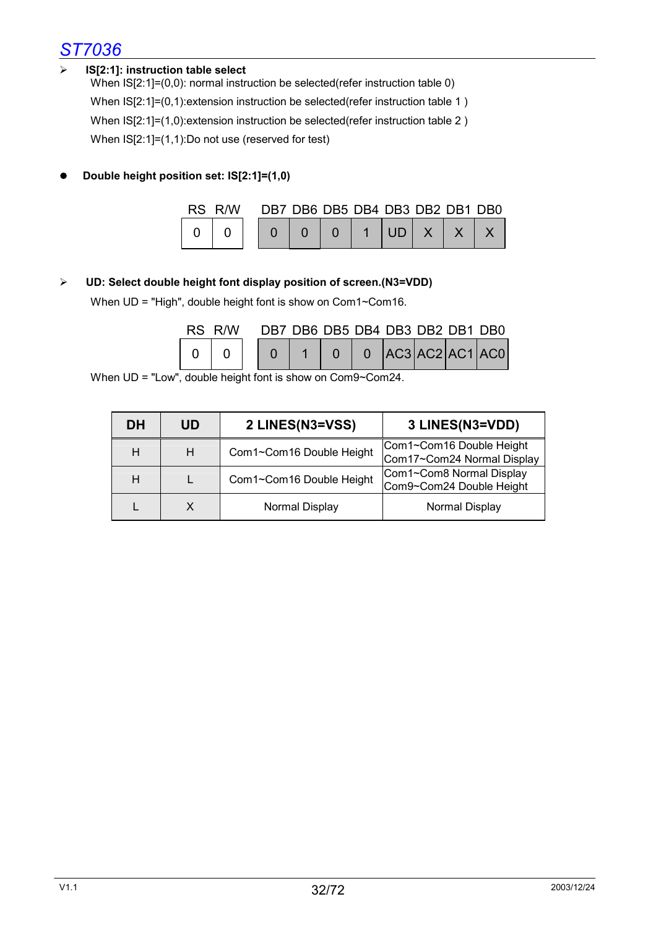#### ¾ **IS[2:1]: instruction table select**

When IS[2:1]=(0,0): normal instruction be selected(refer instruction table 0) When IS[2:1]=(0,1):extension instruction be selected(refer instruction table 1) When IS[2:1]=(1,0):extension instruction be selected(refer instruction table 2 ) When IS[2:1]=(1,1):Do not use (reserved for test)

#### z **Double height position set: IS[2:1]=(1,0)**

|  | RS R/W |  | DB7 DB6 DB5 DB4 DB3 DB2 DB1 DB0 |                    |  |  |
|--|--------|--|---------------------------------|--------------------|--|--|
|  |        |  |                                 | $ UD $ $X$ $ $ $X$ |  |  |

#### ¾ **UD: Select double height font display position of screen.(N3=VDD)**

When UD = "High", double height font is show on Com1~Com16.

|  | RS R/W |  |  | DB7 DB6 DB5 DB4 DB3 DB2 DB1 DB0 |  |                                                            |
|--|--------|--|--|---------------------------------|--|------------------------------------------------------------|
|  |        |  |  |                                 |  | $\begin{bmatrix} 0 \\ 0 \end{bmatrix}$ AC3 $ AC2 AC1 AC0 $ |

When UD = "Low", double height font is show on Com9~Com24.

| <b>DH</b> | UD | 2 LINES(N3=VSS)          | 3 LINES(N3=VDD)                                        |
|-----------|----|--------------------------|--------------------------------------------------------|
| н         | н  | Com1~Com16 Double Height | Com1~Com16 Double Height<br>Com17~Com24 Normal Display |
| н         |    | Com1~Com16 Double Height | Com1~Com8 Normal Display<br>Com9~Com24 Double Height   |
|           |    | Normal Display           | Normal Display                                         |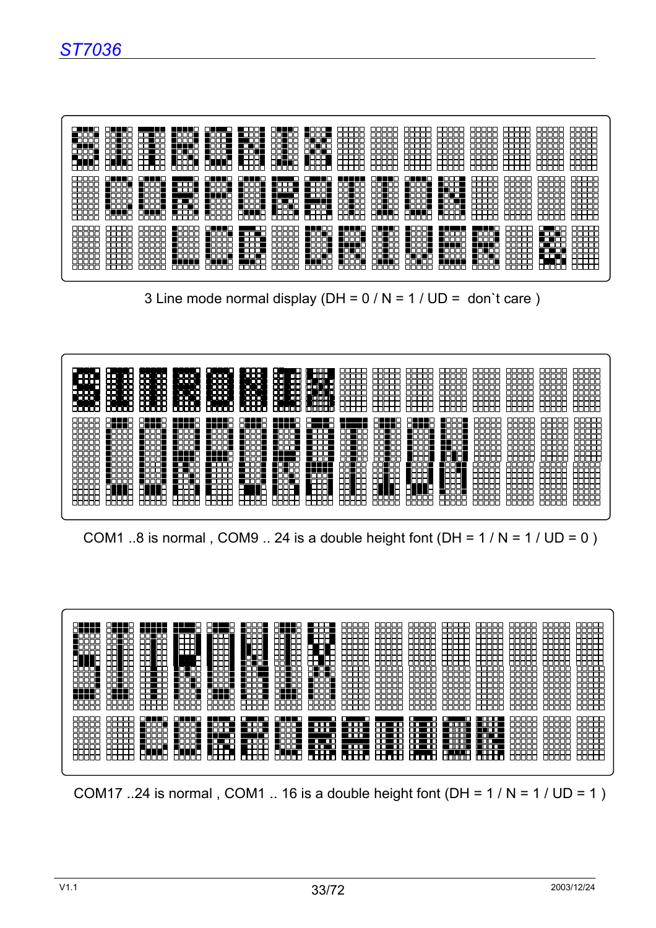| HO.<br>85558<br>.<br>$\Box$ $\blacksquare$<br>™<br>ПП<br>םר<br>∎⊓г<br>nnon<br>ii ili<br>חר<br>┒∎<br>22222<br>┓▆<br>╦<br>nnann<br>mп<br>TN<br>T<br>3 J 8 8 8<br>20000<br>rinni<br>00000 | ■□<br>U 888 U<br><b>REDUCED</b><br>IП<br>т<br>a mana s<br><b>N</b> OOON<br>.<br><b>-</b> 66<br>ш<br>n mini<br>TOODT<br>m<br>-OF<br>n a a bhlia<br>JŌP.<br>$\blacksquare$<br><b>RODOR</b><br>80 D<br>00000<br>0000L<br>nnnn                                       | 300C<br>80 <b>80 8</b> 0 80<br>$\blacksquare$<br>וחר<br>800a<br>םכ<br>100<br>FREER<br><b>ROLL</b><br>88888<br>88888<br><b>HHHH</b><br>íŌ<br>Πī<br>70 I<br>٢i<br>noi<br>東南市<br>00000<br>開<br>Ŧ<br>20001<br><b>DDD</b><br>$\frac{1}{2}$<br>Πī<br><u>Filipus</u><br><b>POD</b><br>-6<br>36666<br>66666<br>崩崩<br>66 Ti<br>OO T<br>ור<br>FRARA<br><b>RARRA</b><br>3 6 6 6 6<br>86666<br>ᅘ<br>nnnnn<br>nnr | ooooc<br>╦<br>mп<br>□□<br>חר י<br>88888<br>88888<br>oodaa<br>FIFIFIFIF<br>00000<br>00000<br>22222<br>92222<br>66666<br>ananc<br>noona<br><u> 22222</u><br>nnnnn<br><b>UUUUU</b><br>0000C<br>30000<br>丽<br>000<br>0000<br>出<br>uu<br>00000<br>00000                                       |
|----------------------------------------------------------------------------------------------------------------------------------------------------------------------------------------|------------------------------------------------------------------------------------------------------------------------------------------------------------------------------------------------------------------------------------------------------------------|------------------------------------------------------------------------------------------------------------------------------------------------------------------------------------------------------------------------------------------------------------------------------------------------------------------------------------------------------------------------------------------------------|------------------------------------------------------------------------------------------------------------------------------------------------------------------------------------------------------------------------------------------------------------------------------------------|
| 3 E 8 E 8<br>IO<br>ШL<br><b>ANDRE</b><br>∎⊓⊓<br>. 666.<br>-6666<br>inni<br>100<br>76668<br>T<br><b>00000</b><br>nnn                                                                    | <b>DEED</b><br>╓<br>80000<br>ا ات<br>naaan<br><b>1888 BBC</b><br><b>DOC</b><br>பா<br><b>M</b> OOOW<br>726<br>1000 <b>1</b><br>Fiddiae<br>┲<br>nnnr<br>╓╖╓<br><b>A</b> OC<br>ור<br>issunr<br><b>ANDRE</b><br>┎<br><b>.</b><br>85558<br>59999<br>HOOOH<br>mп<br>הר | 8000<br><b>BUDD</b><br><b>. C</b><br>80008<br>n na mar<br>n din L<br>ור<br>O<br>□□<br>88 O<br><b>DO</b><br>188<br>10 O<br>™<br>Ш.<br>nn i<br>■□□<br>∎ר<br>崩<br>٦ī<br>iĦĦ<br>īŌ<br>ōói<br>na<br>JON.<br>Ш.<br>┓<br>66666<br><b>ANDRE</b><br>80 <b>0</b> 88<br>T<br><b>ROLL</b><br>ור<br>00<br>٦ī.<br>o۲<br>٦ÓN<br>86668<br><b>ARRA</b><br>┒<br>∐<br>86566<br>ΠŪ<br>īnn<br>nnnnn                       | nnnnn<br>mmmr<br><b>ANDRE</b><br>00000<br>nnnnn<br>ПП<br>0000C<br>Т<br>ᅚ<br><b>BOD</b><br>םר<br>N N D D H<br>mmr<br>6666<br>Æ۳<br>m<br>ᅃ<br>136<br>nnn<br>rinnr<br>مممور<br><b>ANDRA</b><br>nnr<br>8886E<br>dd L<br><b>BBBBB</b><br><b>RRRRR</b><br>mг<br><b>HHHHH</b><br>nnnnn          |
| 300<br>nor<br>88888<br>ℶ<br>3666<br>ΠŌ<br>0000<br>םכ<br>╦<br>╥<br>00000<br>00000<br>000<br>0000<br>╖┌<br>000<br>םר<br>mmr<br>30 O<br>0000<br>□□                                        | 25593<br><b>RDC</b><br>388<br>25552<br><b>DOC</b><br>8M<br>100<br>□□<br><b>ROLL</b><br>IŌĒ<br>TOI<br>2002<br>80 O O O O<br>ш<br>٠<br><b>RADOR</b><br>666<br>300<br><b>DOOD</b>                                                                                   | 25556<br>25552<br>$\Box$<br><b>REEDIR</b><br>88888<br>盟<br>66i<br>noon <b>a</b><br>322<br>80 C<br>ПL<br>∎⊓<br>$\blacksquare$<br>ור<br>ПП<br><b>DDI</b><br>□⊏<br>100 T<br>nП<br><b>ROLL</b><br>╖┓╻<br>888<br>$\Box$<br>. .<br>iD<br><b>22268</b><br>пг<br>iii<br>iОŌ<br>00000<br><b>MODDIA</b><br>IDE<br>00L<br>00000<br>66668<br>00000<br>00000                                                      | 0000F<br>╍<br>n na n<br><b>ON</b><br>חרור<br>n a m<br>- 1<br>10000<br>丽丽<br>TOOTO<br>3000i<br>100<br>اممال<br>IОC<br>onan<br>┰<br>n n n i<br>800C<br>mar<br>ℶ<br>nnnnr<br>10000<br>$\blacksquare$<br><b>1888</b><br>80000<br>ПO<br><b>00000</b><br>000<br>0000C<br>88888<br>00000<br>300 |

3 Line mode normal display (DH =  $0 / N = 1 / UD = don't care$ )

| m<br>רי.<br>וחר<br>ᅃ<br>ОΟ<br>ום<br>חר<br>oα<br>m<br>nп<br>m<br>100<br>ТĪМ<br>םכ<br>оо<br>Œ<br>חר<br>пп<br>ıП<br>m<br>חר<br>m<br>annoo<br>00000<br>onono | n<br>an ma<br>l MMM 1<br>m m<br>CIOT<br>mm<br>mmm<br>الاستالات<br><b>MONTHLO</b><br>mm<br>nnn<br>الالاتي و<br>m<br>mm<br>m<br>mm<br>nc<br>الالالك<br>ŒШ<br>n<br>mm<br>m<br>П<br>n na m<br>nп<br>mm<br>П<br>mm<br>المالاتين<br>mm<br>ويسممه<br>anana<br>mono<br>محمده | 8000a<br>m<br>ℶ<br>םכ<br>an mara<br>10 C<br>300.<br>nnn<br>ШD<br>المالمات<br>000C<br>nn 1<br>100<br>300<br>ا الاستعالات<br>▥<br>Ш<br>2233<br>m<br>æ<br>TI.<br>التاليات<br>◫<br>RRRR<br>الاستالا<br>茄<br>ŏŏŏ<br>ΠΠ<br>سمسمه                                                                                                                                                                                             | 80000<br>Пr<br>חרור<br>பப<br>3000<br>mmi<br>300<br>000<br>بيالول<br>سميتيا<br>nnr<br>пп<br>nnn<br>سياب<br>nnnn                                                                                                                                        |
|----------------------------------------------------------------------------------------------------------------------------------------------------------|----------------------------------------------------------------------------------------------------------------------------------------------------------------------------------------------------------------------------------------------------------------------|------------------------------------------------------------------------------------------------------------------------------------------------------------------------------------------------------------------------------------------------------------------------------------------------------------------------------------------------------------------------------------------------------------------------|-------------------------------------------------------------------------------------------------------------------------------------------------------------------------------------------------------------------------------------------------------|
| 8000 B<br><b>DEED</b><br>٦r<br>TOI<br>■□□<br>TN<br>⊓⊓<br>ור<br>ורור                                                                                      | HHHH HHHH<br>80000<br>M M M M M M<br>annais<br>ہد<br><b>ROLL</b><br>┒<br>TI.<br>ш<br>.<br>Г<br>Ш<br>Ш<br>חח<br>300<br>T<br><b>IF II</b><br>╦<br>חר<br>nnñññ<br>╦<br><b>Finn</b> i<br>mmmm<br>nnn                                                                     | <b>ANNIA RUSSI</b><br>80 <b>10 1</b><br>84. HB<br>īn<br><b>TEEL</b><br>nu un<br>mar<br>חרו<br>⊞<br>n Ol<br>∎רור<br>□■<br>□□<br><b>ADDI</b><br>ΠГ<br>٦ŐB<br>00 C<br>┒∎<br>HOO<br>m<br><b>RADAR</b><br>┎<br>ш.<br>חח<br>oo <b>a</b><br>חר<br>mп<br>58<br>55<br>$\Box$<br>00 C<br>Æ<br>t<br>no n<br>.indor<br><b>1</b> 1 1 1 1 1<br>$\Box \Box$<br>ᅟエ<br>ור<br>TEEF<br>ור<br>30 C<br>╨╨<br>Ш.<br>H<br>nnnnn<br>mmr<br>חחר | nnnnr<br>nnnr<br><b>REBER</b><br>ППП<br>ΠГ<br>◻<br><b>Finder</b><br>nnnn<br><b>.</b> 100.<br>ياسا اللاتية<br>0000<br>╗<br>ПГ<br>ПП<br>٦<br>┒∎<br>וו<br>FiFiFii<br>╖╒<br>⊣г<br>RR<br>ℶ<br>חרר<br>. .<br>ורור<br>ורור<br>ш<br>Ш.<br>rinnn<br>mmm<br>mmr |
|                                                                                                                                                          |                                                                                                                                                                                                                                                                      |                                                                                                                                                                                                                                                                                                                                                                                                                        |                                                                                                                                                                                                                                                       |

COM1 ..8 is normal, COM9 .. 24 is a double height font (DH =  $1/N = 1 / UD = 0$ )

| n din na<br>M M M<br>n I<br>a pro<br>n i<br>80 Q<br>n na ma<br>∩∎i<br>70 O<br>┓▆<br>7 N N<br>a ka<br>10C<br>JOC<br>ПN<br>n o r<br>n or<br>╖┓▅<br>ור<br>ПП∎<br>■□□<br>┒<br>∎or<br>ПП<br>┒▅<br>nn i<br>n n n i<br>n El<br>חר<br>. Tim<br>■□□<br>□□<br>800 L<br>◢◘г<br>╖┎<br><b>1001</b><br>nnr | TULL<br>76 O C<br>┒<br>$\Box$<br>┒▉<br>$\Box$<br>ਾ⊐⊷<br>11 II<br>T<br>n<br>ור<br>ורור<br>¶∏<br>™<br>l I T<br>$\Box\Box$<br>וםנ<br>TП<br>D<br>חר<br>. זרי<br>⊣г<br>ורו<br>т<br>ப<br>Е<br>oō<br>11<br>īОĒ<br>nni<br>nnı<br><b>In</b><br><b>101 M</b><br>╦<br>™<br>™<br>ור<br>┓▅<br>T<br>4ŪE<br>نطقه                                                  | ΠN<br>andian<br>300<br>חר<br>000<br>וחרור<br><b>ARRAB</b><br>ורור<br>⊨⊨⊨<br>بالسائسان<br>öб<br>ddde<br>הח<br>------<br>BBBBB<br><b>HHHH</b><br>HHHHH<br>-18666<br>BBBBB<br>يسبسك<br>nnnnn<br>------<br>-----<br><b>HHHH</b><br><b>HHHHH</b><br>ĦН<br>ĦĦĦ<br>7666<br>開開開<br>⊨⊨<br>温用<br><b>HARE</b><br>느느느느느<br>لالالالالا<br>--<br>nnnni<br>جيبيايات<br>000<br>000 | 70000<br>0000C<br>30001<br>700 O<br>חחד<br>וחרור<br>بسسيد<br>nnnnr<br>0000L<br>זרור<br>mmmmm<br>3000<br>00000<br>10 C<br>لالالالالا<br>nnnr<br>nnnnr<br>300C<br>000C                                                                       |
|----------------------------------------------------------------------------------------------------------------------------------------------------------------------------------------------------------------------------------------------------------------------------------------------|----------------------------------------------------------------------------------------------------------------------------------------------------------------------------------------------------------------------------------------------------------------------------------------------------------------------------------------------------|--------------------------------------------------------------------------------------------------------------------------------------------------------------------------------------------------------------------------------------------------------------------------------------------------------------------------------------------------------------------|--------------------------------------------------------------------------------------------------------------------------------------------------------------------------------------------------------------------------------------------|
| ╨<br>╬╬╬<br>88888<br>ĦĦ<br>nnnnn<br>חר                                                                                                                                                                                                                                                       | ᅚ<br>بالالتالات<br>╬<br>mп<br>nп                                                                                                                                                                                                                                                                                                                   | 님님님님<br>mmm<br>ℸℾ                                                                                                                                                                                                                                                                                                                                                  | 00000<br>لالالالالا<br>nnnnn<br>הר<br>╦<br>ורי<br>חרו                                                                                                                                                                                      |
| TO<br>n<br>IП<br>4ÒF<br>ורו<br>∎⊓r<br>inni<br>mг<br>ЮC<br>Юí<br>IП<br>TO<br>r<br>mг<br>1m<br>ח<br>m<br>لالتاك<br>oooc<br>ℸ୮<br>nnı<br>٦ſ                                                                                                                                                     | I O O<br>886 C<br>88 C<br>10 O<br>П<br>п<br><b>THE</b><br>- -<br><b>.</b> 100<br>10001<br><b>.</b> 100<br>mmm<br>8000E<br>ΠL<br>-000<br>mor<br>О<br>100 O O<br><b>THE</b><br>n<br>m<br>m<br>IП<br>100C<br><b>TELESCOPE</b><br><b>1</b> 000<br>mo<br>m<br>nв<br>ח<br>10001<br>10000<br>HOOO .<br>. .<br>ΠГ<br>3000<br>חחחחר<br>nnnr<br>────<br>nnnn | na na m<br>ா<br>n an A<br>П<br>n<br>.<br>∎nnn<br>m<br>пп<br>mo<br>пп<br><b>ANTITUDE</b><br>m<br><b>ANDR</b><br>m<br>m<br>ΠП<br>mmm<br>ŎЙ<br>1000<br>Ш<br>m<br>.<br>m<br>חר<br>ПΠ<br>m<br>m<br>المسما<br>TD<br>100 O<br>m<br>m<br>m<br>mm<br><b>ROOT</b><br>œ<br>п<br>П<br>m<br>П<br>П<br>.<br>anna<br>nnnn<br>nnnn<br>mmm                                          | anon<br>300C<br>an man<br>100<br>ורורור<br>l Ender<br>annne<br>nnnr<br>in Timbri<br>30<br>m<br><b>THE REAL</b><br>mm<br>.<br>mmm<br>זחרו<br>000<br>00000<br>l DII<br>70<br>100<br>00000<br>الاستلاس<br>─────────────────────────────────── |

COM17 ..24 is normal, COM1 .. 16 is a double height font (DH =  $1 / N = 1 / UD = 1$ )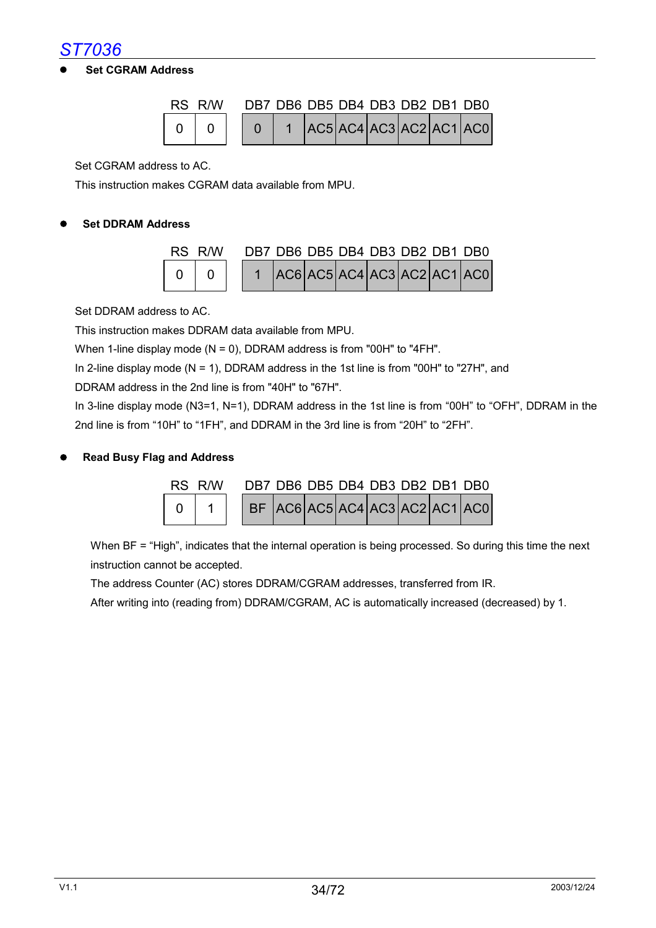

**Set CGRAM Address** 

| RS R/W |  |  | DB7 DB6 DB5 DB4 DB3 DB2 DB1 DB0 |  |                              |
|--------|--|--|---------------------------------|--|------------------------------|
|        |  |  |                                 |  | $1$  AC5 AC4 AC3 AC2 AC1 AC0 |

Set CGRAM address to AC.

This instruction makes CGRAM data available from MPU.

#### z **Set DDRAM Address**



Set DDRAM address to AC.

This instruction makes DDRAM data available from MPU.

When 1-line display mode ( $N = 0$ ), DDRAM address is from "00H" to "4FH".

In 2-line display mode ( $N = 1$ ), DDRAM address in the 1st line is from "00H" to "27H", and

DDRAM address in the 2nd line is from "40H" to "67H".

In 3-line display mode (N3=1, N=1), DDRAM address in the 1st line is from "00H" to "OFH", DDRAM in the 2nd line is from "10H" to "1FH", and DDRAM in the 3rd line is from "20H" to "2FH".

#### z **Read Busy Flag and Address**



When BF = "High", indicates that the internal operation is being processed. So during this time the next instruction cannot be accepted.

The address Counter (AC) stores DDRAM/CGRAM addresses, transferred from IR.

After writing into (reading from) DDRAM/CGRAM, AC is automatically increased (decreased) by 1.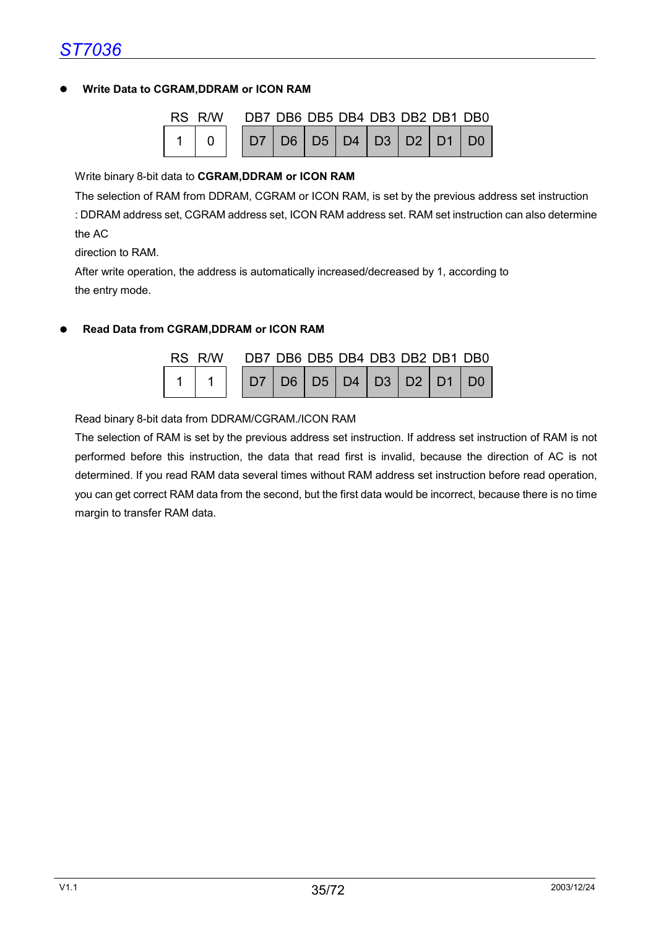#### z **Write Data to CGRAM,DDRAM or ICON RAM**



#### Write binary 8-bit data to **CGRAM,DDRAM or ICON RAM**

The selection of RAM from DDRAM, CGRAM or ICON RAM, is set by the previous address set instruction : DDRAM address set, CGRAM address set, ICON RAM address set. RAM set instruction can also determine the AC

direction to RAM.

After write operation, the address is automatically increased/decreased by 1, according to the entry mode.

#### z **Read Data from CGRAM,DDRAM or ICON RAM**

| RS R/W |  |  |                                       |  | DB7 DB6 DB5 DB4 DB3 DB2 DB1 DB0 |
|--------|--|--|---------------------------------------|--|---------------------------------|
|        |  |  | D7   D6   D5   D4   D3   D2   D1   D0 |  |                                 |

Read binary 8-bit data from DDRAM/CGRAM./ICON RAM

The selection of RAM is set by the previous address set instruction. If address set instruction of RAM is not performed before this instruction, the data that read first is invalid, because the direction of AC is not determined. If you read RAM data several times without RAM address set instruction before read operation, you can get correct RAM data from the second, but the first data would be incorrect, because there is no time margin to transfer RAM data.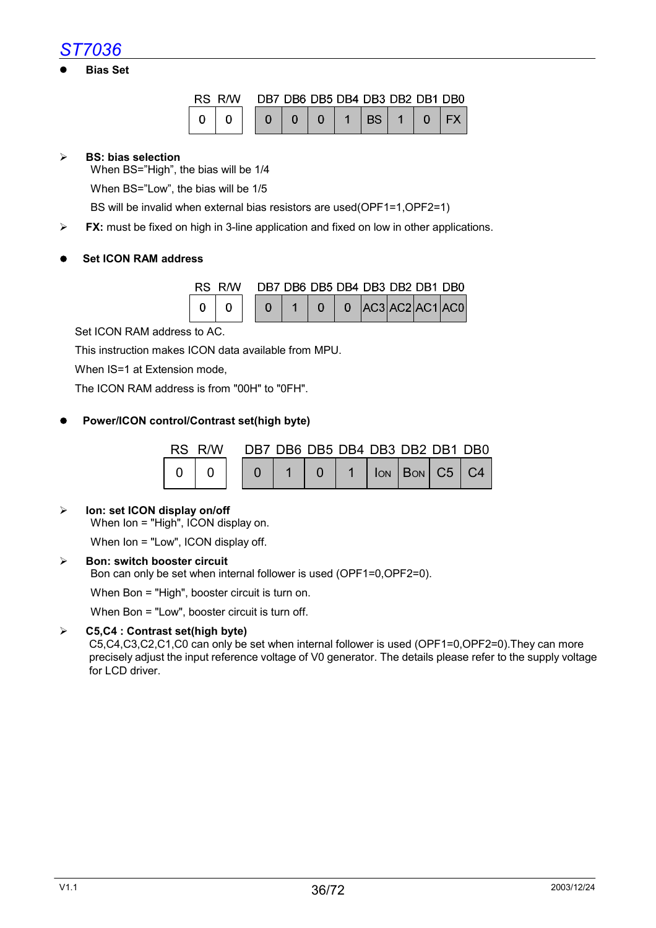#### **Bias Set**

| RS R/W |          |  |  | DB7 DB6 DB5 DB4 DB3 DB2 DB1 DB0 |  |
|--------|----------|--|--|---------------------------------|--|
|        | $\Omega$ |  |  |                                 |  |

#### ¾ **BS: bias selection**

When BS="High", the bias will be 1/4

When BS="Low", the bias will be 1/5

BS will be invalid when external bias resistors are used(OPF1=1,OPF2=1)

- ¾ **FX:** must be fixed on high in 3-line application and fixed on low in other applications.
- z **Set ICON RAM address**

|  | RS R/W |  |  |  | DB7 DB6 DB5 DB4 DB3 DB2 DB1 DB0 |                                                                                                                                   |
|--|--------|--|--|--|---------------------------------|-----------------------------------------------------------------------------------------------------------------------------------|
|  |        |  |  |  |                                 | $\begin{bmatrix} 0 & 0 \end{bmatrix}$ $\begin{bmatrix} AC3 \end{bmatrix} AC2 \begin{bmatrix} AC1 \end{bmatrix} AC0 \end{bmatrix}$ |

Set ICON RAM address to AC.

This instruction makes ICON data available from MPU.

When IS=1 at Extension mode.

The ICON RAM address is from "00H" to "0FH".

#### z **Power/ICON control/Contrast set(high byte)**

| RS R/W |  | DB7 DB6 DB5 DB4 DB3 DB2 DB1 DB0 |  |  |                                 |
|--------|--|---------------------------------|--|--|---------------------------------|
|        |  |                                 |  |  | $\vert$ 1   Ion   Bon   C5   C4 |

#### ¾ **Ion: set ICON display on/off**

When Ion = "High", ICON display on.

When Ion = "Low", ICON display off.

#### ¾ **Bon: switch booster circuit**

Bon can only be set when internal follower is used (OPF1=0,OPF2=0).

When Bon = "High", booster circuit is turn on.

When Bon = "Low", booster circuit is turn off.

#### ¾ **C5,C4 : Contrast set(high byte)**

C5,C4,C3,C2,C1,C0 can only be set when internal follower is used (OPF1=0,OPF2=0).They can more precisely adjust the input reference voltage of V0 generator. The details please refer to the supply voltage for LCD driver.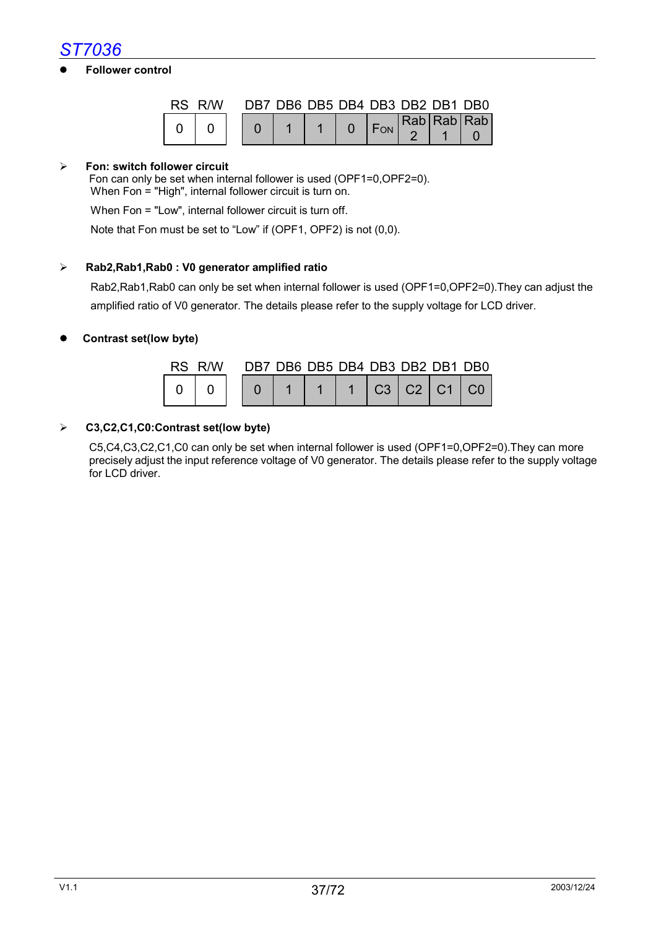#### **Follower control**

| RS R/W |  | DB7 DB6 DB5 DB4 DB3 DB2 DB1 DB0 |  |  |                                 |
|--------|--|---------------------------------|--|--|---------------------------------|
|        |  |                                 |  |  | $\overline{P_{ON}}$ Rab Rab Rab |
|        |  |                                 |  |  |                                 |

#### ¾ **Fon: switch follower circuit**

Fon can only be set when internal follower is used (OPF1=0,OPF2=0). When Fon = "High", internal follower circuit is turn on.

When Fon = "Low", internal follower circuit is turn off.

Note that Fon must be set to "Low" if (OPF1, OPF2) is not (0,0).

#### ¾ **Rab2,Rab1,Rab0 : V0 generator amplified ratio**

Rab2,Rab1,Rab0 can only be set when internal follower is used (OPF1=0,OPF2=0).They can adjust the amplified ratio of V0 generator. The details please refer to the supply voltage for LCD driver.

#### z **Contrast set(low byte)**

| RS R/W |  |  | DB7 DB6 DB5 DB4 DB3 DB2 DB1 DB0 |                                         |  |  |
|--------|--|--|---------------------------------|-----------------------------------------|--|--|
|        |  |  |                                 | $\mid$ C3 $\mid$ C2 $\mid$ C1 $\mid$ C0 |  |  |

#### ¾ **C3,C2,C1,C0:Contrast set(low byte)**

C5,C4,C3,C2,C1,C0 can only be set when internal follower is used (OPF1=0,OPF2=0).They can more precisely adjust the input reference voltage of V0 generator. The details please refer to the supply voltage for LCD driver.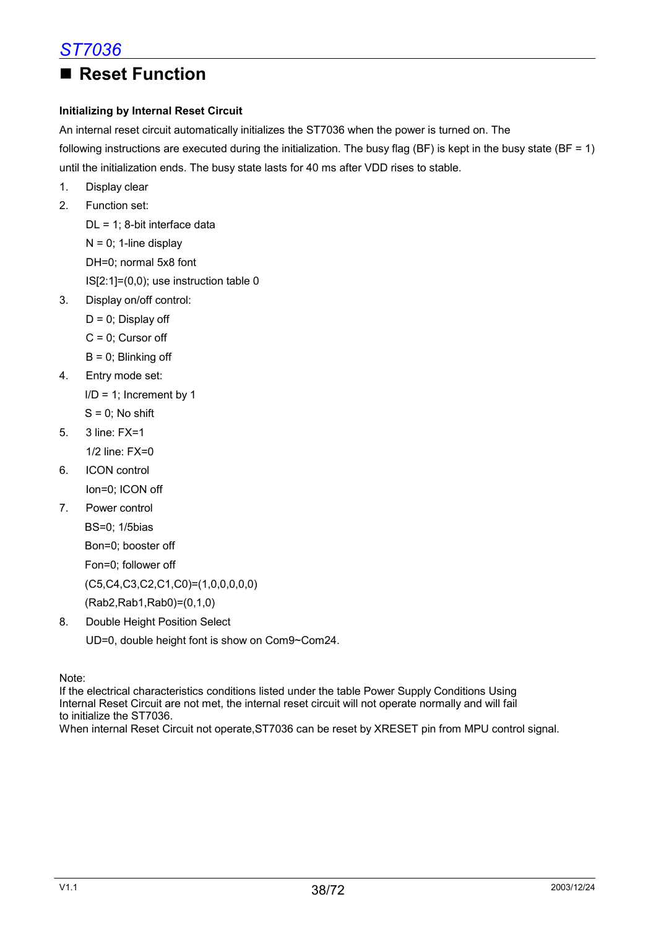# ■ Reset Function

#### **Initializing by Internal Reset Circuit**

An internal reset circuit automatically initializes the ST7036 when the power is turned on. The following instructions are executed during the initialization. The busy flag (BF) is kept in the busy state (BF = 1) until the initialization ends. The busy state lasts for 40 ms after VDD rises to stable.

- 1. Display clear
- 2. Function set:
	- DL = 1; 8-bit interface data
	- $N = 0$ ; 1-line display
	- DH=0; normal 5x8 font
	- IS[2:1]=(0,0); use instruction table 0
- 3. Display on/off control:
	- $D = 0$ ; Display off
	- $C = 0$ ; Cursor off
	- $B = 0$ ; Blinking off
- 4. Entry mode set:
	- $I/D = 1$ ; Increment by 1
	- $S = 0$ ; No shift
- 5. 3 line: FX=1 1/2 line: FX=0
- 6. ICON control Ion=0; ICON off
- 7. Power control
	- BS=0; 1/5bias
	- Bon=0; booster off
	- Fon=0; follower off
	- (C5,C4,C3,C2,C1,C0)=(1,0,0,0,0,0)
	- (Rab2,Rab1,Rab0)=(0,1,0)
- 8. Double Height Position Select
	- UD=0, double height font is show on Com9~Com24.

Note:

If the electrical characteristics conditions listed under the table Power Supply Conditions Using Internal Reset Circuit are not met, the internal reset circuit will not operate normally and will fail to initialize the ST7036.

When internal Reset Circuit not operate,ST7036 can be reset by XRESET pin from MPU control signal.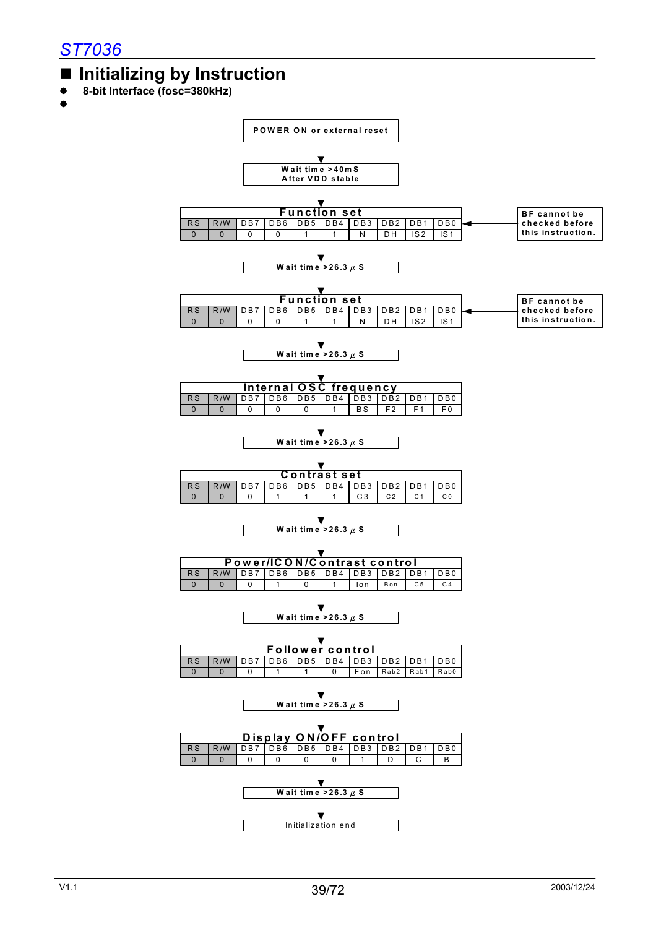# **Initializing by Instruction**

- z **8-bit Interface (fosc=380kHz)**
- $\bullet$

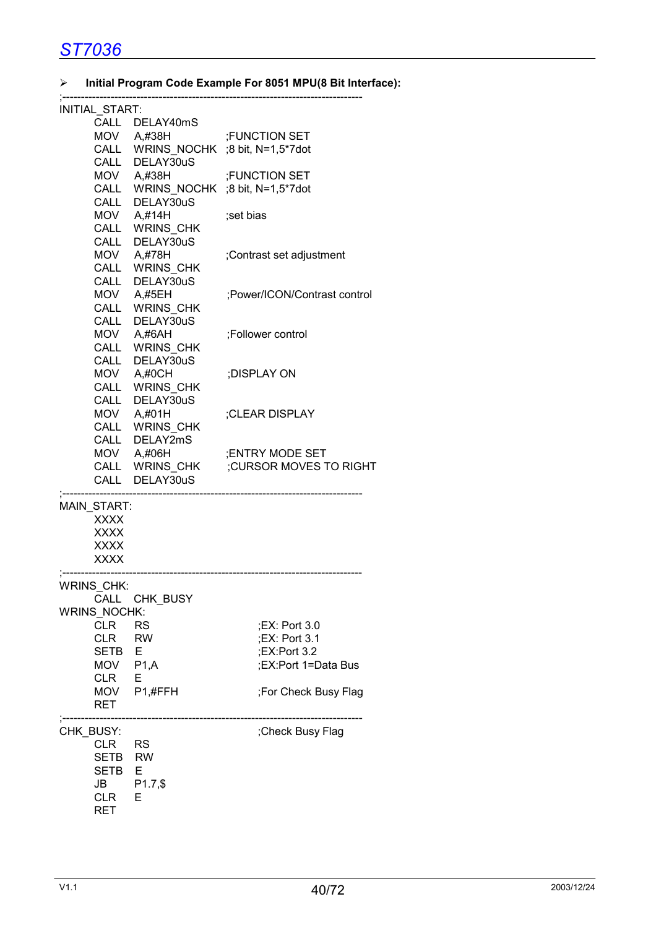### ¾ **Initial Program Code Example For 8051 MPU(8 Bit Interface):**

<u> 1980 - Johann Barbara, martxa alemaniar amerikan basar da a</u>

| $ -$                           |  |
|--------------------------------|--|
|                                |  |
| <b>INITIAL</b><br><b>CTADT</b> |  |

| $INIIIAL$ $JIRI$ :  |                                     |                              |
|---------------------|-------------------------------------|------------------------------|
|                     | CALL DELAY40mS                      |                              |
|                     | MOV A,#38H                          | <b>;FUNCTION SET</b>         |
|                     | CALL WRINS_NOCHK ;8 bit, N=1,5*7dot |                              |
|                     | CALL DELAY30uS                      |                              |
|                     | MOV A,#38H                          | <b>;FUNCTION SET</b>         |
|                     | CALL WRINS_NOCHK                    | ;8 bit, N=1,5*7dot           |
|                     | CALL DELAY30uS                      |                              |
|                     | MOV A,#14H                          | ;set bias                    |
|                     | CALL WRINS_CHK                      |                              |
|                     | CALL DELAY30uS                      |                              |
|                     | MOV A,#78H                          | ;Contrast set adjustment     |
|                     | CALL WRINS_CHK                      |                              |
|                     | CALL DELAY30uS                      |                              |
|                     | MOV A,#5EH                          | ;Power/ICON/Contrast control |
|                     |                                     |                              |
|                     | CALL WRINS_CHK                      |                              |
|                     | CALL DELAY30uS                      |                              |
|                     | MOV A,#6AH                          | ;Follower control            |
|                     | CALL WRINS_CHK                      |                              |
|                     | CALL DELAY30uS                      |                              |
|                     | MOV A,#0CH                          | ;DISPLAY ON                  |
|                     | CALL WRINS_CHK                      |                              |
|                     | CALL DELAY30uS                      |                              |
|                     | MOV A,#01H                          | ;CLEAR DISPLAY               |
|                     | CALL WRINS_CHK                      |                              |
|                     | CALL DELAY2mS                       |                              |
|                     | MOV A,#06H                          | ; ENTRY MODE SET             |
|                     | CALL WRINS_CHK                      | ;CURSOR MOVES TO RIGHT       |
|                     | CALL DELAY30uS                      |                              |
|                     |                                     |                              |
| <b>MAIN START:</b>  |                                     |                              |
| <b>XXXX</b>         |                                     |                              |
| <b>XXXX</b>         |                                     |                              |
| <b>XXXX</b>         |                                     |                              |
| <b>XXXX</b>         |                                     |                              |
|                     |                                     |                              |
| <b>WRINS CHK:</b>   |                                     |                              |
| CALL                | CHK_BUSY                            |                              |
| <b>WRINS NOCHK:</b> |                                     |                              |
| <b>CLR</b>          | <b>RS</b>                           | ;EX: Port 3.0                |
| <b>CLR</b>          | <b>RW</b>                           | ;EX: Port 3.1                |
| <b>SETB</b>         | Ε                                   | ;EX:Port 3.2                 |
|                     |                                     |                              |
| MOV                 | P1, A                               | ;EX:Port 1=Data Bus          |
| <b>CLR</b>          | E                                   |                              |
| MOV                 | P1,#FFH                             | ;For Check Busy Flag         |
| RET                 |                                     |                              |
|                     |                                     |                              |
| CHK_BUSY:           |                                     | ;Check Busy Flag             |
| <b>CLR</b>          | RS                                  |                              |
| <b>SETB</b>         | <b>RW</b>                           |                              |
| <b>SETB</b>         | Ε                                   |                              |
| JB                  | $P1.7,$ \$                          |                              |
| <b>CLR</b>          | Е                                   |                              |
| <b>RET</b>          |                                     |                              |
|                     |                                     |                              |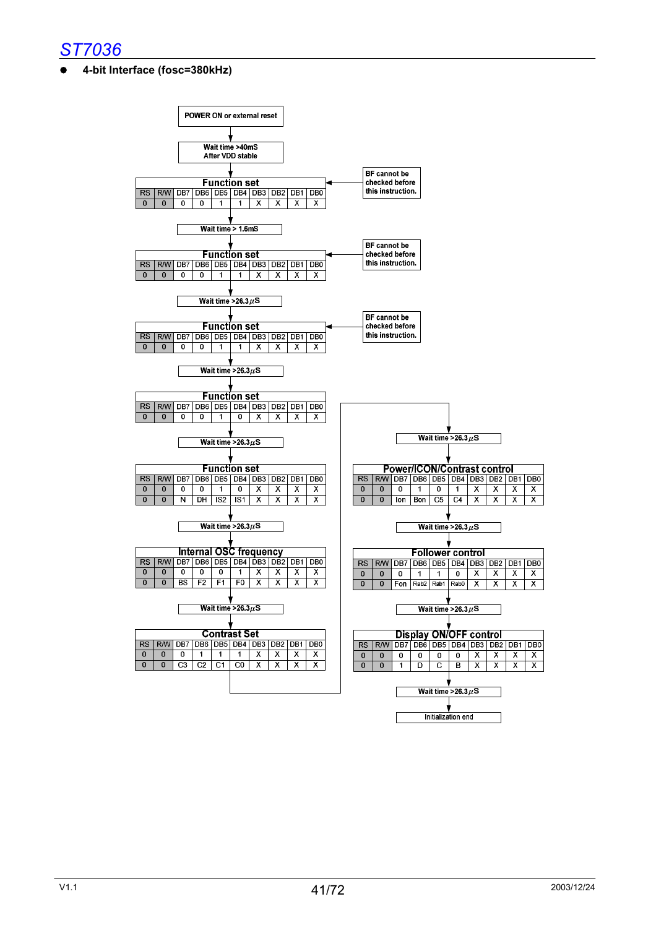

#### z **4-bit Interface (fosc=380kHz)**

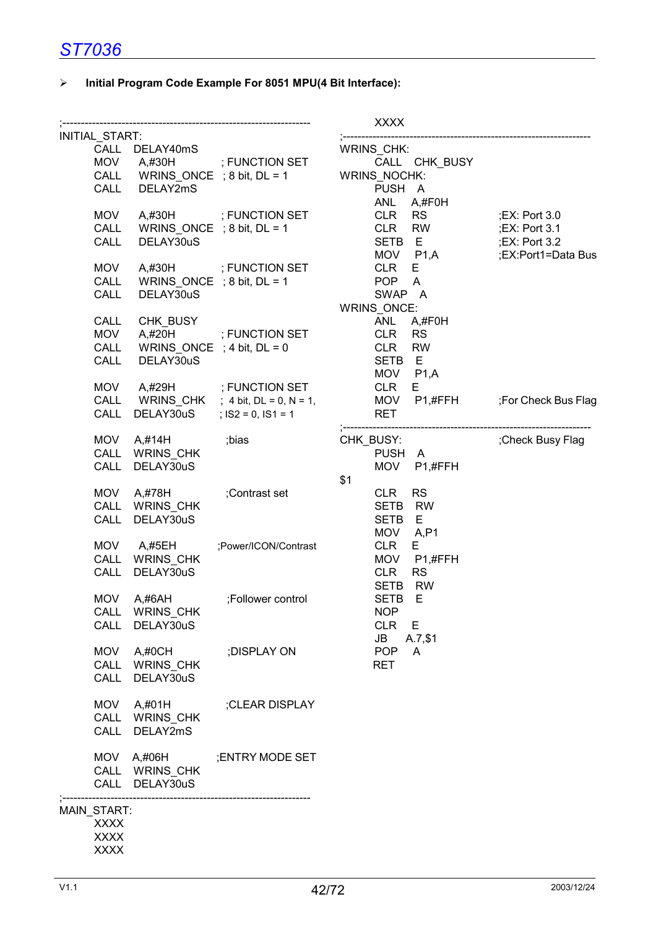### ¾ **Initial Program Code Example For 8051 MPU(4 Bit Interface):**

<u> 1980 - Johann Barn, fransk politik (d. 1980)</u>

|                            |                                 |                                                                      | <b>XXXX</b>                                         |                     |
|----------------------------|---------------------------------|----------------------------------------------------------------------|-----------------------------------------------------|---------------------|
| INITIAL_START:             |                                 |                                                                      |                                                     |                     |
| <b>MOV</b>                 | CALL DELAY40mS                  | A,#30H     ; FUNCTION SET                                            | WRINS_CHK:<br>CALL CHK_BUSY                         |                     |
|                            | CALL WRINS_ONCE ; 8 bit, DL = 1 |                                                                      | WRINS_NOCHK:                                        |                     |
| CALL                       | DELAY2mS                        |                                                                      | PUSH A<br>ANL A,#F0H                                |                     |
| <b>MOV</b>                 |                                 | A,#30H ; FUNCTION SET                                                | CLR RS                                              | ;EX: Port 3.0       |
| <b>CALL</b>                |                                 | WRINS_ONCE ; 8 bit, DL = 1                                           | <b>CLR</b><br>RW                                    | $;$ EX: Port 3.1    |
| CALL                       | DELAY30uS                       |                                                                      | SETB E                                              | ;EX: Port 3.2       |
|                            |                                 |                                                                      | MOV P1,A                                            | ;EX:Port1=Data Bus  |
| <b>MOV</b>                 |                                 | A,#30H ; FUNCTION SET                                                | E.<br><b>CLR</b>                                    |                     |
| CALL                       |                                 | WRINS_ONCE $; 8 \text{ bit}, \text{DL} = 1$                          | <b>POP</b><br>A                                     |                     |
| CALL                       | DELAY30uS                       |                                                                      | SWAP A                                              |                     |
|                            |                                 |                                                                      | WRINS_ONCE:                                         |                     |
| CALL                       | CHK_BUSY                        |                                                                      | <b>ANL</b><br>A,#F0H                                |                     |
| <b>MOV</b><br>CALL         |                                 | A,#20H ; FUNCTION SET<br>WRINS_ONCE $; 4 \text{ bit}, \text{DL} = 0$ | <b>RS</b><br><b>CLR</b><br><b>CLR</b><br><b>RW</b>  |                     |
| CALL                       | DELAY30uS                       |                                                                      | SETB E                                              |                     |
|                            |                                 |                                                                      | P1, A<br><b>MOV</b>                                 |                     |
| <b>MOV</b>                 | A,#29H                          | ; FUNCTION SET                                                       | <b>CLR</b><br>Е                                     |                     |
| CALL                       | WRINS_CHK                       | ; 4 bit, $DL = 0$ , $N = 1$ ,                                        | MOV P1,#FFH                                         | ;For Check Bus Flag |
| CALL                       | DELAY30uS                       | ; $IS2 = 0$ , $IS1 = 1$                                              | <b>RET</b>                                          |                     |
| MOV                        | A,#14H                          | ;bias                                                                | CHK_BUSY:                                           | ;Check Busy Flag    |
|                            | CALL WRINS_CHK                  |                                                                      | PUSH A                                              |                     |
| CALL                       | DELAY30uS                       |                                                                      | <b>MOV</b><br>P1,#FFH                               |                     |
|                            |                                 |                                                                      | \$1                                                 |                     |
| MOV                        | A,#78H                          | ;Contrast set                                                        | <b>CLR</b><br><b>RS</b>                             |                     |
| CALL                       | <b>WRINS_CHK</b>                |                                                                      | <b>SETB</b><br><b>RW</b>                            |                     |
| CALL                       | DELAY30uS                       |                                                                      | SETB<br>Е                                           |                     |
|                            |                                 |                                                                      | MOV<br>A, P1                                        |                     |
| <b>MOV</b>                 | A,#5EH                          | ;Power/ICON/Contrast                                                 | <b>CLR</b><br>E.                                    |                     |
| CALL                       | WRINS_CHK                       |                                                                      | <b>MOV</b><br>P1,#FFH                               |                     |
| CALL                       | DELAY30uS                       |                                                                      | <b>RS</b><br><b>CLR</b><br><b>RW</b><br><b>SETB</b> |                     |
| <b>MOV</b>                 | A,#6AH                          | ;Follower control                                                    | <b>SETB</b><br>Е                                    |                     |
|                            | CALL WRINS_CHK                  |                                                                      | <b>NOP</b>                                          |                     |
| <b>CALL</b>                | DELAY30uS                       |                                                                      | <b>CLR</b><br>Ε                                     |                     |
|                            |                                 |                                                                      | JB<br>A.7,\$1                                       |                     |
| <b>MOV</b>                 | A,#0CH                          | ;DISPLAY ON                                                          | <b>POP</b><br>A                                     |                     |
|                            | CALL WRINS_CHK                  |                                                                      | <b>RET</b>                                          |                     |
| CALL                       | DELAY30uS                       |                                                                      |                                                     |                     |
|                            |                                 |                                                                      |                                                     |                     |
| MOV                        | A,#01H                          | ;CLEAR DISPLAY                                                       |                                                     |                     |
| CALL                       | CALL WRINS_CHK<br>DELAY2mS      |                                                                      |                                                     |                     |
|                            |                                 |                                                                      |                                                     |                     |
|                            | MOV A,#06H                      | <b>;ENTRY MODE SET</b>                                               |                                                     |                     |
|                            | CALL WRINS_CHK                  |                                                                      |                                                     |                     |
| CALL                       | DELAY30uS                       |                                                                      |                                                     |                     |
|                            |                                 |                                                                      |                                                     |                     |
| MAIN_START:<br><b>XXXX</b> |                                 |                                                                      |                                                     |                     |
| <b>XXXX</b>                |                                 |                                                                      |                                                     |                     |
| <b>XXXX</b>                |                                 |                                                                      |                                                     |                     |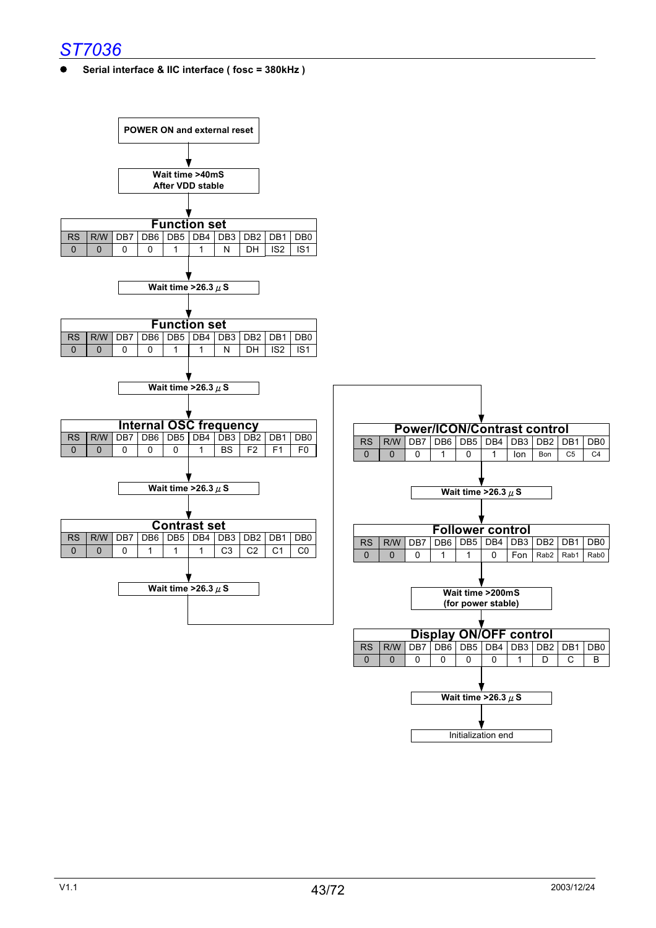

#### z **Serial interface & IIC interface ( fosc = 380kHz )**

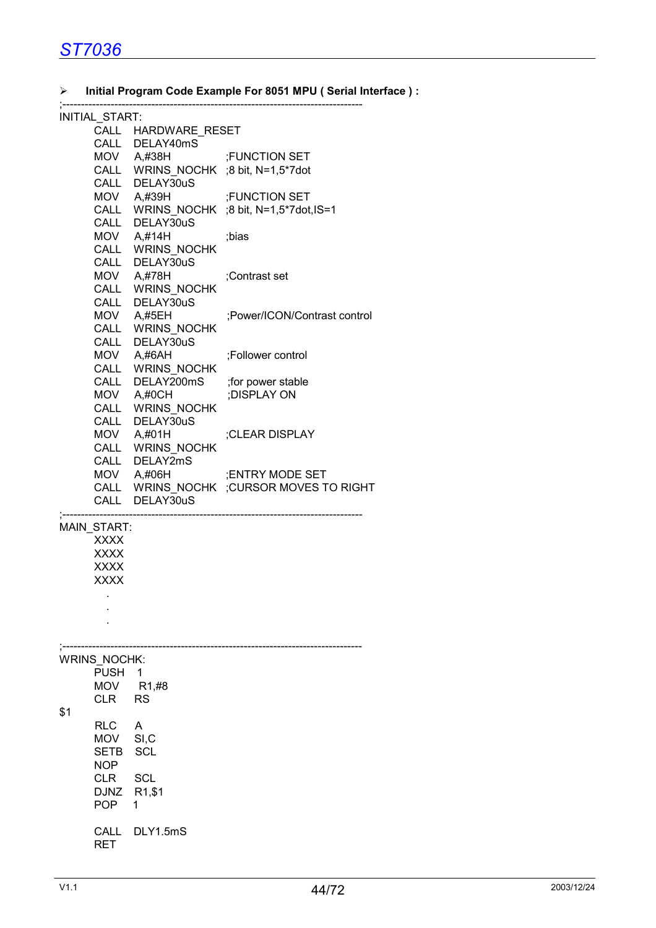¾ **Initial Program Code Example For 8051 MPU ( Serial Interface ) :**  ;---------------------------------------------------------------------------------

|<br>|NITIAL\_START:

|     | $IIVIIIAL$ JIARI.  |                                     |                                          |
|-----|--------------------|-------------------------------------|------------------------------------------|
|     |                    | CALL HARDWARE RESET                 |                                          |
|     |                    | CALL DELAY40mS                      |                                          |
|     |                    | MOV A,#38H ;FUNCTION SET            |                                          |
|     |                    | CALL WRINS_NOCHK ;8 bit, N=1,5*7dot |                                          |
|     |                    | CALL DELAY30uS                      | <b>;FUNCTION SET</b>                     |
|     |                    | $MOV$ $A, #39H$                     |                                          |
|     |                    | CALL DELAY30uS                      | CALL WRINS_NOCHK ;8 bit, N=1,5*7dot,IS=1 |
|     |                    |                                     | ;bias                                    |
|     |                    | $MOV$ $A, #14H$<br>CALL WRINS_NOCHK |                                          |
|     |                    | CALL DELAY30uS                      |                                          |
|     |                    | $MOV$ $A, #78H$                     | :Contrast set                            |
|     |                    | CALL WRINS_NOCHK                    |                                          |
|     |                    | CALL DELAY30uS                      |                                          |
|     |                    | $MOV$ $A, #5EH$                     | ;Power/ICON/Contrast control             |
|     |                    | CALL WRINS_NOCHK                    |                                          |
|     |                    | CALL DELAY30uS                      |                                          |
|     |                    | $MOV$ $A, #6AH$                     | ;Follower control                        |
|     |                    | CALL WRINS_NOCHK                    |                                          |
|     |                    | CALL DELAY200mS                     | ;for power stable                        |
|     |                    | $MOV$ $A, #0CH$                     | ;DISPLAY ON                              |
|     |                    | CALL WRINS_NOCHK                    |                                          |
|     |                    | CALL DELAY30uS                      |                                          |
|     |                    | $MOV$ $A, #01H$                     | ;CLEAR DISPLAY                           |
|     |                    | CALL WRINS_NOCHK                    |                                          |
|     |                    | CALL DELAY2mS                       |                                          |
|     |                    | $MOV$ $A, #06H$                     | <b>ENTRY MODE SET:</b>                   |
|     |                    |                                     | CALL WRINS_NOCHK ; CURSOR MOVES TO RIGHT |
|     |                    | CALL DELAY30uS                      |                                          |
|     | <b>MAIN START:</b> |                                     |                                          |
|     | <b>XXXX</b>        |                                     |                                          |
|     | <b>XXXX</b>        |                                     |                                          |
|     | <b>XXXX</b>        |                                     |                                          |
|     | <b>XXXX</b>        |                                     |                                          |
|     |                    |                                     |                                          |
|     |                    |                                     |                                          |
|     |                    |                                     |                                          |
|     |                    |                                     |                                          |
|     |                    |                                     |                                          |
|     | WRINS NOCHK:       |                                     |                                          |
|     | <b>PUSH</b>        | 1                                   |                                          |
|     | MOV                | R1,#8                               |                                          |
|     | <b>CLR</b>         | RS                                  |                                          |
| \$1 |                    |                                     |                                          |
|     | <b>RLC</b>         | A                                   |                                          |
|     | MOV                | SI,C                                |                                          |
|     | SETB<br><b>NOP</b> | <b>SCL</b>                          |                                          |
|     | <b>CLR</b>         | SCL                                 |                                          |
|     | DJNZ               | R <sub>1</sub> , \$1                |                                          |
|     | <b>POP</b>         | 1                                   |                                          |
|     |                    |                                     |                                          |
|     | CALL               | DLY1.5mS                            |                                          |
|     | RET                |                                     |                                          |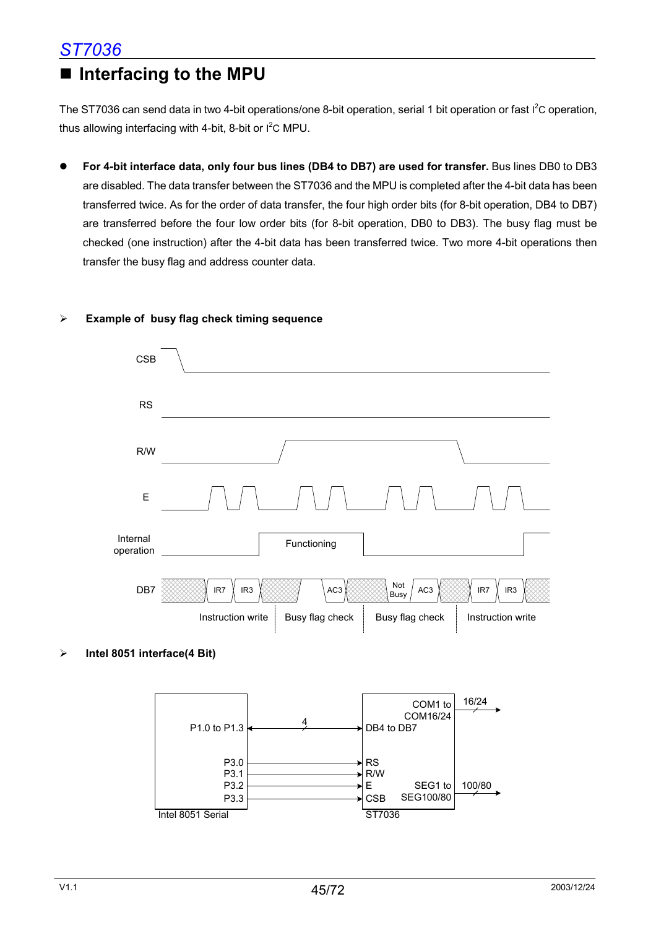# ■ Interfacing to the MPU

The ST7036 can send data in two 4-bit operations/one 8-bit operation, serial 1 bit operation or fast I<sup>2</sup>C operation, thus allowing interfacing with 4-bit, 8-bit or  $I^2C$  MPU.

z **For 4-bit interface data, only four bus lines (DB4 to DB7) are used for transfer.** Bus lines DB0 to DB3 are disabled. The data transfer between the ST7036 and the MPU is completed after the 4-bit data has been transferred twice. As for the order of data transfer, the four high order bits (for 8-bit operation, DB4 to DB7) are transferred before the four low order bits (for 8-bit operation, DB0 to DB3). The busy flag must be checked (one instruction) after the 4-bit data has been transferred twice. Two more 4-bit operations then transfer the busy flag and address counter data.



#### ¾ **Example of busy flag check timing sequence**

¾ **Intel 8051 interface(4 Bit)** 

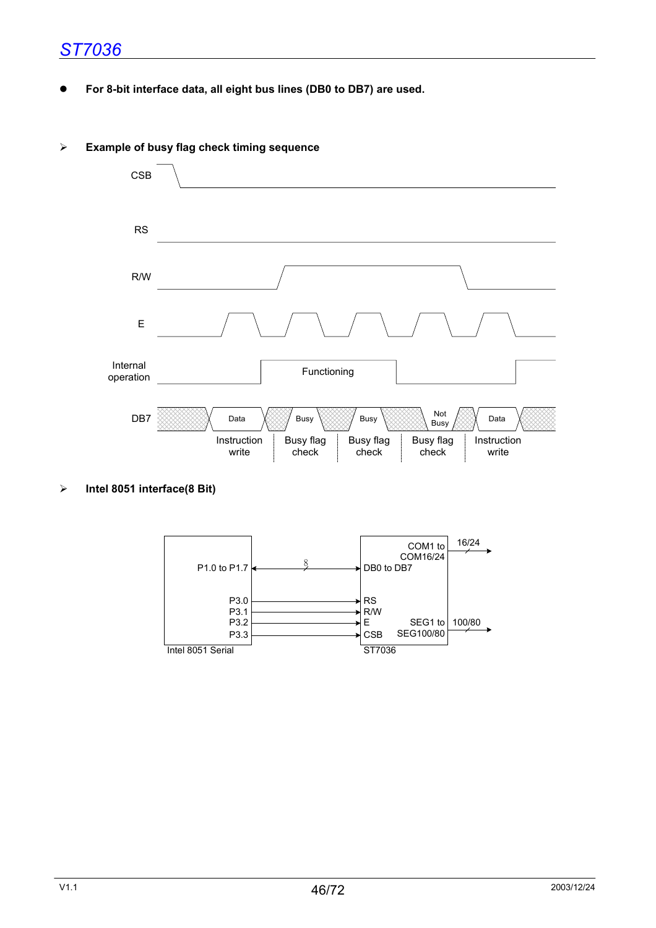z **For 8-bit interface data, all eight bus lines (DB0 to DB7) are used.** 



#### ¾ **Example of busy flag check timing sequence**

#### ¾ **Intel 8051 interface(8 Bit)**

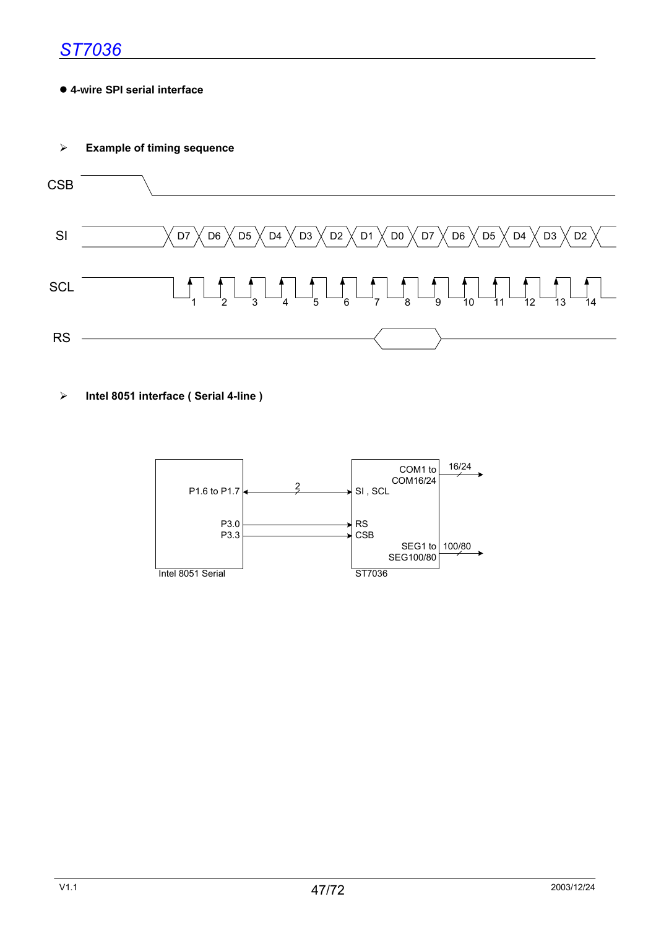#### ● 4-wire SPI serial interface

¾ **Example of timing sequence** 



¾ **Intel 8051 interface ( Serial 4-line )** 

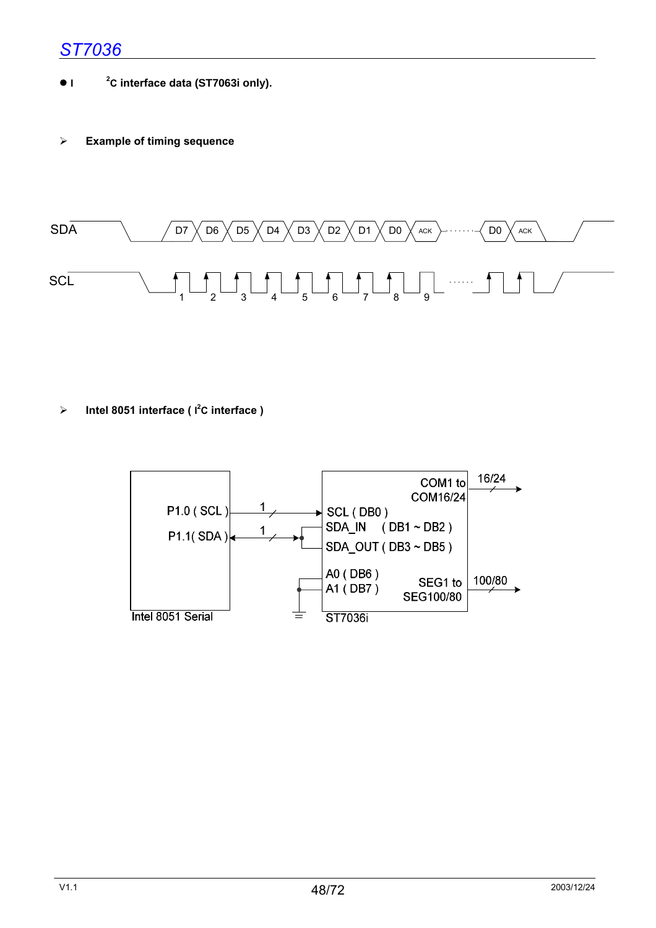- $\bullet$ **I C interface data (ST7063i only).**
- ¾ **Example of timing sequence**



¾ **Intel 8051 interface ( I 2 C interface )** 

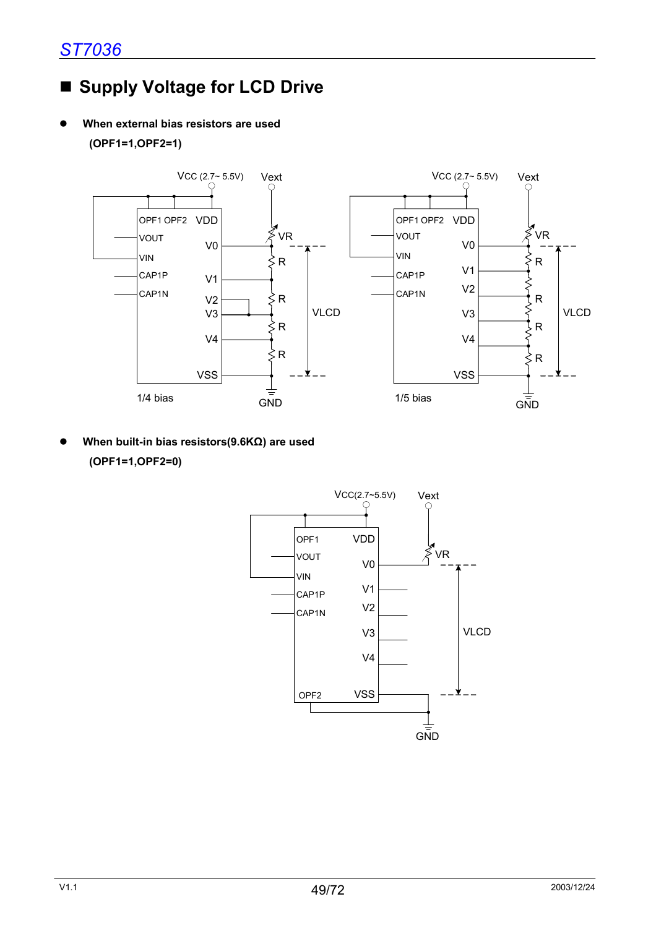# ■ Supply Voltage for LCD Drive

**When external bias resistors are used (OPF1=1,OPF2=1)** 



z **When built-in bias resistors(9.6KΩ) are used (OPF1=1,OPF2=0)** 

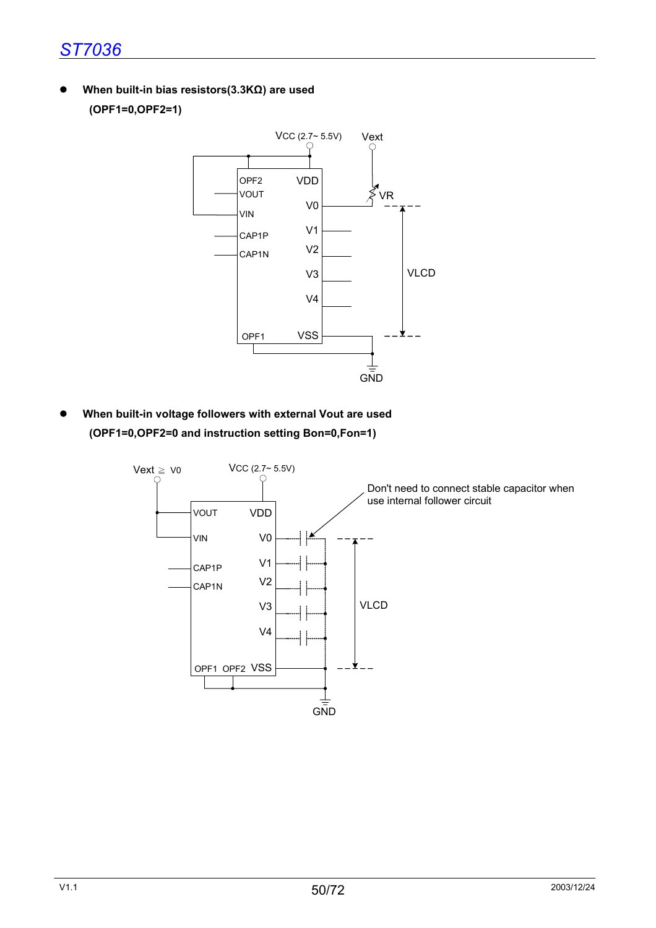z **When built-in bias resistors(3.3KΩ) are used (OPF1=0,OPF2=1)** 



When built-in voltage followers with external Vout are used **(OPF1=0,OPF2=0 and instruction setting Bon=0,Fon=1)** 

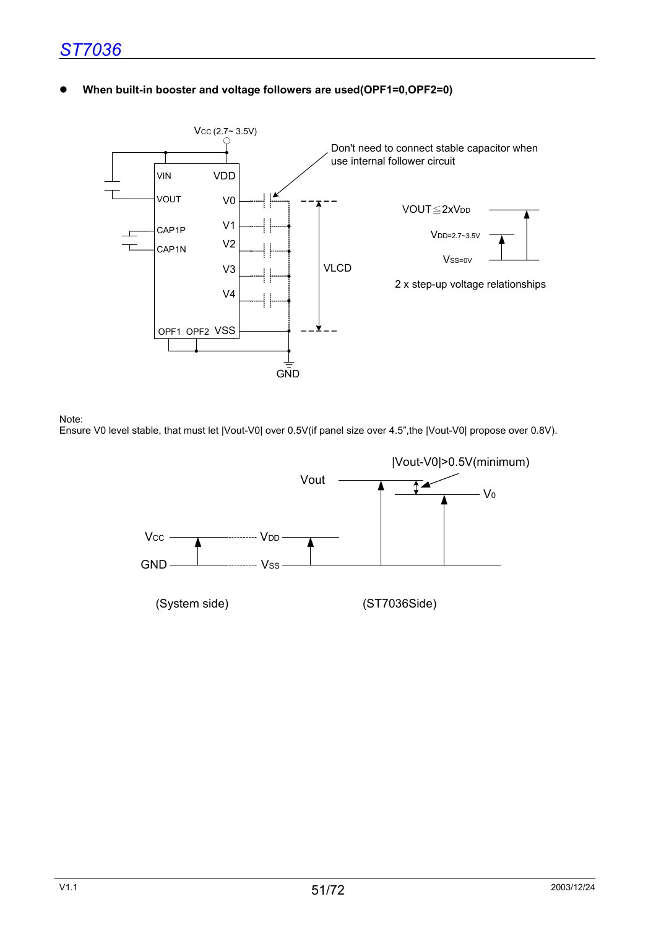When built-in booster and voltage followers are used(OPF1=0,OPF2=0)



Note:

Ensure V0 level stable, that must let |Vout-V0| over 0.5V(if panel size over 4.5",the |Vout-V0| propose over 0.8V).

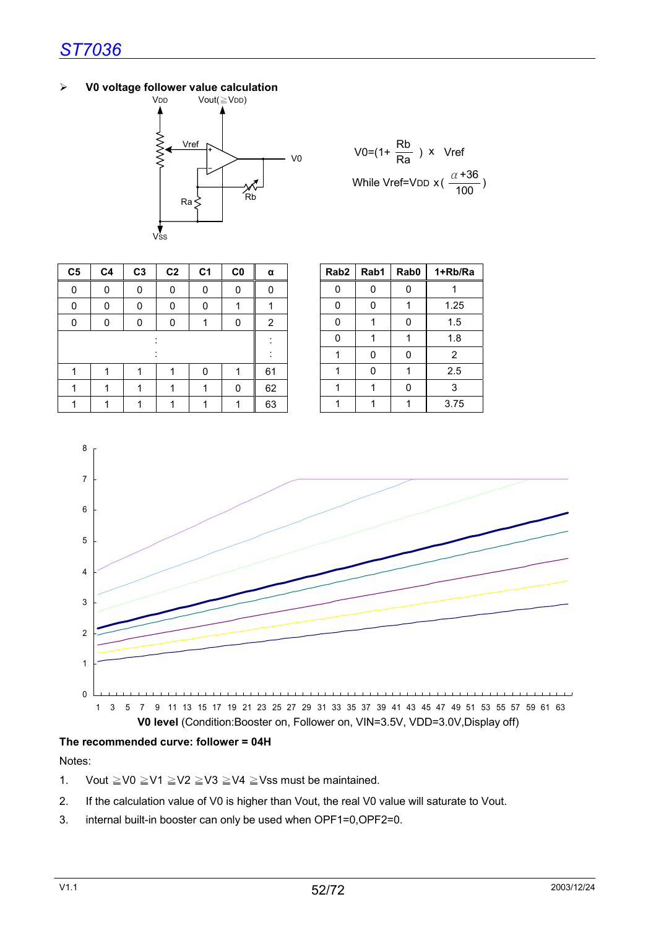#### ¾ **V0 voltage follower value calculation**



$$
\text{VO} = (1 + \frac{\text{Rb}}{\text{Ra}}) \times \text{Vref}
$$
\n
$$
\text{While Vref} = \text{VDD} \times (\frac{\alpha + 36}{100})
$$

|  | C <sub>5</sub> | C <sub>4</sub> | C <sub>3</sub> | C <sub>2</sub> | C <sub>1</sub> | C <sub>0</sub> | α  | Rab <sub>2</sub> | Rab1 | Rab0     | 1+Rb/Ra        |
|--|----------------|----------------|----------------|----------------|----------------|----------------|----|------------------|------|----------|----------------|
|  | 0              | 0              | 0              | 0              | 0              | 0              | 0  | 0                | 0    | 0        |                |
|  | 0              | 0              | 0              | 0              | 0              |                |    | 0                | 0    |          | 1.25           |
|  | $\Omega$       | 0              | 0              | 0              | ٠              | 0              | 2  | 0                |      | 0        | 1.5            |
|  |                |                |                |                |                |                |    | 0                |      |          | 1.8            |
|  |                |                |                |                |                |                |    |                  | 0    | 0        | $\overline{2}$ |
|  |                |                |                |                | 0              |                | 61 |                  | 0    |          | 2.5            |
|  |                |                |                |                | ٠              | 0              | 62 |                  |      | $\Omega$ | 3              |
|  |                |                |                |                | ٠              |                | 63 |                  |      |          | 3.75           |

| C <sub>2</sub> | C <sub>1</sub> | C <sub>0</sub> | α  | Rab <sub>2</sub> | Rab1 | Rab0 | 1+Rb/Ra |
|----------------|----------------|----------------|----|------------------|------|------|---------|
| 0              | 0              | 0              | 0  | 0                | 0    | 0    |         |
| 0              | 0              |                |    | 0                | 0    |      | 1.25    |
| 0              |                | 0              | 2  | 0                |      | 0    | 1.5     |
|                |                |                |    | 0                |      |      | 1.8     |
|                |                |                |    |                  | O    | 0    | 2       |
|                | 0              |                | 61 |                  | ŋ    |      | 2.5     |
|                |                | 0              | 62 |                  |      | 0    | 3       |
|                |                |                | 63 |                  |      |      | 3.75    |



#### **The recommended curve: follower = 04H**

#### Notes:

- 1. Vout  $\geq$  V0  $\geq$  V1  $\geq$  V2  $\geq$  V3  $\geq$  V4  $\geq$  Vss must be maintained.
- 2. If the calculation value of V0 is higher than Vout, the real V0 value will saturate to Vout.
- 3. internal built-in booster can only be used when OPF1=0,OPF2=0.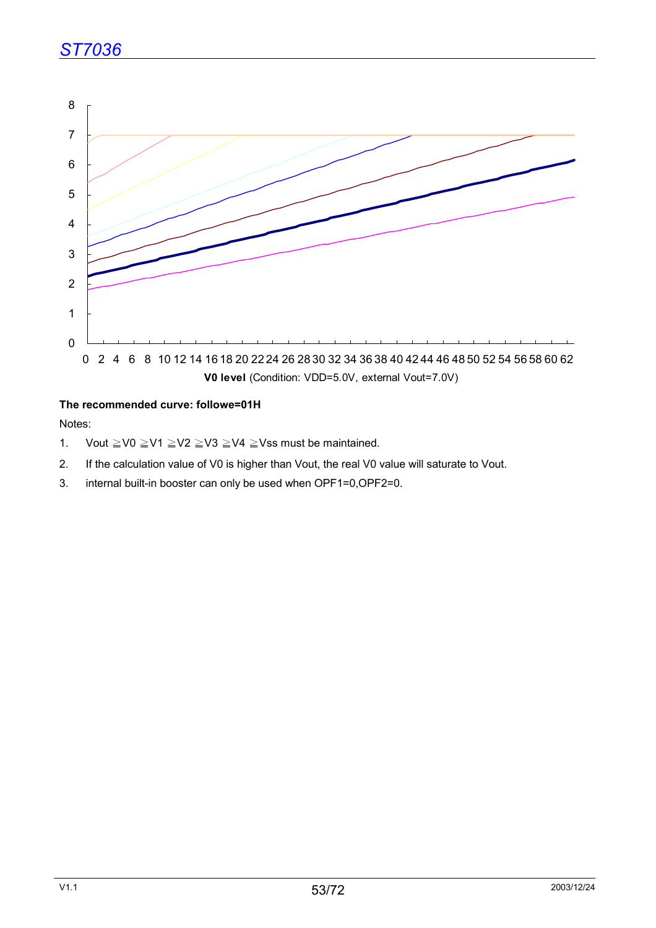

#### **The recommended curve: followe=01H**

#### Notes:

- 1. Vout  $\geq$  V0  $\geq$  V1  $\geq$  V2  $\geq$  V3  $\geq$  V4  $\geq$  Vss must be maintained.
- 2. If the calculation value of V0 is higher than Vout, the real V0 value will saturate to Vout.
- 3. internal built-in booster can only be used when OPF1=0,OPF2=0.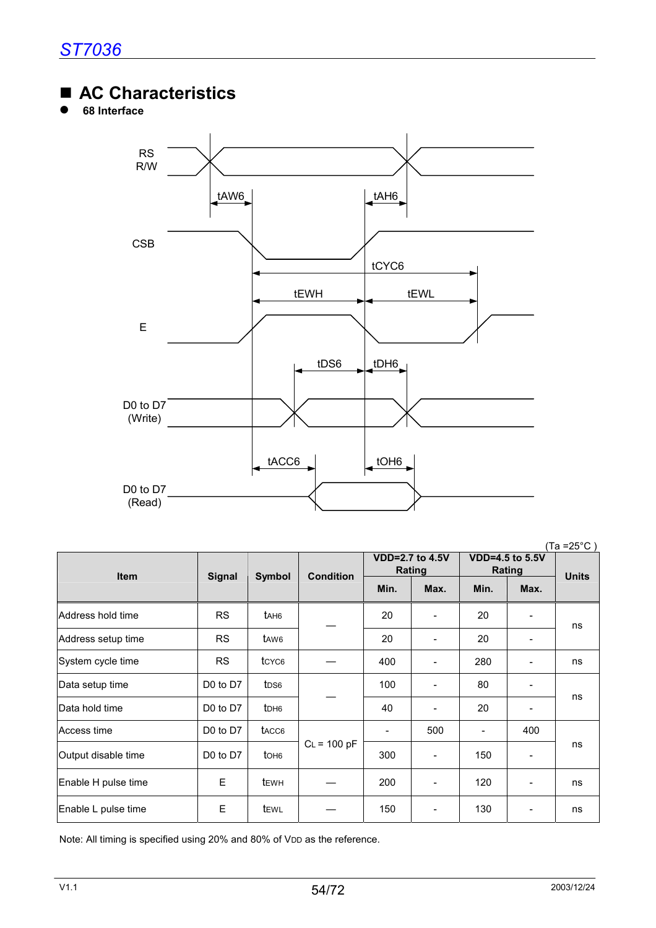# **AC Characteristics**

z **68 Interface**



| <b>Item</b>         |                                  |                   | <b>Condition</b> |      | <b>VDD=2.7 to 4.5V</b><br>Rating | VDD=4.5 to 5.5V<br>Rating | (Ta =25°C )<br><b>Units</b>  |    |  |
|---------------------|----------------------------------|-------------------|------------------|------|----------------------------------|---------------------------|------------------------------|----|--|
|                     | <b>Signal</b>                    | Symbol            |                  | Min. | Max.                             | Min.                      | Max.                         |    |  |
| Address hold time   | <b>RS</b>                        | t <sub>AH6</sub>  |                  | 20   | $\overline{\phantom{a}}$         | 20                        | $\overline{\phantom{0}}$     | ns |  |
| Address setup time  | <b>RS</b>                        | t <sub>AW6</sub>  |                  | 20   | $\overline{\phantom{a}}$         | 20                        |                              |    |  |
| System cycle time   | <b>RS</b>                        | tcyc <sub>6</sub> |                  | 400  | $\qquad \qquad \blacksquare$     | 280                       |                              | ns |  |
| Data setup time     | D <sub>0</sub> to D <sub>7</sub> | t <sub>DS6</sub>  |                  | 100  |                                  | 80                        |                              |    |  |
| Data hold time      | D <sub>0</sub> to D <sub>7</sub> | t <sub>DH6</sub>  |                  | 40   | $\overline{\phantom{a}}$         | 20                        | $\qquad \qquad \blacksquare$ | ns |  |
| lAccess time        | D <sub>0</sub> to D <sub>7</sub> | t <sub>ACC6</sub> |                  | ۰    | 500                              | $\overline{\phantom{a}}$  | 400                          |    |  |
| Output disable time | D <sub>0</sub> to D <sub>7</sub> | to <sub>H6</sub>  | $CL = 100 pF$    | 300  | $\overline{\phantom{a}}$         | 150                       | $\overline{\phantom{0}}$     | ns |  |
| Enable H pulse time | E                                | tewh              |                  | 200  | $\overline{\phantom{a}}$         | 120                       | $\blacksquare$               | ns |  |
| Enable L pulse time | E                                | tewL              |                  | 150  |                                  | 130                       | -                            | ns |  |

Note: All timing is specified using 20% and 80% of VDD as the reference.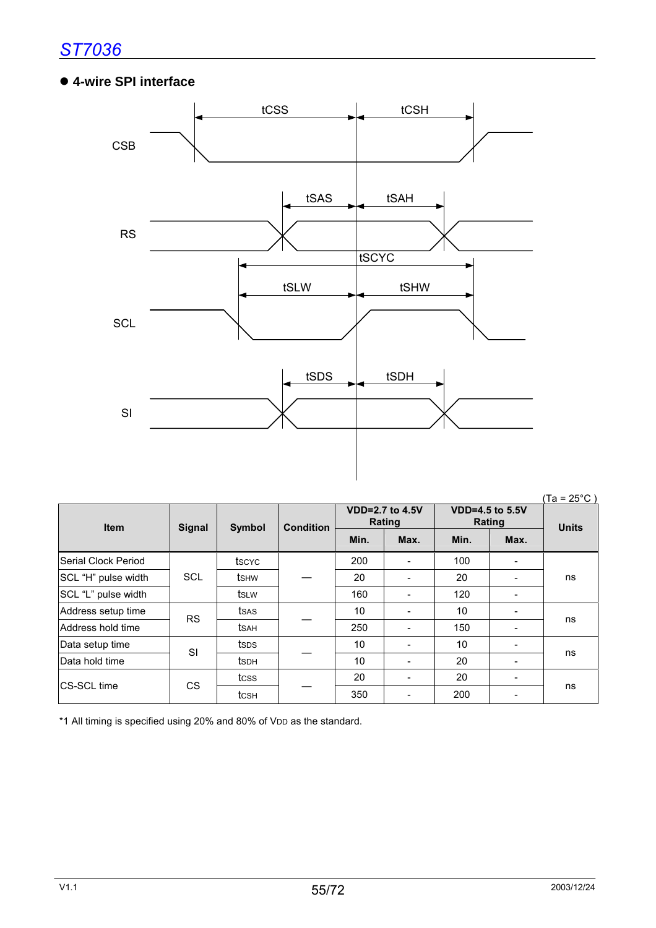### z **4-wire SPI interface**



 $(Ta = 25^{\circ}C)$ 

| <b>Item</b>          | <b>Signal</b> | Symbol           | <b>Condition</b> | <b>VDD=2.7 to 4.5V</b><br>Rating |                          | VDD=4.5 to 5.5V<br>Rating |                          | <b>Units</b> |  |
|----------------------|---------------|------------------|------------------|----------------------------------|--------------------------|---------------------------|--------------------------|--------------|--|
|                      |               |                  |                  | Min.                             | Max.                     | Min.                      | Max.                     |              |  |
| lSerial Clock Period |               | tscyc            |                  | 200                              |                          | 100                       |                          |              |  |
| SCL "H" pulse width  | <b>SCL</b>    | tshw             |                  | 20                               |                          | 20                        | $\blacksquare$           | ns           |  |
| SCL "L" pulse width  |               | tsLw             |                  | 160                              | $\overline{\phantom{a}}$ | 120                       | $\blacksquare$           |              |  |
| Address setup time   | <b>RS</b>     | tsas             |                  | 10                               | $\overline{\phantom{0}}$ | 10                        | $\overline{\phantom{a}}$ |              |  |
| Address hold time    |               | tsah             |                  | 250                              |                          | 150                       |                          | ns           |  |
| Data setup time      | <b>SI</b>     | tsps             |                  | 10                               |                          | 10                        | $\blacksquare$           |              |  |
| Data hold time       |               | tsd <sub>H</sub> |                  | 10                               | $\overline{\phantom{a}}$ | 20                        | -                        | ns           |  |
| ICS-SCL time         | CS            | tcss             |                  | 20                               | $\overline{\phantom{a}}$ | 20                        | $\blacksquare$           |              |  |
|                      |               | tcsh             |                  | 350                              | ۰                        | 200                       | -                        | ns           |  |

\*1 All timing is specified using 20% and 80% of VDD as the standard.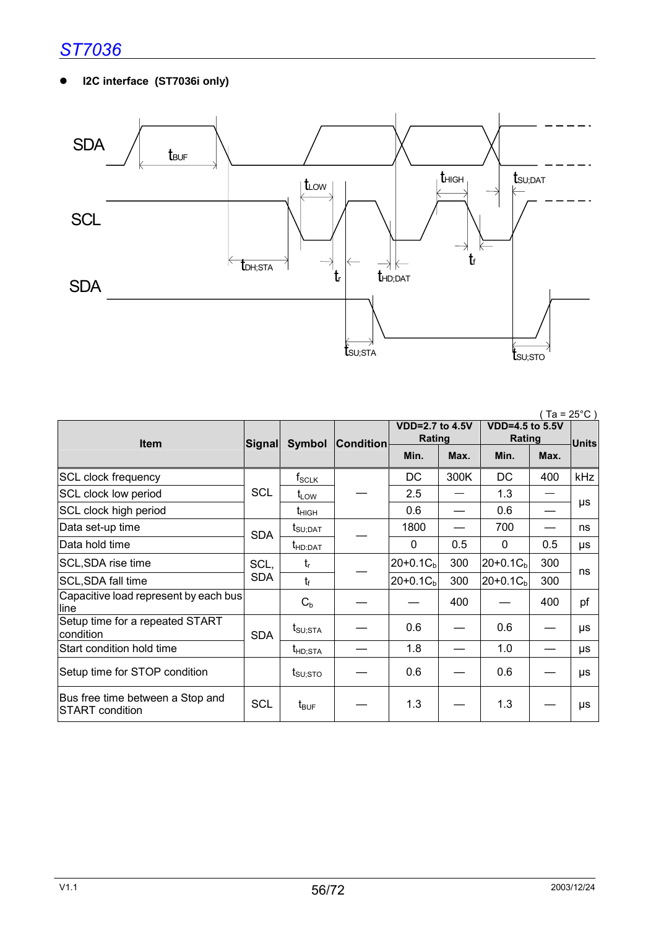z **I2C interface (ST7036i only)**



|                                                            |            |                                  |                  |                                  |                          |                                  | Ta = 25°C)        |         |
|------------------------------------------------------------|------------|----------------------------------|------------------|----------------------------------|--------------------------|----------------------------------|-------------------|---------|
| <b>Item</b>                                                | Signal     |                                  | Symbol Condition | <b>VDD=2.7 to 4.5V</b><br>Rating |                          | <b>VDD=4.5 to 5.5V</b><br>Rating |                   | Units   |
|                                                            |            |                                  |                  | Min.                             | Max.                     | Min.                             | Max.              |         |
| <b>SCL clock frequency</b>                                 |            | $\mathsf{f}_{\mathsf{SCLK}}$     |                  | DC                               | 300K                     | DC                               | 400               | kHz     |
| SCL clock low period                                       | <b>SCL</b> | $t_{LOW}$                        |                  | 2.5                              | $\overline{\phantom{0}}$ | 1.3                              | $\hspace{0.05cm}$ |         |
| SCL clock high period                                      |            | $t_{\text{HIGH}}$                |                  | 0.6                              |                          | 0.6                              |                   | $\mu s$ |
| Data set-up time                                           | <b>SDA</b> | $t_{\text{SU;DAT}}$              |                  | 1800                             |                          | 700                              |                   | ns      |
| Data hold time                                             |            | $t_{HD:DAT}$                     |                  | $\Omega$                         | 0.5                      | $\Omega$                         | 0.5               | μs      |
| SCL, SDA rise time                                         | SCL,       | $t_{r}$                          |                  | $20+0.1C_{b}$                    | 300                      | $20+0.1Cb$                       | 300               | ns      |
| <b>SCL, SDA fall time</b>                                  | <b>SDA</b> | $t_{\rm f}$                      |                  | $20+0.1C_{b}$                    | 300                      | $20+0.1C_{b}$                    | 300               |         |
| Capacitive load represent by each bus<br>line              |            | $C_{b}$                          |                  |                                  | 400                      |                                  | 400               | pf      |
| Setup time for a repeated START<br>condition               | <b>SDA</b> | $t_{\scriptstyle\text{SU;STA}}$  |                  | 0.6                              |                          | 0.6                              |                   | μs      |
| Start condition hold time                                  |            | $t_{HD;STA}$                     |                  | 1.8                              |                          | 1.0                              |                   | μs      |
| Setup time for STOP condition                              |            | $\boldsymbol{t}_{\text{SU;STO}}$ |                  | 0.6                              |                          | 0.6                              |                   | μs      |
| Bus free time between a Stop and<br><b>START</b> condition | <b>SCL</b> | $t_{\text{BUF}}$                 |                  | 1.3                              |                          | 1.3                              |                   | $\mu s$ |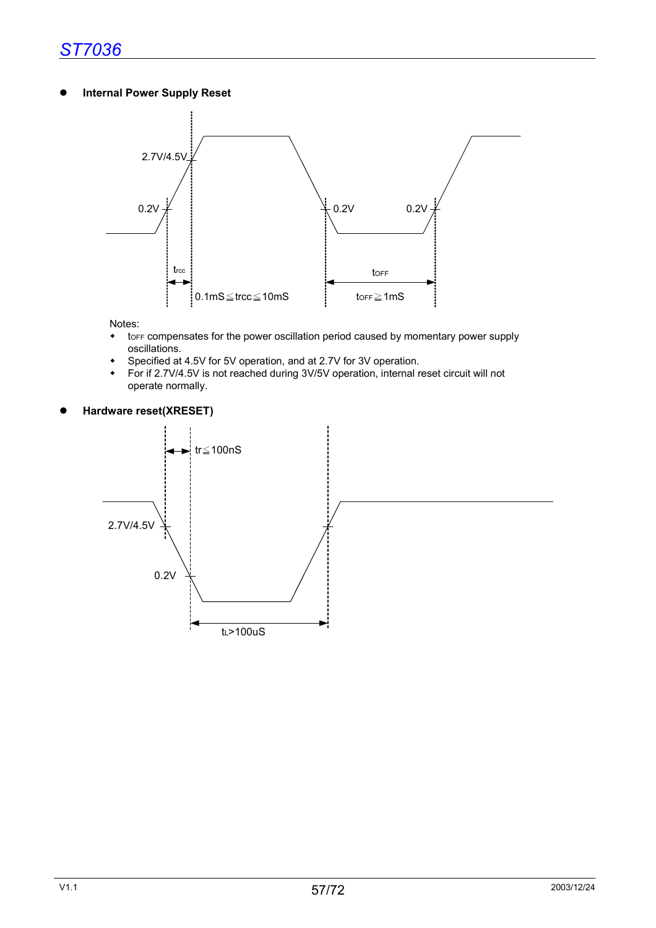**Internal Power Supply Reset** 



Notes:

- \* torf compensates for the power oscillation period caused by momentary power supply oscillations.
- Specified at 4.5V for 5V operation, and at 2.7V for 3V operation.
- For if 2.7V/4.5V is not reached during 3V/5V operation, internal reset circuit will not operate normally.



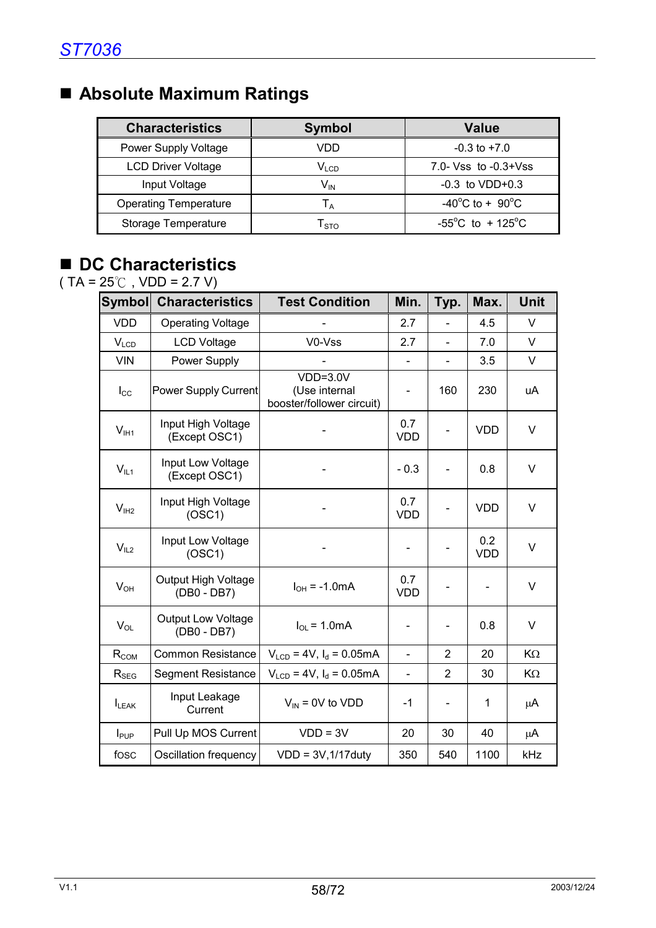# **Absolute Maximum Ratings**

| <b>Characteristics</b>       | <b>Symbol</b>               | <b>Value</b>                               |
|------------------------------|-----------------------------|--------------------------------------------|
| Power Supply Voltage         | VDD                         | $-0.3$ to $+7.0$                           |
| <b>LCD Driver Voltage</b>    | $\mathsf{V}_{\mathsf{LCD}}$ | $7.0 - Vss$ to $-0.3 + Vss$                |
| Input Voltage                | $\mathsf{V}_{\mathsf{IN}}$  | $-0.3$ to VDD+0.3                          |
| <b>Operating Temperature</b> | $T_A$                       | $-40^{\circ}$ C to + 90 $^{\circ}$ C       |
| Storage Temperature          | $\mathsf{T}_{\text{STO}}$   | -55 <sup>°</sup> C to + 125 <sup>°</sup> C |

# ■ DC Characteristics

 $(TA = 25^{\circ}$  , VDD = 2.7 V)

| <b>Symbol</b>    | <b>Characteristics</b>                   | <b>Test Condition</b>                                    | Min.                         | Typ.                     | Max.              | <b>Unit</b> |
|------------------|------------------------------------------|----------------------------------------------------------|------------------------------|--------------------------|-------------------|-------------|
| <b>VDD</b>       | <b>Operating Voltage</b>                 |                                                          | 2.7                          |                          | 4.5               | V           |
| $V_{LCD}$        | <b>LCD Voltage</b>                       | V0-Vss                                                   | 2.7                          | $\overline{a}$           | 7.0               | V           |
| <b>VIN</b>       | Power Supply                             |                                                          | $\qquad \qquad \blacksquare$ | $\overline{a}$           | 3.5               | V           |
| $I_{\rm CC}$     | <b>Power Supply Current</b>              | $VDD=3.0V$<br>(Use internal<br>booster/follower circuit) | $\qquad \qquad \blacksquare$ | 160                      | 230               | uA          |
| $V_{I H1}$       | Input High Voltage<br>(Except OSC1)      |                                                          | 0.7<br><b>VDD</b>            |                          | <b>VDD</b>        | V           |
| $V_{IL1}$        | Input Low Voltage<br>(Except OSC1)       |                                                          | $-0.3$                       | ÷,                       | 0.8               | V           |
| V <sub>1H2</sub> | Input High Voltage<br>(OSC1)             |                                                          | 0.7<br><b>VDD</b>            | $\overline{\phantom{0}}$ | <b>VDD</b>        | V           |
| V <sub>IL2</sub> | Input Low Voltage<br>(OSC1)              |                                                          | $\overline{\phantom{0}}$     | $\overline{\phantom{0}}$ | 0.2<br><b>VDD</b> | V           |
| $V_{OH}$         | Output High Voltage<br>(DB0 - DB7)       | $I_{OH} = -1.0mA$                                        | 0.7<br><b>VDD</b>            |                          | ÷,                | V           |
| $V_{OL}$         | <b>Output Low Voltage</b><br>(DB0 - DB7) | $I_{OL}$ = 1.0mA                                         |                              | $\overline{\phantom{0}}$ | 0.8               | $\vee$      |
| $R_{COM}$        | <b>Common Resistance</b>                 | $V_{LCD} = 4V$ , $I_d = 0.05mA$                          | $\blacksquare$               | $\overline{2}$           | 20                | $K\Omega$   |
| $R_{\text{SEG}}$ | Segment Resistance                       | $V_{LCD} = 4V$ , $I_d = 0.05mA$                          | $\qquad \qquad \blacksquare$ | $\overline{2}$           | 30                | $K\Omega$   |
| $I_{LEAK}$       | Input Leakage<br>Current                 | $V_{IN}$ = 0V to VDD                                     | $-1$                         |                          | 1                 | μA          |
| $I_{\text{PUP}}$ | Pull Up MOS Current                      | $VDD = 3V$                                               | 20                           | 30                       | 40                | μA          |
| fosc             | Oscillation frequency                    | $VDD = 3V, 1/17duty$                                     | 350                          | 540                      | 1100              | kHz         |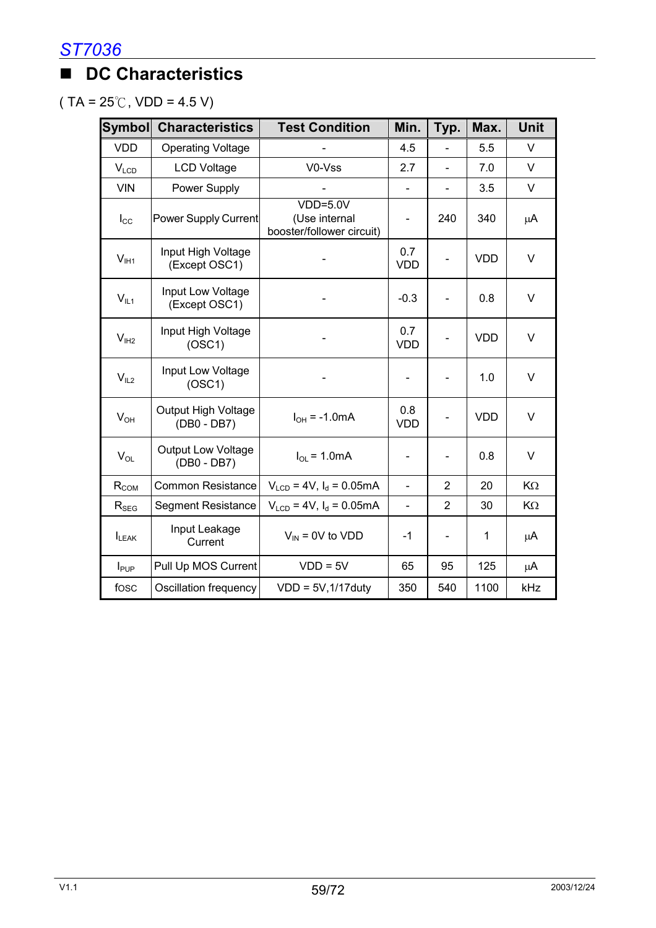# ■ **DC Characteristics**

 $(TA = 25^{\circ}C, VDD = 4.5 V)$ 

| <b>Symbol</b>    | <b>Characteristics</b>                   | <b>Test Condition</b>                                    | Min.                         | Typ.                         | Max.       | <b>Unit</b> |
|------------------|------------------------------------------|----------------------------------------------------------|------------------------------|------------------------------|------------|-------------|
| <b>VDD</b>       | <b>Operating Voltage</b>                 |                                                          | 4.5                          |                              | 5.5        | V           |
| $V_{LCD}$        | <b>LCD Voltage</b>                       | V0-Vss                                                   | 2.7                          | $\blacksquare$               | 7.0        | V           |
| <b>VIN</b>       | Power Supply                             |                                                          | $\blacksquare$               |                              | 3.5        | V           |
| $I_{\rm CC}$     | <b>Power Supply Current</b>              | $VDD=5.0V$<br>(Use internal<br>booster/follower circuit) | $\qquad \qquad \blacksquare$ | 240                          | 340        | μA          |
| $V_{I H1}$       | Input High Voltage<br>(Except OSC1)      |                                                          | 0.7<br><b>VDD</b>            |                              | <b>VDD</b> | V           |
| $V_{IL1}$        | Input Low Voltage<br>(Except OSC1)       |                                                          | $-0.3$                       |                              | 0.8        | V           |
| V <sub>1H2</sub> | Input High Voltage<br>(OSC1)             |                                                          | 0.7<br><b>VDD</b>            | $\qquad \qquad \blacksquare$ | <b>VDD</b> | V           |
| $V_{IL2}$        | Input Low Voltage<br>(OSC1)              |                                                          |                              |                              | 1.0        | V           |
| $V_{OH}$         | Output High Voltage<br>(DB0 - DB7)       | $I_{OH} = -1.0mA$                                        | 0.8<br><b>VDD</b>            |                              | <b>VDD</b> | V           |
| $V_{OL}$         | <b>Output Low Voltage</b><br>(DB0 - DB7) | $I_{OL}$ = 1.0mA                                         |                              |                              | 0.8        | V           |
| $R_{COM}$        | <b>Common Resistance</b>                 | $V_{LCD} = 4V$ , $I_d = 0.05mA$                          | $\overline{\phantom{0}}$     | $\overline{2}$               | 20         | $K\Omega$   |
| $R_{\rm SEG}$    | <b>Segment Resistance</b>                | $V_{LCD} = 4V$ , $I_d = 0.05mA$                          | $\blacksquare$               | 2                            | 30         | KΩ          |
| $I_{LEAK}$       | Input Leakage<br>Current                 | $V_{IN}$ = 0V to VDD                                     | $-1$                         | $\qquad \qquad \blacksquare$ | 1          | μA          |
| $I_{\text{PUP}}$ | Pull Up MOS Current                      | $VDD = 5V$                                               | 65                           | 95                           | 125        | μA          |
| fosc             | Oscillation frequency                    | $VDD = 5V, 1/17duty$                                     | 350                          | 540                          | 1100       | kHz         |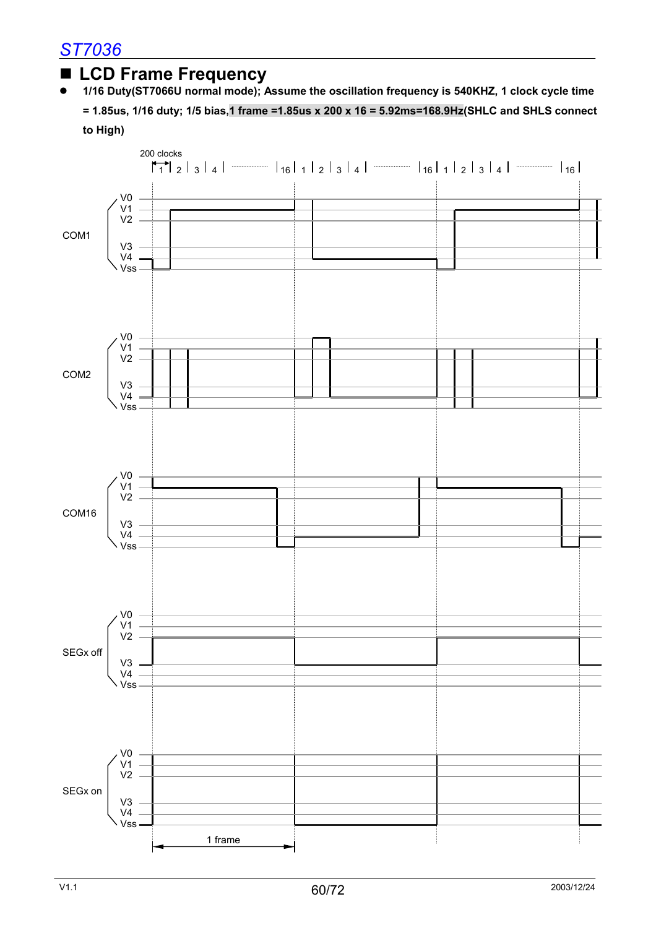### ■ LCD Frame Frequency

● 1/16 Duty(ST7066U normal mode); Assume the oscillation frequency is 540KHZ, 1 clock cycle time

**= 1.85us, 1/16 duty; 1/5 bias,1 frame =1.85us x 200 x 16 = 5.92ms=168.9Hz(SHLC and SHLS connect to High)** 

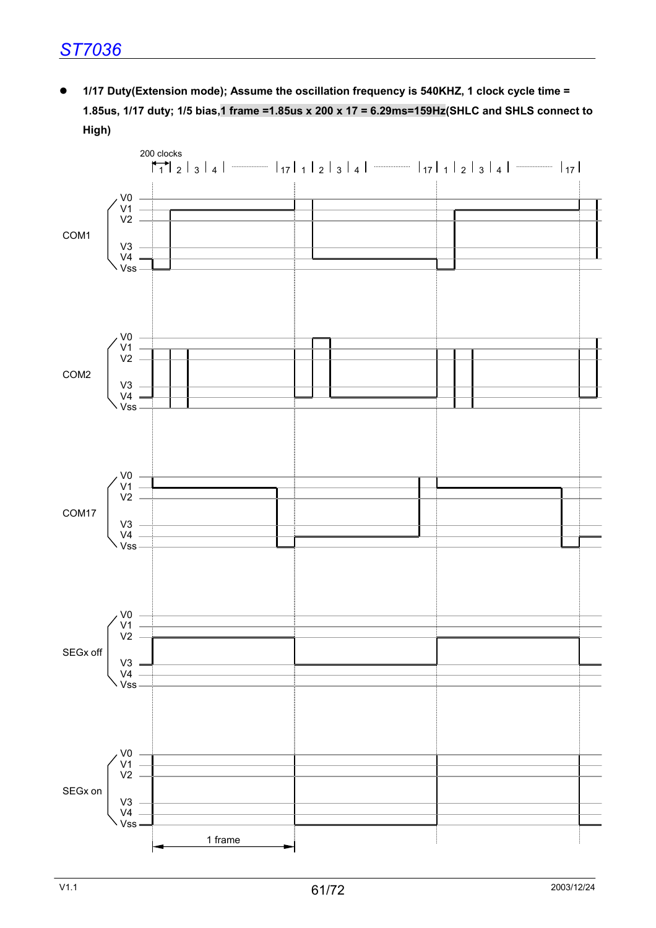● 1/17 Duty(Extension mode); Assume the oscillation frequency is 540KHZ, 1 clock cycle time = **1.85us, 1/17 duty; 1/5 bias,1 frame =1.85us x 200 x 17 = 6.29ms=159Hz(SHLC and SHLS connect to High)** 

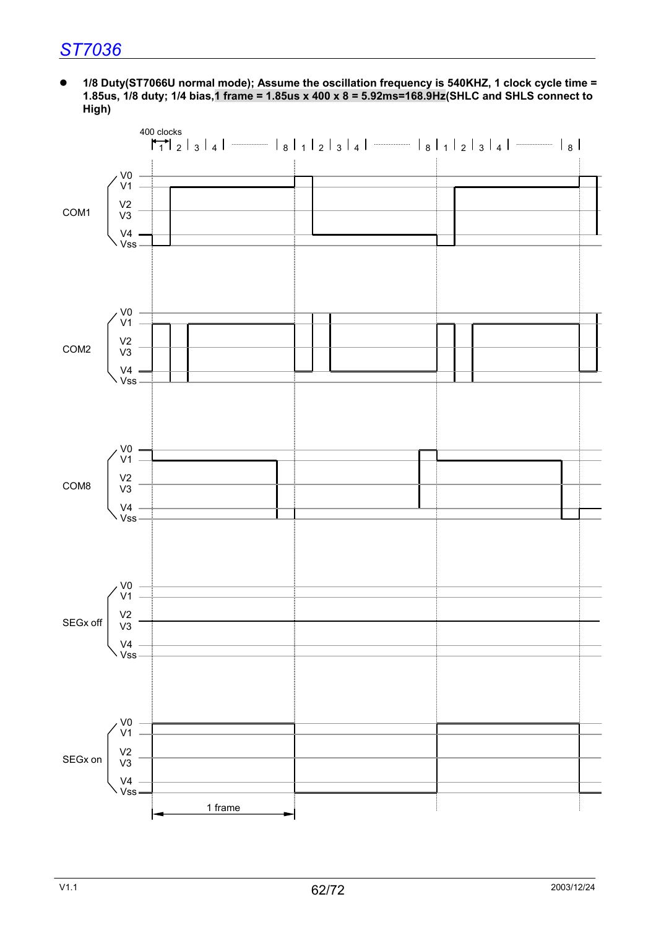● 1/8 Duty(ST7066U normal mode); Assume the oscillation frequency is 540KHZ, 1 clock cycle time = **1.85us, 1/8 duty; 1/4 bias,1 frame = 1.85us x 400 x 8 = 5.92ms=168.9Hz(SHLC and SHLS connect to High)**

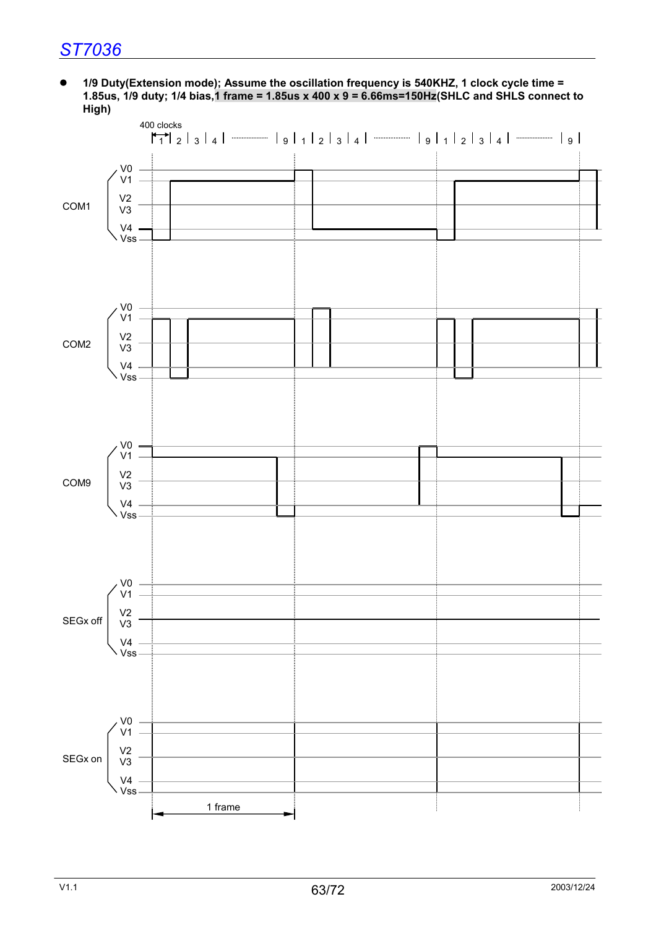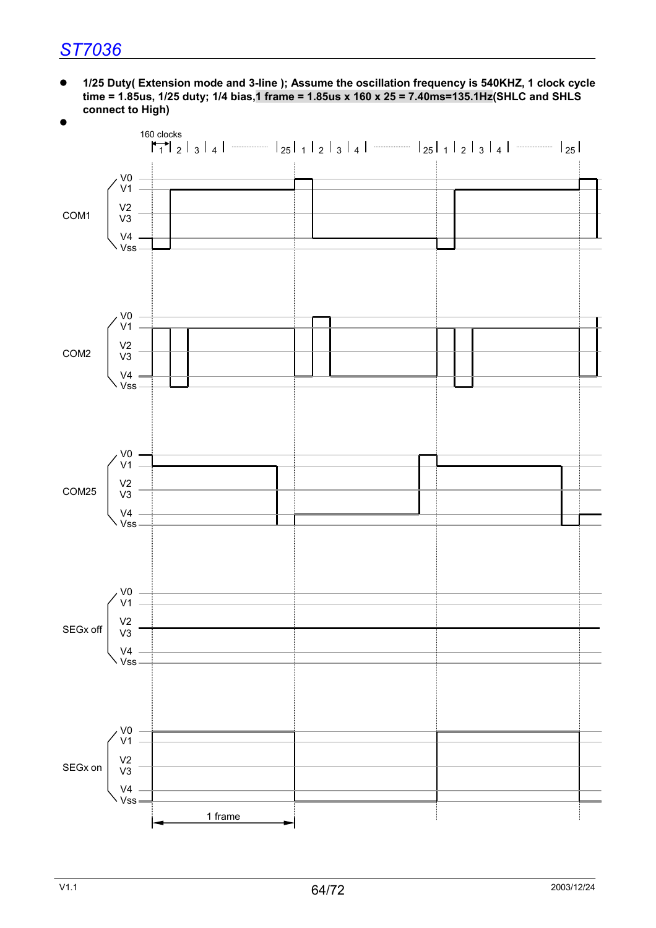z **1/25 Duty( Extension mode and 3-line ); Assume the oscillation frequency is 540KHZ, 1 clock cycle time = 1.85us, 1/25 duty; 1/4 bias,1 frame = 1.85us x 160 x 25 = 7.40ms=135.1Hz(SHLC and SHLS connect to High)**

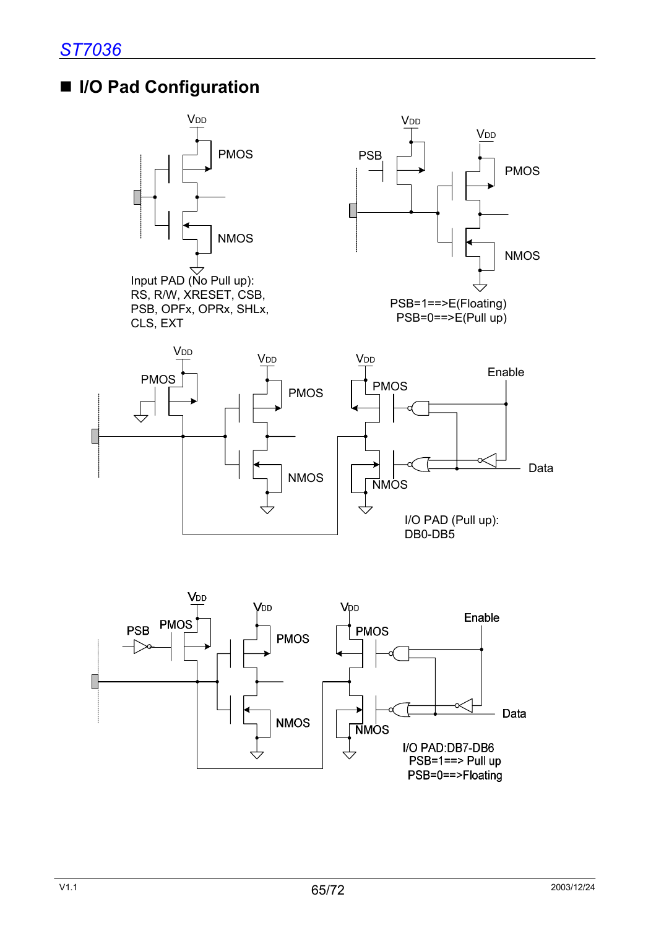



- Data **NMOS NMOS** I/O PAD:DB7-DB6 PSB=1==> Pull up PSB=0==>Floating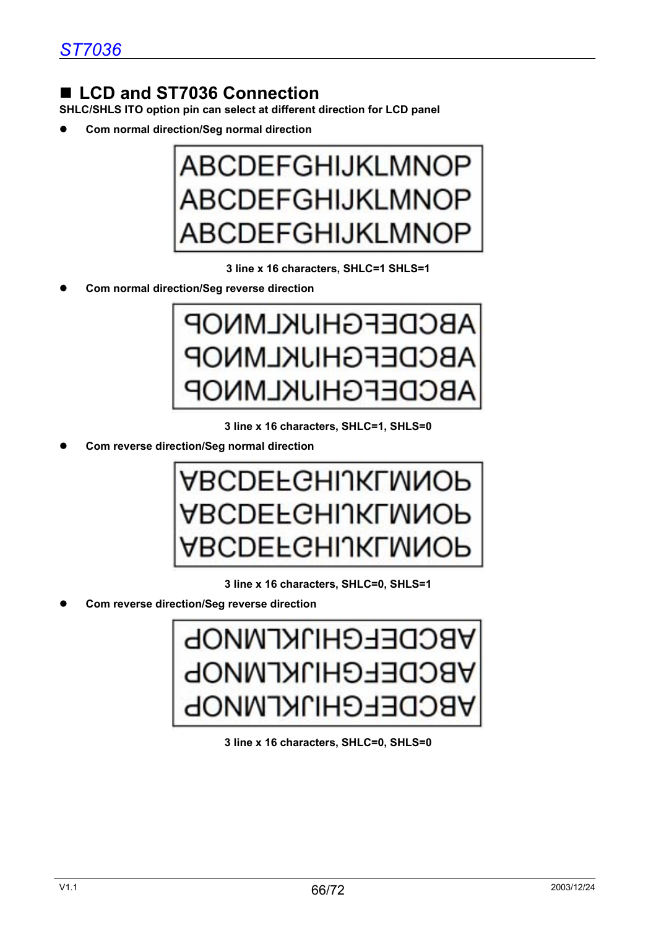# ■ LCD and ST7036 Connection

**SHLC/SHLS ITO option pin can select at different direction for LCD panel** 

z **Com normal direction/Seg normal direction** 



**3 line x 16 characters, SHLC=1 SHLS=1** 

z **Com normal direction/Seg reverse direction** 



**3 line x 16 characters, SHLC=1, SHLS=0** 

z **Com reverse direction/Seg normal direction** 



**3 line x 16 characters, SHLC=0, SHLS=1** 

z **Com reverse direction/Seg reverse direction** 



**3 line x 16 characters, SHLC=0, SHLS=0**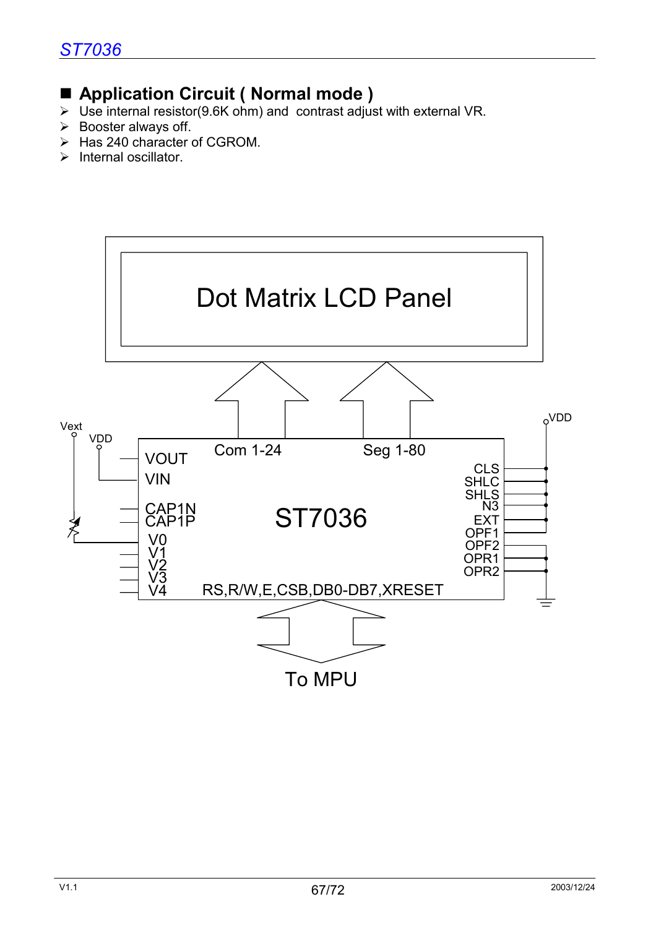# ■ Application Circuit ( Normal mode )

- ¾ Use internal resistor(9.6K ohm) and contrast adjust with external VR.
- $\triangleright$  Booster always off.
- $\triangleright$  Has 240 character of CGROM.
- $\triangleright$  Internal oscillator.

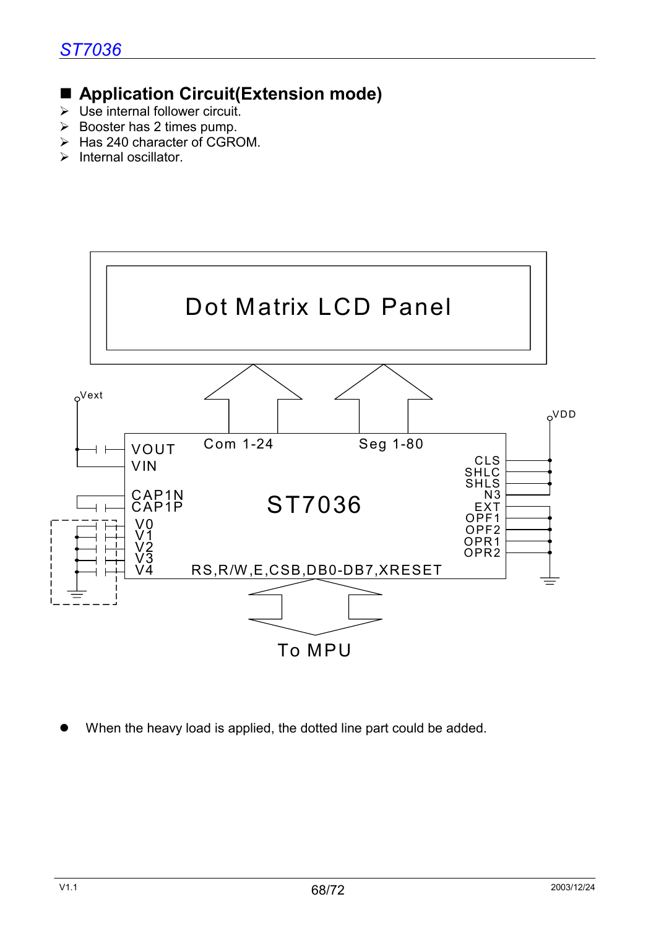# **Application Circuit(Extension mode)**

- ¾ Use internal follower circuit.
- $\triangleright$  Booster has 2 times pump.
- $\triangleright$  Has 240 character of CGROM.
- $\triangleright$  Internal oscillator.



When the heavy load is applied, the dotted line part could be added.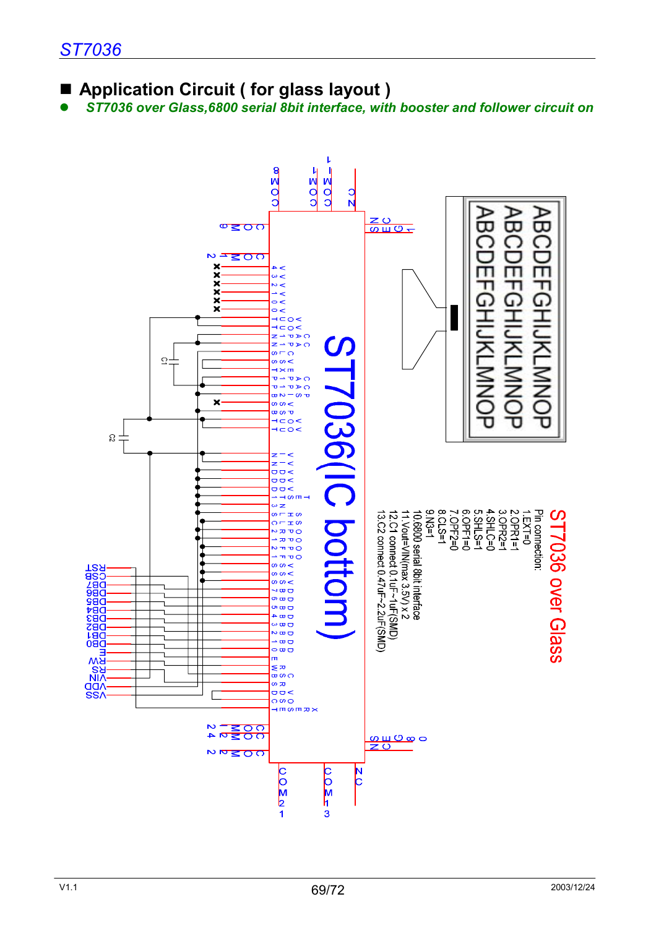# ■ Application Circuit ( for glass layout )

z *ST7036 over Glass,6800 serial 8bit interface, with booster and follower circuit on* 

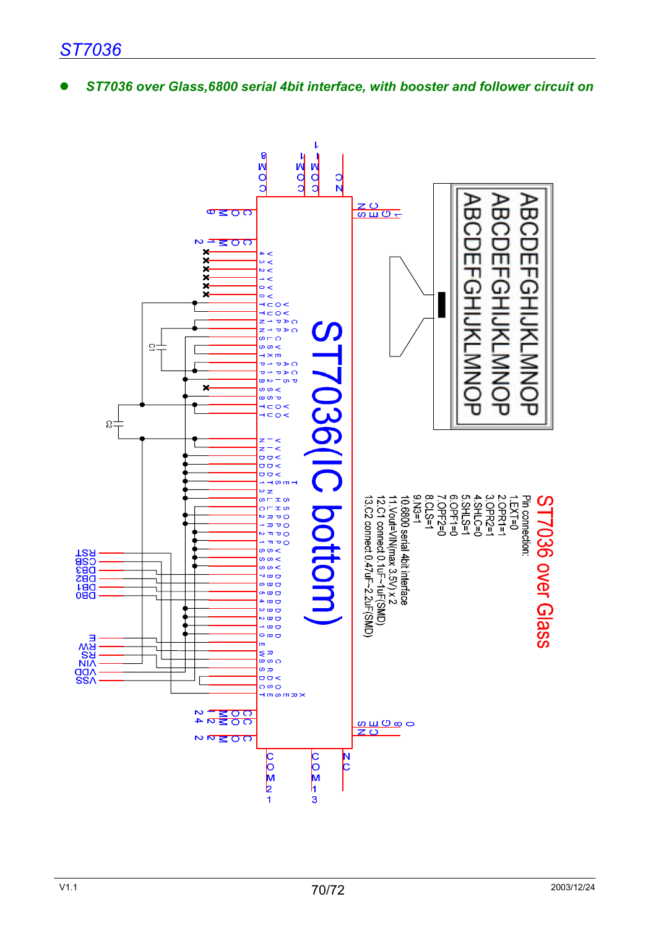z *ST7036 over Glass,6800 serial 4bit interface, with booster and follower circuit on* 

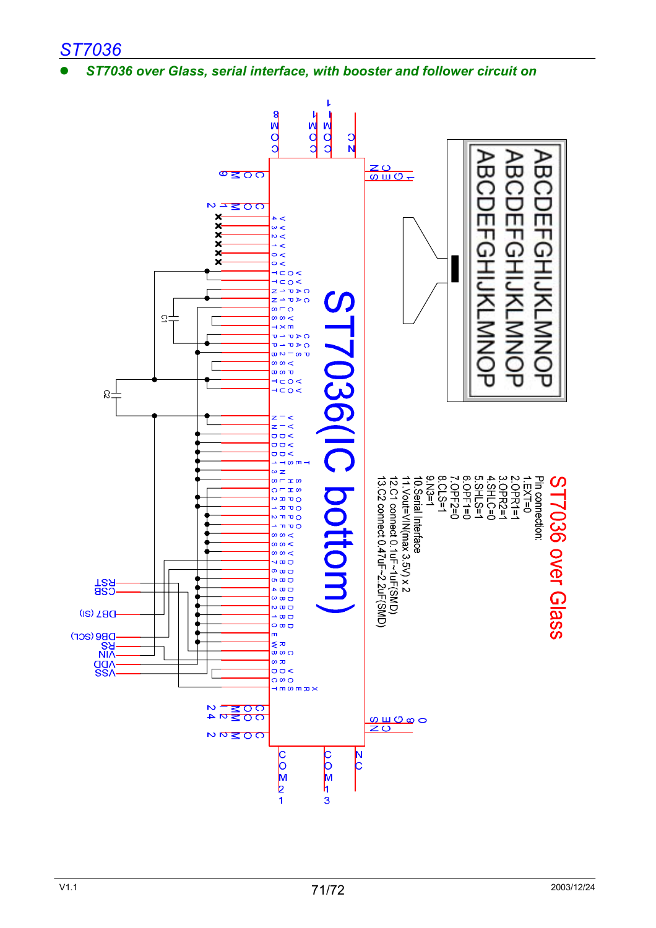z *ST7036 over Glass, serial interface, with booster and follower circuit on*